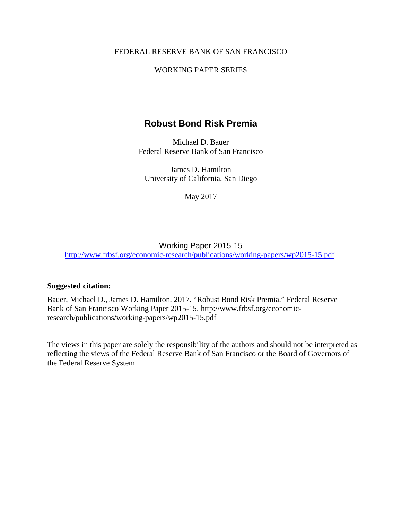#### FEDERAL RESERVE BANK OF SAN FRANCISCO

#### WORKING PAPER SERIES

### **Robust Bond Risk Premia**

Michael D. Bauer Federal Reserve Bank of San Francisco

James D. Hamilton University of California, San Diego

May 2017

Working Paper 2015-15 <http://www.frbsf.org/economic-research/publications/working-papers/wp2015-15.pdf>

#### **Suggested citation:**

Bauer, Michael D., James D. Hamilton. 2017. "Robust Bond Risk Premia." Federal Reserve Bank of San Francisco Working Paper 2015-15. http://www.frbsf.org/economicresearch/publications/working-papers/wp2015-15.pdf

The views in this paper are solely the responsibility of the authors and should not be interpreted as reflecting the views of the Federal Reserve Bank of San Francisco or the Board of Governors of the Federal Reserve System.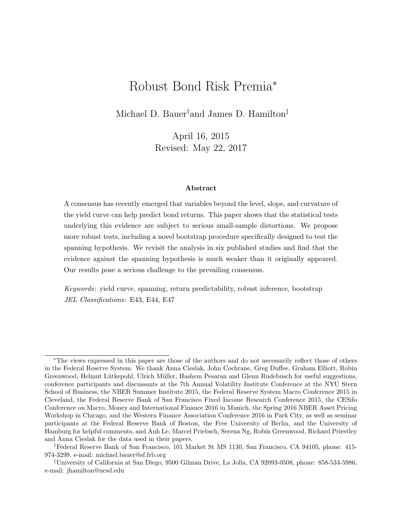## Robust Bond Risk Premia<sup>∗</sup>

Michael D. Bauer†and James D. Hamilton‡

April 16, 2015 Revised: May 22, 2017

#### Abstract

A consensus has recently emerged that variables beyond the level, slope, and curvature of the yield curve can help predict bond returns. This paper shows that the statistical tests underlying this evidence are subject to serious small-sample distortions. We propose more robust tests, including a novel bootstrap procedure specifically designed to test the spanning hypothesis. We revisit the analysis in six published studies and find that the evidence against the spanning hypothesis is much weaker than it originally appeared. Our results pose a serious challenge to the prevailing consensus.

Keywords: yield curve, spanning, return predictability, robust inference, bootstrap JEL Classifications: E43, E44, E47

<sup>∗</sup>The views expressed in this paper are those of the authors and do not necessarily reflect those of others in the Federal Reserve System. We thank Anna Cieslak, John Cochrane, Greg Duffee, Graham Elliott, Robin Greenwood, Helmut Lütkepohl, Ulrich Müller, Hashem Pesaran and Glenn Rudebusch for useful suggestions, conference participants and discussants at the 7th Annual Volatility Institute Conference at the NYU Stern School of Business, the NBER Summer Institute 2015, the Federal Reserve System Macro Conference 2015 in Cleveland, the Federal Reserve Bank of San Francisco Fixed Income Research Conference 2015, the CESifo Conference on Macro, Money and International Finance 2016 in Munich, the Spring 2016 NBER Asset Pricing Workshop in Chicago, and the Western Finance Association Conference 2016 in Park City, as well as seminar participants at the Federal Reserve Bank of Boston, the Free University of Berlin, and the University of Hamburg for helpful comments, and Anh Le, Marcel Priebsch, Serena Ng, Robin Greenwood, Richard Priestley and Anna Cieslak for the data used in their papers.

<sup>†</sup>Federal Reserve Bank of San Francisco, 101 Market St MS 1130, San Francisco, CA 94105, phone: 415- 974-3299, e-mail: michael.bauer@sf.frb.org

<sup>‡</sup>University of California at San Diego, 9500 Gilman Drive, La Jolla, CA 92093-0508, phone: 858-534-5986, e-mail: jhamilton@ucsd.edu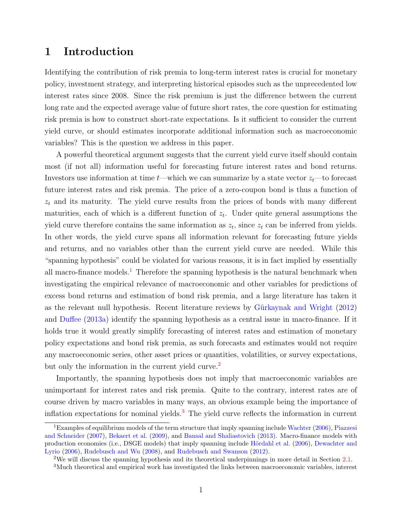### 1 Introduction

Identifying the contribution of risk premia to long-term interest rates is crucial for monetary policy, investment strategy, and interpreting historical episodes such as the unprecedented low interest rates since 2008. Since the risk premium is just the difference between the current long rate and the expected average value of future short rates, the core question for estimating risk premia is how to construct short-rate expectations. Is it sufficient to consider the current yield curve, or should estimates incorporate additional information such as macroeconomic variables? This is the question we address in this paper.

A powerful theoretical argument suggests that the current yield curve itself should contain most (if not all) information useful for forecasting future interest rates and bond returns. Investors use information at time  $t$ —which we can summarize by a state vector  $z_t$ —to forecast future interest rates and risk premia. The price of a zero-coupon bond is thus a function of  $z_t$  and its maturity. The yield curve results from the prices of bonds with many different maturities, each of which is a different function of  $z_t$ . Under quite general assumptions the yield curve therefore contains the same information as  $z_t$ , since  $z_t$  can be inferred from yields. In other words, the yield curve spans all information relevant for forecasting future yields and returns, and no variables other than the current yield curve are needed. While this "spanning hypothesis" could be violated for various reasons, it is in fact implied by essentially all macro-finance models.<sup>[1](#page-2-0)</sup> Therefore the spanning hypothesis is the natural benchmark when investigating the empirical relevance of macroeconomic and other variables for predictions of excess bond returns and estimation of bond risk premia, and a large literature has taken it as the relevant null hypothesis. Recent literature reviews by Gürkaynak and Wright [\(2012\)](#page-33-0) and [Duffee](#page-33-1) [\(2013a\)](#page-33-1) identify the spanning hypothesis as a central issue in macro-finance. If it holds true it would greatly simplify forecasting of interest rates and estimation of monetary policy expectations and bond risk premia, as such forecasts and estimates would not require any macroeconomic series, other asset prices or quantities, volatilities, or survey expectations, but only the information in the current yield curve.<sup>[2](#page-2-1)</sup>

Importantly, the spanning hypothesis does not imply that macroeconomic variables are unimportant for interest rates and risk premia. Quite to the contrary, interest rates are of course driven by macro variables in many ways, an obvious example being the importance of inflation expectations for nominal yields.<sup>[3](#page-2-2)</sup> The yield curve reflects the information in current

<span id="page-2-0"></span><sup>&</sup>lt;sup>1</sup>Examples of equilibrium models of the term structure that imply spanning include [Wachter](#page-36-0) [\(2006\)](#page-36-0), [Piazzesi](#page-35-0) [and Schneider](#page-35-0) [\(2007\)](#page-35-0), [Bekaert et al.](#page-31-0) [\(2009\)](#page-31-0), and [Bansal and Shaliastovich](#page-31-1) [\(2013\)](#page-31-1). Macro-finance models with production economies (i.e., DSGE models) that imply spanning include Hördahl et al. [\(2006\)](#page-34-0), [Dewachter and](#page-32-0) [Lyrio](#page-32-0) [\(2006\)](#page-32-0), [Rudebusch and Wu](#page-35-1) [\(2008\)](#page-35-1), and [Rudebusch and Swanson](#page-35-2) [\(2012\)](#page-35-2).

<span id="page-2-1"></span><sup>2</sup>We will discuss the spanning hypothesis and its theoretical underpinnings in more detail in Section [2.1.](#page-6-0)

<span id="page-2-2"></span><sup>3</sup>Much theoretical and empirical work has investigated the links between macroeconomic variables, interest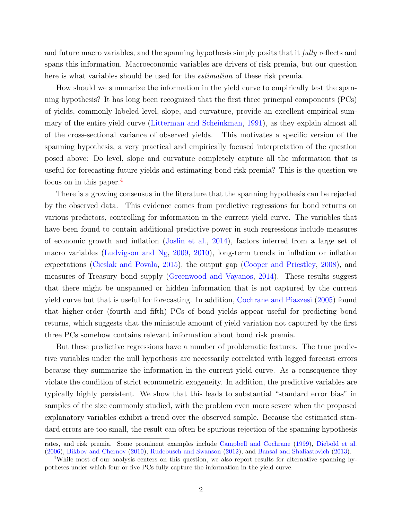and future macro variables, and the spanning hypothesis simply posits that it *fully* reflects and spans this information. Macroeconomic variables are drivers of risk premia, but our question here is what variables should be used for the *estimation* of these risk premia.

How should we summarize the information in the yield curve to empirically test the spanning hypothesis? It has long been recognized that the first three principal components (PCs) of yields, commonly labeled level, slope, and curvature, provide an excellent empirical summary of the entire yield curve [\(Litterman and Scheinkman,](#page-34-1) [1991\)](#page-34-1), as they explain almost all of the cross-sectional variance of observed yields. This motivates a specific version of the spanning hypothesis, a very practical and empirically focused interpretation of the question posed above: Do level, slope and curvature completely capture all the information that is useful for forecasting future yields and estimating bond risk premia? This is the question we focus on in this paper.<sup>[4](#page-3-0)</sup>

There is a growing consensus in the literature that the spanning hypothesis can be rejected by the observed data. This evidence comes from predictive regressions for bond returns on various predictors, controlling for information in the current yield curve. The variables that have been found to contain additional predictive power in such regressions include measures of economic growth and inflation [\(Joslin et al.,](#page-34-2) [2014\)](#page-34-2), factors inferred from a large set of macro variables [\(Ludvigson and Ng,](#page-34-3) [2009,](#page-34-3) [2010\)](#page-34-4), long-term trends in inflation or inflation expectations [\(Cieslak and Povala,](#page-32-1) [2015\)](#page-32-1), the output gap [\(Cooper and Priestley,](#page-32-2) [2008\)](#page-32-2), and measures of Treasury bond supply [\(Greenwood and Vayanos,](#page-33-2) [2014\)](#page-33-2). These results suggest that there might be unspanned or hidden information that is not captured by the current yield curve but that is useful for forecasting. In addition, [Cochrane and Piazzesi](#page-32-3) [\(2005\)](#page-32-3) found that higher-order (fourth and fifth) PCs of bond yields appear useful for predicting bond returns, which suggests that the miniscule amount of yield variation not captured by the first three PCs somehow contains relevant information about bond risk premia.

But these predictive regressions have a number of problematic features. The true predictive variables under the null hypothesis are necessarily correlated with lagged forecast errors because they summarize the information in the current yield curve. As a consequence they violate the condition of strict econometric exogeneity. In addition, the predictive variables are typically highly persistent. We show that this leads to substantial "standard error bias" in samples of the size commonly studied, with the problem even more severe when the proposed explanatory variables exhibit a trend over the observed sample. Because the estimated standard errors are too small, the result can often be spurious rejection of the spanning hypothesis

rates, and risk premia. Some prominent examples include [Campbell and Cochrane](#page-32-4) [\(1999\)](#page-32-4), [Diebold et al.](#page-32-5) [\(2006\)](#page-32-5), [Bikbov and Chernov](#page-32-6) [\(2010\)](#page-32-6), [Rudebusch and Swanson](#page-35-2) [\(2012\)](#page-35-2), and [Bansal and Shaliastovich](#page-31-1) [\(2013\)](#page-31-1).

<span id="page-3-0"></span><sup>&</sup>lt;sup>4</sup>While most of our analysis centers on this question, we also report results for alternative spanning hypotheses under which four or five PCs fully capture the information in the yield curve.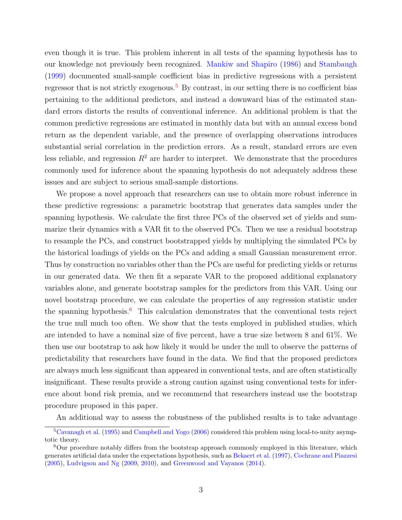even though it is true. This problem inherent in all tests of the spanning hypothesis has to our knowledge not previously been recognized. [Mankiw and Shapiro](#page-35-3) [\(1986\)](#page-35-3) and [Stambaugh](#page-35-4) [\(1999\)](#page-35-4) documented small-sample coefficient bias in predictive regressions with a persistent regressor that is not strictly exogenous.<sup>[5](#page-4-0)</sup> By contrast, in our setting there is no coefficient bias pertaining to the additional predictors, and instead a downward bias of the estimated standard errors distorts the results of conventional inference. An additional problem is that the common predictive regressions are estimated in monthly data but with an annual excess bond return as the dependent variable, and the presence of overlapping observations introduces substantial serial correlation in the prediction errors. As a result, standard errors are even less reliable, and regression  $R^2$  are harder to interpret. We demonstrate that the procedures commonly used for inference about the spanning hypothesis do not adequately address these issues and are subject to serious small-sample distortions.

We propose a novel approach that researchers can use to obtain more robust inference in these predictive regressions: a parametric bootstrap that generates data samples under the spanning hypothesis. We calculate the first three PCs of the observed set of yields and summarize their dynamics with a VAR fit to the observed PCs. Then we use a residual bootstrap to resample the PCs, and construct bootstrapped yields by multiplying the simulated PCs by the historical loadings of yields on the PCs and adding a small Gaussian measurement error. Thus by construction no variables other than the PCs are useful for predicting yields or returns in our generated data. We then fit a separate VAR to the proposed additional explanatory variables alone, and generate bootstrap samples for the predictors from this VAR. Using our novel bootstrap procedure, we can calculate the properties of any regression statistic under the spanning hypothesis.<sup>[6](#page-4-1)</sup> This calculation demonstrates that the conventional tests reject the true null much too often. We show that the tests employed in published studies, which are intended to have a nominal size of five percent, have a true size between 8 and 61%. We then use our bootstrap to ask how likely it would be under the null to observe the patterns of predictability that researchers have found in the data. We find that the proposed predictors are always much less significant than appeared in conventional tests, and are often statistically insignificant. These results provide a strong caution against using conventional tests for inference about bond risk premia, and we recommend that researchers instead use the bootstrap procedure proposed in this paper.

<span id="page-4-0"></span>An additional way to assess the robustness of the published results is to take advantage

<sup>5</sup>[Cavanagh et al.](#page-32-7) [\(1995\)](#page-32-7) and [Campbell and Yogo](#page-32-8) [\(2006\)](#page-32-8) considered this problem using local-to-unity asymptotic theory.

<span id="page-4-1"></span> $6$ Our procedure notably differs from the bootstrap approach commonly employed in this literature, which generates artificial data under the expectations hypothesis, such as [Bekaert et al.](#page-31-2) [\(1997\)](#page-31-2), [Cochrane and Piazzesi](#page-32-3) [\(2005\)](#page-32-3), [Ludvigson and Ng](#page-34-3) [\(2009,](#page-34-3) [2010\)](#page-34-4), and [Greenwood and Vayanos](#page-33-2) [\(2014\)](#page-33-2).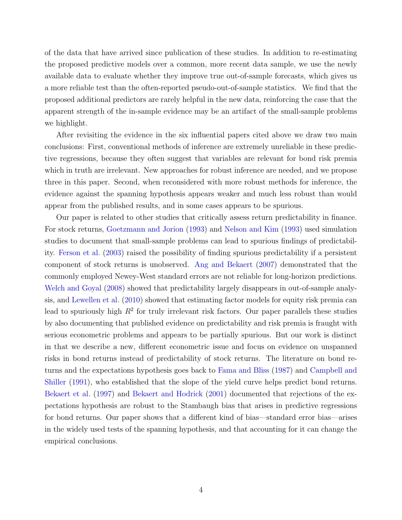of the data that have arrived since publication of these studies. In addition to re-estimating the proposed predictive models over a common, more recent data sample, we use the newly available data to evaluate whether they improve true out-of-sample forecasts, which gives us a more reliable test than the often-reported pseudo-out-of-sample statistics. We find that the proposed additional predictors are rarely helpful in the new data, reinforcing the case that the apparent strength of the in-sample evidence may be an artifact of the small-sample problems we highlight.

After revisiting the evidence in the six influential papers cited above we draw two main conclusions: First, conventional methods of inference are extremely unreliable in these predictive regressions, because they often suggest that variables are relevant for bond risk premia which in truth are irrelevant. New approaches for robust inference are needed, and we propose three in this paper. Second, when reconsidered with more robust methods for inference, the evidence against the spanning hypothesis appears weaker and much less robust than would appear from the published results, and in some cases appears to be spurious.

Our paper is related to other studies that critically assess return predictability in finance. For stock returns, [Goetzmann and Jorion](#page-33-3) [\(1993\)](#page-33-3) and [Nelson and Kim](#page-35-5) [\(1993\)](#page-35-5) used simulation studies to document that small-sample problems can lead to spurious findings of predictability. [Ferson et al.](#page-33-4) [\(2003\)](#page-33-4) raised the possibility of finding spurious predictability if a persistent component of stock returns is unobserved. [Ang and Bekaert](#page-31-3) [\(2007\)](#page-31-3) demonstrated that the commonly employed Newey-West standard errors are not reliable for long-horizon predictions. [Welch and Goyal](#page-36-1) [\(2008\)](#page-36-1) showed that predictability largely disappears in out-of-sample analysis, and [Lewellen et al.](#page-34-5) [\(2010\)](#page-34-5) showed that estimating factor models for equity risk premia can lead to spuriously high  $R^2$  for truly irrelevant risk factors. Our paper parallels these studies by also documenting that published evidence on predictability and risk premia is fraught with serious econometric problems and appears to be partially spurious. But our work is distinct in that we describe a new, different econometric issue and focus on evidence on unspanned risks in bond returns instead of predictability of stock returns. The literature on bond returns and the expectations hypothesis goes back to [Fama and Bliss](#page-33-5) [\(1987\)](#page-33-5) and [Campbell and](#page-32-9) [Shiller](#page-32-9) [\(1991\)](#page-32-9), who established that the slope of the yield curve helps predict bond returns. [Bekaert et al.](#page-31-2) [\(1997\)](#page-31-2) and [Bekaert and Hodrick](#page-31-4) [\(2001\)](#page-31-4) documented that rejections of the expectations hypothesis are robust to the Stambaugh bias that arises in predictive regressions for bond returns. Our paper shows that a different kind of bias—standard error bias—arises in the widely used tests of the spanning hypothesis, and that accounting for it can change the empirical conclusions.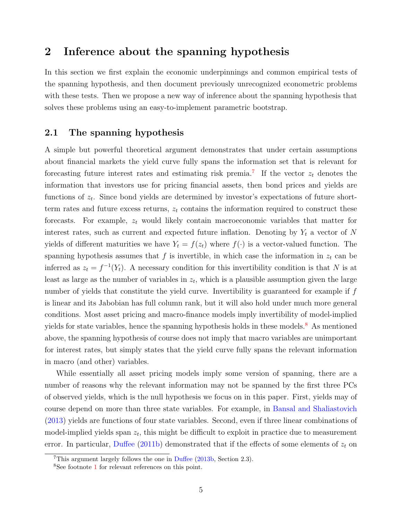### <span id="page-6-3"></span>2 Inference about the spanning hypothesis

In this section we first explain the economic underpinnings and common empirical tests of the spanning hypothesis, and then document previously unrecognized econometric problems with these tests. Then we propose a new way of inference about the spanning hypothesis that solves these problems using an easy-to-implement parametric bootstrap.

#### <span id="page-6-0"></span>2.1 The spanning hypothesis

A simple but powerful theoretical argument demonstrates that under certain assumptions about financial markets the yield curve fully spans the information set that is relevant for forecasting future interest rates and estimating risk premia.<sup>[7](#page-6-1)</sup> If the vector  $z_t$  denotes the information that investors use for pricing financial assets, then bond prices and yields are functions of  $z_t$ . Since bond yields are determined by investor's expectations of future shortterm rates and future excess returns,  $z_t$  contains the information required to construct these forecasts. For example,  $z_t$  would likely contain macroeconomic variables that matter for interest rates, such as current and expected future inflation. Denoting by  $Y_t$  a vector of N yields of different maturities we have  $Y_t = f(z_t)$  where  $f(\cdot)$  is a vector-valued function. The spanning hypothesis assumes that f is invertible, in which case the information in  $z_t$  can be inferred as  $z_t = f^{-1}(Y_t)$ . A necessary condition for this invertibility condition is that N is at least as large as the number of variables in  $z_t$ , which is a plausible assumption given the large number of yields that constitute the yield curve. Invertibility is guaranteed for example if f is linear and its Jabobian has full column rank, but it will also hold under much more general conditions. Most asset pricing and macro-finance models imply invertibility of model-implied yields for state variables, hence the spanning hypothesis holds in these models.<sup>[8](#page-6-2)</sup> As mentioned above, the spanning hypothesis of course does not imply that macro variables are unimportant for interest rates, but simply states that the yield curve fully spans the relevant information in macro (and other) variables.

While essentially all asset pricing models imply some version of spanning, there are a number of reasons why the relevant information may not be spanned by the first three PCs of observed yields, which is the null hypothesis we focus on in this paper. First, yields may of course depend on more than three state variables. For example, in [Bansal and Shaliastovich](#page-31-1) [\(2013\)](#page-31-1) yields are functions of four state variables. Second, even if three linear combinations of model-implied yields span  $z_t$ , this might be difficult to exploit in practice due to measurement error. In particular, [Duffee](#page-33-6) [\(2011b\)](#page-33-6) demonstrated that if the effects of some elements of  $z_t$  on

<span id="page-6-1"></span><sup>7</sup>This argument largely follows the one in [Duffee](#page-33-7) [\(2013b,](#page-33-7) Section 2.3).

<span id="page-6-2"></span><sup>8</sup>See footnote [1](#page-2-0) for relevant references on this point.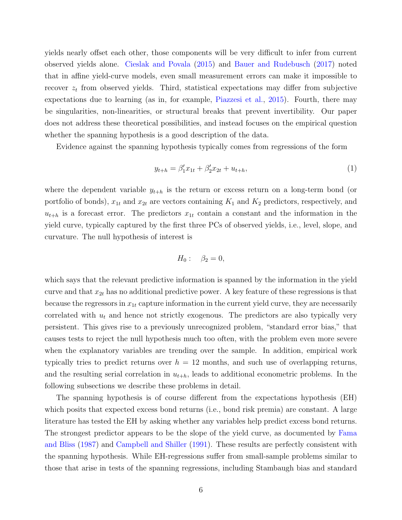yields nearly offset each other, those components will be very difficult to infer from current observed yields alone. [Cieslak and Povala](#page-32-1) [\(2015\)](#page-32-1) and [Bauer and Rudebusch](#page-31-5) [\(2017\)](#page-31-5) noted that in affine yield-curve models, even small measurement errors can make it impossible to recover  $z_t$  from observed yields. Third, statistical expectations may differ from subjective expectations due to learning (as in, for example, [Piazzesi et al.,](#page-35-6) [2015\)](#page-35-6). Fourth, there may be singularities, non-linearities, or structural breaks that prevent invertibility. Our paper does not address these theoretical possibilities, and instead focuses on the empirical question whether the spanning hypothesis is a good description of the data.

Evidence against the spanning hypothesis typically comes from regressions of the form

<span id="page-7-0"></span>
$$
y_{t+h} = \beta_1' x_{1t} + \beta_2' x_{2t} + u_{t+h}, \tag{1}
$$

where the dependent variable  $y_{t+h}$  is the return or excess return on a long-term bond (or portfolio of bonds),  $x_{1t}$  and  $x_{2t}$  are vectors containing  $K_1$  and  $K_2$  predictors, respectively, and  $u_{t+h}$  is a forecast error. The predictors  $x_{1t}$  contain a constant and the information in the yield curve, typically captured by the first three PCs of observed yields, i.e., level, slope, and curvature. The null hypothesis of interest is

$$
H_0: \quad \beta_2=0,
$$

which says that the relevant predictive information is spanned by the information in the yield curve and that  $x_{2t}$  has no additional predictive power. A key feature of these regressions is that because the regressors in  $x_{1t}$  capture information in the current yield curve, they are necessarily correlated with  $u_t$  and hence not strictly exogenous. The predictors are also typically very persistent. This gives rise to a previously unrecognized problem, "standard error bias," that causes tests to reject the null hypothesis much too often, with the problem even more severe when the explanatory variables are trending over the sample. In addition, empirical work typically tries to predict returns over  $h = 12$  months, and such use of overlapping returns, and the resulting serial correlation in  $u_{t+h}$ , leads to additional econometric problems. In the following subsections we describe these problems in detail.

The spanning hypothesis is of course different from the expectations hypothesis (EH) which posits that expected excess bond returns (i.e., bond risk premia) are constant. A large literature has tested the EH by asking whether any variables help predict excess bond returns. The strongest predictor appears to be the slope of the yield curve, as documented by [Fama](#page-33-5) [and Bliss](#page-33-5) [\(1987\)](#page-33-5) and [Campbell and Shiller](#page-32-9) [\(1991\)](#page-32-9). These results are perfectly consistent with the spanning hypothesis. While EH-regressions suffer from small-sample problems similar to those that arise in tests of the spanning regressions, including Stambaugh bias and standard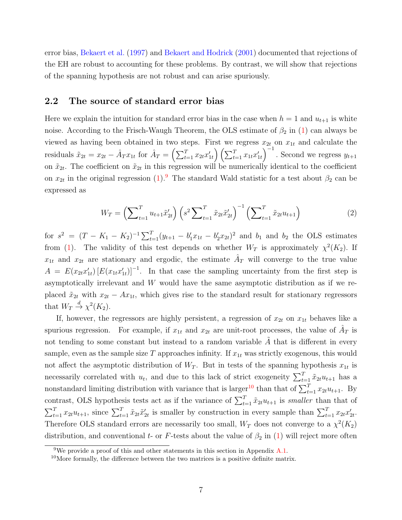error bias, [Bekaert et al.](#page-31-2) [\(1997\)](#page-31-2) and [Bekaert and Hodrick](#page-31-4) [\(2001\)](#page-31-4) documented that rejections of the EH are robust to accounting for these problems. By contrast, we will show that rejections of the spanning hypothesis are not robust and can arise spuriously.

#### <span id="page-8-2"></span>2.2 The source of standard error bias

Here we explain the intuition for standard error bias in the case when  $h = 1$  and  $u_{t+1}$  is white noise. According to the Frisch-Waugh Theorem, the OLS estimate of  $\beta_2$  in [\(1\)](#page-7-0) can always be viewed as having been obtained in two steps. First we regress  $x_{2t}$  on  $x_{1t}$  and calculate the residuals  $\tilde{x}_{2t} = x_{2t} - \hat{A}_T x_{1t}$  for  $\hat{A}_T = \left(\sum_{t=1}^T x_{2t} x'_{1t}\right) \left(\sum_{t=1}^T x_{1t} x'_{1t}\right)^{-1}$ . Second we regress  $y_{t+1}$ on  $\tilde{x}_{2t}$ . The coefficient on  $\tilde{x}_{2t}$  in this regression will be numerically identical to the coefficient on  $x_{2t}$  in the original regression [\(1\)](#page-7-0).<sup>[9](#page-8-0)</sup> The standard Wald statistic for a test about  $\beta_2$  can be expressed as

<span id="page-8-3"></span>
$$
W_T = \left(\sum_{t=1}^T u_{t+1} \tilde{x}'_{2t}\right) \left(s^2 \sum_{t=1}^T \tilde{x}_{2t} \tilde{x}'_{2t}\right)^{-1} \left(\sum_{t=1}^T \tilde{x}_{2t} u_{t+1}\right) \tag{2}
$$

for  $s^2 = (T - K_1 - K_2)^{-1} \sum_{t=1}^T (y_{t+1} - b'_1 x_{1t} - b'_2 x_{2t})^2$  and  $b_1$  and  $b_2$  the OLS estimates from [\(1\)](#page-7-0). The validity of this test depends on whether  $W_T$  is approximately  $\chi^2(K_2)$ . If  $x_{1t}$  and  $x_{2t}$  are stationary and ergodic, the estimate  $\hat{A}_T$  will converge to the true value  $A = E(x_{2t}x'_{1t}) [E(x_{1t}x'_{1t})]^{-1}$ . In that case the sampling uncertainty from the first step is asymptotically irrelevant and  $W$  would have the same asymptotic distribution as if we replaced  $\tilde{x}_{2t}$  with  $x_{2t} - Ax_{1t}$ , which gives rise to the standard result for stationary regressors that  $W_T \stackrel{d}{\rightarrow} \chi^2(K_2)$ .

If, however, the regressors are highly persistent, a regression of  $x_{2t}$  on  $x_{1t}$  behaves like a spurious regression. For example, if  $x_{1t}$  and  $x_{2t}$  are unit-root processes, the value of  $\hat{A}_T$  is not tending to some constant but instead to a random variable  $A$  that is different in every sample, even as the sample size T approaches infinity. If  $x_{1t}$  was strictly exogenous, this would not affect the asymptotic distribution of  $W_T$ . But in tests of the spanning hypothesis  $x_{1t}$  is necessarily correlated with  $u_t$ , and due to this lack of strict exogeneity  $\sum_{t=1}^{T} \tilde{x}_{2t} u_{t+1}$  has a nonstandard limiting distribution with variance that is larger<sup>[10](#page-8-1)</sup> than that of  $\sum_{t=1}^{T} x_{2t} u_{t+1}$ . By contrast, OLS hypothesis tests act as if the variance of  $\sum_{t=1}^{T} \tilde{x}_{2t} u_{t+1}$  is smaller than that of  $\sum_{t=1}^T x_{2t} u_{t+1}$ , since  $\sum_{t=1}^T \tilde{x}_{2t} \tilde{x}_{2t}'$  is smaller by construction in every sample than  $\sum_{t=1}^T x_{2t} x_{2t}'$ . Therefore OLS standard errors are necessarily too small,  $W_T$  does not converge to a  $\chi^2(K_2)$ distribution, and conventional t- or F-tests about the value of  $\beta_2$  in [\(1\)](#page-7-0) will reject more often

<span id="page-8-0"></span><sup>&</sup>lt;sup>9</sup>We provide a proof of this and other statements in this section in Appendix  $A.1$ .

<span id="page-8-1"></span> $10$ More formally, the difference between the two matrices is a positive definite matrix.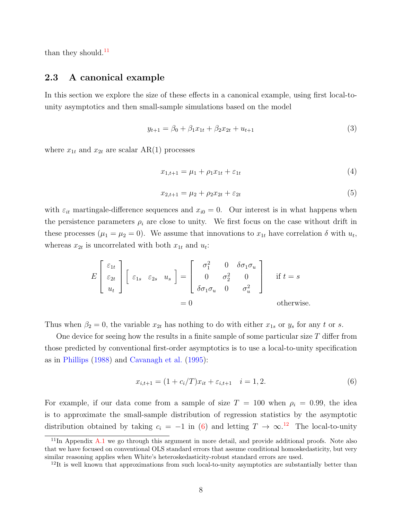than they should.<sup>[11](#page-9-0)</sup>

#### <span id="page-9-6"></span>2.3 A canonical example

In this section we explore the size of these effects in a canonical example, using first local-tounity asymptotics and then small-sample simulations based on the model

<span id="page-9-3"></span>
$$
y_{t+1} = \beta_0 + \beta_1 x_{1t} + \beta_2 x_{2t} + u_{t+1}
$$
\n(3)

where  $x_{1t}$  and  $x_{2t}$  are scalar AR(1) processes

<span id="page-9-4"></span>
$$
x_{1,t+1} = \mu_1 + \rho_1 x_{1t} + \varepsilon_{1t} \tag{4}
$$

<span id="page-9-5"></span>
$$
x_{2,t+1} = \mu_2 + \rho_2 x_{2t} + \varepsilon_{2t} \tag{5}
$$

with  $\varepsilon_{it}$  martingale-difference sequences and  $x_{i0} = 0$ . Our interest is in what happens when the persistence parameters  $\rho_i$  are close to unity. We first focus on the case without drift in these processes  $(\mu_1 = \mu_2 = 0)$ . We assume that innovations to  $x_{1t}$  have correlation  $\delta$  with  $u_t$ , whereas  $x_{2t}$  is uncorrelated with both  $x_{1t}$  and  $u_t$ :

$$
E\begin{bmatrix} \varepsilon_{1t} \\ \varepsilon_{2t} \\ u_t \end{bmatrix} \begin{bmatrix} \varepsilon_{1s} & \varepsilon_{2s} & u_s \end{bmatrix} = \begin{bmatrix} \sigma_1^2 & 0 & \delta \sigma_1 \sigma_u \\ 0 & \sigma_2^2 & 0 \\ \delta \sigma_1 \sigma_u & 0 & \sigma_u^2 \end{bmatrix} \quad \text{if } t = s
$$

$$
= 0 \quad \text{otherwise.}
$$

Thus when  $\beta_2 = 0$ , the variable  $x_{2t}$  has nothing to do with either  $x_{1s}$  or  $y_s$  for any t or s.

One device for seeing how the results in a finite sample of some particular size  $T$  differ from those predicted by conventional first-order asymptotics is to use a local-to-unity specification as in [Phillips](#page-35-7) [\(1988\)](#page-35-7) and [Cavanagh et al.](#page-32-7) [\(1995\)](#page-32-7):

<span id="page-9-1"></span>
$$
x_{i,t+1} = (1 + c_i/T)x_{it} + \varepsilon_{i,t+1} \quad i = 1, 2. \tag{6}
$$

For example, if our data come from a sample of size  $T = 100$  when  $\rho_i = 0.99$ , the idea is to approximate the small-sample distribution of regression statistics by the asymptotic distribution obtained by taking  $c_i = -1$  in [\(6\)](#page-9-1) and letting  $T \to \infty$ .<sup>[12](#page-9-2)</sup> The local-to-unity

<span id="page-9-0"></span> $11$ In Appendix [A.1](#page-46-0) we go through this argument in more detail, and provide additional proofs. Note also that we have focused on conventional OLS standard errors that assume conditional homoskedasticity, but very similar reasoning applies when White's heteroskedasticity-robust standard errors are used.

<span id="page-9-2"></span> $12$ It is well known that approximations from such local-to-unity asymptotics are substantially better than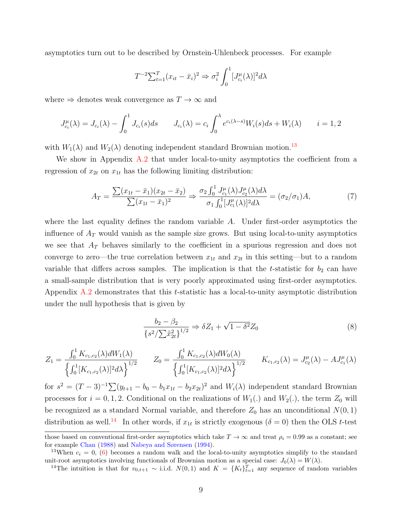asymptotics turn out to be described by Ornstein-Uhlenbeck processes. For example

$$
T^{-2} \sum_{t=1}^{T} (x_{it} - \bar{x}_i)^2 \Rightarrow \sigma_i^2 \int_0^1 [J_{c_i}^{\mu}(\lambda)]^2 d\lambda
$$

where  $\Rightarrow$  denotes weak convergence as  $T \rightarrow \infty$  and

$$
J_{c_i}^{\mu}(\lambda) = J_{c_i}(\lambda) - \int_0^1 J_{c_i}(s)ds \qquad J_{c_i}(\lambda) = c_i \int_0^{\lambda} e^{c_i(\lambda - s)} W_i(s)ds + W_i(\lambda) \qquad i = 1, 2
$$

with  $W_1(\lambda)$  and  $W_2(\lambda)$  denoting independent standard Brownian motion.<sup>[13](#page-10-0)</sup>

We show in Appendix [A.2](#page-47-0) that under local-to-unity asymptotics the coefficient from a regression of  $x_{2t}$  on  $x_{1t}$  has the following limiting distribution:

<span id="page-10-3"></span>
$$
A_T = \frac{\sum (x_{1t} - \bar{x}_1)(x_{2t} - \bar{x}_2)}{\sum (x_{1t} - \bar{x}_1)^2} \Rightarrow \frac{\sigma_2 \int_0^1 J_{c_1}^{\mu}(\lambda) J_{c_2}^{\mu}(\lambda) d\lambda}{\sigma_1 \int_0^1 [J_{c_1}^{\mu}(\lambda)]^2 d\lambda} = (\sigma_2/\sigma_1) A,\tag{7}
$$

where the last equality defines the random variable  $A$ . Under first-order asymptotics the influence of  $A_T$  would vanish as the sample size grows. But using local-to-unity asymptotics we see that  $A_T$  behaves similarly to the coefficient in a spurious regression and does not converge to zero—the true correlation between  $x_{1t}$  and  $x_{2t}$  in this setting—but to a random variable that differs across samples. The implication is that the *t*-statistic for  $b_2$  can have a small-sample distribution that is very poorly approximated using first-order asymptotics. Appendix [A.2](#page-47-0) demonstrates that this t-statistic has a local-to-unity asymptotic distribution under the null hypothesis that is given by

<span id="page-10-2"></span>
$$
\frac{b_2 - \beta_2}{\left\{s^2 / \sum \tilde{x}_{2t}^2\right\}^{1/2}} \Rightarrow \delta Z_1 + \sqrt{1 - \delta^2} Z_0 \tag{8}
$$

$$
Z_1 = \frac{\int_0^1 K_{c_1,c_2}(\lambda) dW_1(\lambda)}{\left\{\int_0^1 [K_{c_1,c_2}(\lambda)]^2 d\lambda\right\}^{1/2}} \qquad Z_0 = \frac{\int_0^1 K_{c_1,c_2}(\lambda) dW_0(\lambda)}{\left\{\int_0^1 [K_{c_1,c_2}(\lambda)]^2 d\lambda\right\}^{1/2}} \qquad K_{c_1,c_2}(\lambda) = J_{c_2}^{\mu}(\lambda) - AJ_{c_1}^{\mu}(\lambda)
$$

for  $s^2 = (T-3)^{-1} \sum (y_{t+1} - b_0 - b_1 x_{1t} - b_2 x_{2t})^2$  and  $W_i(\lambda)$  independent standard Brownian processes for  $i = 0, 1, 2$ . Conditional on the realizations of  $W_1(.)$  and  $W_2(.)$ , the term  $Z_0$  will be recognized as a standard Normal variable, and therefore  $Z_0$  has an unconditional  $N(0, 1)$ distribution as well.<sup>[14](#page-10-1)</sup> In other words, if  $x_{1t}$  is strictly exogenous ( $\delta = 0$ ) then the OLS t-test

those based on conventional first-order asymptotics which take  $T \to \infty$  and treat  $\rho_i = 0.99$  as a constant; see for example [Chan](#page-32-10) [\(1988\)](#page-32-10) and [Nabeya and Sørensen](#page-35-8) [\(1994\)](#page-35-8).

<span id="page-10-0"></span><sup>&</sup>lt;sup>13</sup>When  $c_i = 0$ , [\(6\)](#page-9-1) becomes a random walk and the local-to-unity asymptotics simplify to the standard unit-root asymptotics involving functionals of Brownian motion as a special case:  $J_0(\lambda) = W(\lambda)$ .

<span id="page-10-1"></span><sup>&</sup>lt;sup>14</sup>The intuition is that for  $v_{0,t+1} \sim$  i.i.d.  $N(0,1)$  and  $K = \{K_t\}_{t=1}^T$  any sequence of random variables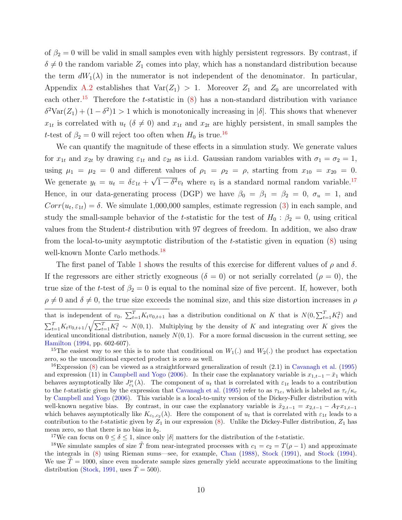of  $\beta_2 = 0$  will be valid in small samples even with highly persistent regressors. By contrast, if  $\delta \neq 0$  the random variable  $Z_1$  comes into play, which has a nonstandard distribution because the term  $dW_1(\lambda)$  in the numerator is not independent of the denominator. In particular, Appendix [A.2](#page-47-0) establishes that  $Var(Z_1) > 1$ . Moreover  $Z_1$  and  $Z_0$  are uncorrelated with each other.<sup>[15](#page-11-0)</sup> Therefore the t-statistic in  $(8)$  has a non-standard distribution with variance  $\delta^2 \text{Var}(Z_1) + (1 - \delta^2) \leq 1$  which is monotonically increasing in  $|\delta|$ . This shows that whenever  $x_{1t}$  is correlated with  $u_t$  ( $\delta \neq 0$ ) and  $x_{1t}$  and  $x_{2t}$  are highly persistent, in small samples the t-test of  $\beta_2 = 0$  will reject too often when  $H_0$  is true.<sup>[16](#page-11-1)</sup>

We can quantify the magnitude of these effects in a simulation study. We generate values for  $x_{1t}$  and  $x_{2t}$  by drawing  $\varepsilon_{1t}$  and  $\varepsilon_{2t}$  as i.i.d. Gaussian random variables with  $\sigma_1 = \sigma_2 = 1$ , using  $\mu_1 = \mu_2 = 0$  and different values of  $\rho_1 = \rho_2 = \rho$ , starting from  $x_{10} = x_{20} = 0$ . We generate  $y_t = u_t = \delta \varepsilon_{1t} + \sqrt{1 - \delta^2} v_t$  where  $v_t$  is a standard normal random variable.<sup>[17](#page-11-2)</sup> Hence, in our data-generating process (DGP) we have  $\beta_0 = \beta_1 = \beta_2 = 0$ ,  $\sigma_u = 1$ , and  $Corr(u_t, \varepsilon_{1t}) = \delta$ . We simulate 1,000,000 samples, estimate regression [\(3\)](#page-9-3) in each sample, and study the small-sample behavior of the t-statistic for the test of  $H_0$ :  $\beta_2 = 0$ , using critical values from the Student-t distribution with 97 degrees of freedom. In addition, we also draw from the local-to-unity asymptotic distribution of the t-statistic given in equation  $(8)$  using well-known Monte Carlo methods.<sup>[18](#page-11-3)</sup>

The first panel of Table [1](#page-37-0) shows the results of this exercise for different values of  $\rho$  and  $\delta$ . If the regressors are either strictly exogneous ( $\delta = 0$ ) or not serially correlated ( $\rho = 0$ ), the true size of the t-test of  $\beta_2 = 0$  is equal to the nominal size of five percent. If, however, both  $\rho \neq 0$  and  $\delta \neq 0$ , the true size exceeds the nominal size, and this size distortion increases in  $\rho$ 

<span id="page-11-3"></span><span id="page-11-2"></span><sup>17</sup>We can focus on  $0 \le \delta \le 1$ , since only  $|\delta|$  matters for the distribution of the *t*-statistic.

that is independent of  $v_0$ ,  $\sum_{t=1}^T K_t v_{0,t+1}$  has a distribution conditional on K that is  $N(0, \sum_{t=1}^T K_t^2)$  and  $\sum_{t=1}^T K_t v_{0,t+1}/\sqrt{\sum_{t=1}^T K_t^2} \sim N(0,1)$ . Multiplying by the density of K and integrating over K gives the identical unconditional distribution, namely  $N(0, 1)$ . For a more formal discussion in the current setting, see [Hamilton](#page-33-8) [\(1994,](#page-33-8) pp. 602-607).

<span id="page-11-0"></span><sup>&</sup>lt;sup>15</sup>The easiest way to see this is to note that conditional on  $W_1(.)$  and  $W_2(.)$  the product has expectation zero, so the unconditional expected product is zero as well.

<span id="page-11-1"></span><sup>&</sup>lt;sup>16</sup>Expression  $(8)$  can be viewed as a straightforward generalization of result  $(2.1)$  in [Cavanagh et al.](#page-32-7)  $(1995)$ and expression (11) in [Campbell and Yogo](#page-32-8) [\(2006\)](#page-32-8). In their case the explanatory variable is  $x_{1,t-1} - \bar{x}_1$  which behaves asymptotically like  $J_{c_1}^{\mu}(\lambda)$ . The component of  $u_t$  that is correlated with  $\varepsilon_{1t}$  leads to a contribution to the t-statistic given by the expression that [Cavanagh et al.](#page-32-7) [\(1995\)](#page-32-7) refer to as  $\tau_{1c}$ , which is labeled as  $\tau_c/\kappa_c$ by [Campbell and Yogo](#page-32-8) [\(2006\)](#page-32-8). This variable is a local-to-unity version of the Dickey-Fuller distribution with well-known negative bias. By contrast, in our case the explanatory variable is  $\tilde{x}_{2,t-1} = x_{2,t-1} - A_T x_{1,t-1}$ which behaves asymptotically like  $K_{c_1,c_2}(\lambda)$ . Here the component of  $u_t$  that is correlated with  $\varepsilon_{1t}$  leads to a contribution to the t-statistic given by  $Z_1$  in our expression [\(8\)](#page-10-2). Unlike the Dickey-Fuller distribution,  $Z_1$  has mean zero, so that there is no bias in  $b_2$ .

<sup>&</sup>lt;sup>18</sup>We simulate samples of size  $\tilde{T}$  from near-integrated processes with  $c_1 = c_2 = T(\rho - 1)$  and approximate the integrals in [\(8\)](#page-10-2) using Rieman sums—see, for example, [Chan](#page-32-10) [\(1988\)](#page-32-10), [Stock](#page-36-2) [\(1991\)](#page-36-2), and [Stock](#page-36-3) [\(1994\)](#page-36-3). We use  $\hat{T} = 1000$ , since even moderate sample sizes generally yield accurate approximations to the limiting distribution [\(Stock,](#page-36-2) [1991,](#page-36-2) uses  $\ddot{T} = 500$ ).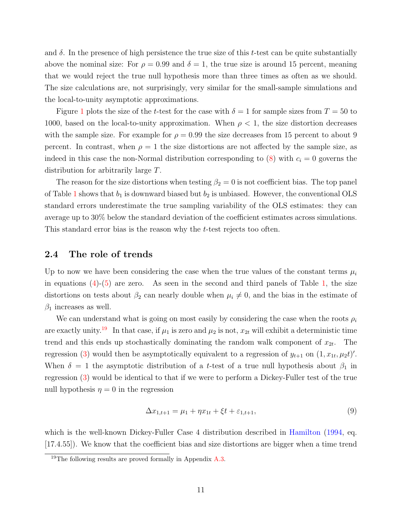and  $\delta$ . In the presence of high persistence the true size of this t-test can be quite substantially above the nominal size: For  $\rho = 0.99$  and  $\delta = 1$ , the true size is around 15 percent, meaning that we would reject the true null hypothesis more than three times as often as we should. The size calculations are, not surprisingly, very similar for the small-sample simulations and the local-to-unity asymptotic approximations.

Figure [1](#page-44-0) plots the size of the t-test for the case with  $\delta = 1$  for sample sizes from  $T = 50$  to 1000, based on the local-to-unity approximation. When  $\rho < 1$ , the size distortion decreases with the sample size. For example for  $\rho = 0.99$  the size decreases from 15 percent to about 9 percent. In contrast, when  $\rho = 1$  the size distortions are not affected by the sample size, as indeed in this case the non-Normal distribution corresponding to  $(8)$  with  $c<sub>i</sub> = 0$  governs the distribution for arbitrarily large T.

The reason for the size distortions when testing  $\beta_2 = 0$  is not coefficient bias. The top panel of Table [1](#page-37-0) shows that  $b_1$  is downward biased but  $b_2$  is unbiased. However, the conventional OLS standard errors underestimate the true sampling variability of the OLS estimates: they can average up to 30% below the standard deviation of the coefficient estimates across simulations. This standard error bias is the reason why the *t*-test rejects too often.

#### <span id="page-12-2"></span>2.4 The role of trends

Up to now we have been considering the case when the true values of the constant terms  $\mu_i$ in equations  $(4)-(5)$  $(4)-(5)$  $(4)-(5)$  are zero. As seen in the second and third panels of Table [1,](#page-37-0) the size distortions on tests about  $\beta_2$  can nearly double when  $\mu_i \neq 0$ , and the bias in the estimate of  $\beta_1$  increases as well.

We can understand what is going on most easily by considering the case when the roots  $\rho_i$ are exactly unity.<sup>[19](#page-12-0)</sup> In that case, if  $\mu_1$  is zero and  $\mu_2$  is not,  $x_{2t}$  will exhibit a deterministic time trend and this ends up stochastically dominating the random walk component of  $x_{2t}$ . The regression [\(3\)](#page-9-3) would then be asymptotically equivalent to a regression of  $y_{t+1}$  on  $(1, x_{1t}, \mu_2 t)'$ . When  $\delta = 1$  the asymptotic distribution of a t-test of a true null hypothesis about  $\beta_1$  in regression [\(3\)](#page-9-3) would be identical to that if we were to perform a Dickey-Fuller test of the true null hypothesis  $\eta = 0$  in the regression

<span id="page-12-1"></span>
$$
\Delta x_{1,t+1} = \mu_1 + \eta x_{1t} + \xi t + \varepsilon_{1,t+1},\tag{9}
$$

which is the well-known Dickey-Fuller Case 4 distribution described in [Hamilton](#page-33-8) [\(1994,](#page-33-8) eq. [17.4.55]). We know that the coefficient bias and size distortions are bigger when a time trend

<span id="page-12-0"></span><sup>&</sup>lt;sup>19</sup>The following results are proved formally in Appendix  $A.3$ .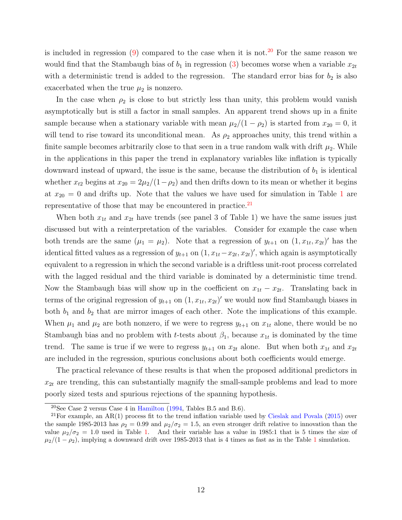is included in regression  $(9)$  compared to the case when it is not.<sup>[20](#page-13-0)</sup> For the same reason we would find that the Stambaugh bias of  $b_1$  in regression [\(3\)](#page-9-3) becomes worse when a variable  $x_{2t}$ with a deterministic trend is added to the regression. The standard error bias for  $b_2$  is also exacerbated when the true  $\mu_2$  is nonzero.

In the case when  $\rho_2$  is close to but strictly less than unity, this problem would vanish asymptotically but is still a factor in small samples. An apparent trend shows up in a finite sample because when a stationary variable with mean  $\mu_2/(1-\rho_2)$  is started from  $x_{20} = 0$ , it will tend to rise toward its unconditional mean. As  $\rho_2$  approaches unity, this trend within a finite sample becomes arbitrarily close to that seen in a true random walk with drift  $\mu_2$ . While in the applications in this paper the trend in explanatory variables like inflation is typically downward instead of upward, the issue is the same, because the distribution of  $b_1$  is identical whether  $x_{t2}$  begins at  $x_{20} = 2\mu_2/(1-\rho_2)$  and then drifts down to its mean or whether it begins at  $x_{20} = 0$  and drifts up. Note that the values we have used for simulation in Table [1](#page-37-0) are representative of those that may be encountered in practice. $^{21}$  $^{21}$  $^{21}$ 

When both  $x_{1t}$  and  $x_{2t}$  have trends (see panel 3 of Table 1) we have the same issues just discussed but with a reinterpretation of the variables. Consider for example the case when both trends are the same  $(\mu_1 = \mu_2)$ . Note that a regression of  $y_{t+1}$  on  $(1, x_{1t}, x_{2t})'$  has the identical fitted values as a regression of  $y_{t+1}$  on  $(1, x_{1t}-x_{2t}, x_{2t})'$ , which again is asymptotically equivalent to a regression in which the second variable is a driftless unit-root process correlated with the lagged residual and the third variable is dominated by a deterministic time trend. Now the Stambaugh bias will show up in the coefficient on  $x_{1t} - x_{2t}$ . Translating back in terms of the original regression of  $y_{t+1}$  on  $(1, x_{1t}, x_{2t})'$  we would now find Stambaugh biases in both  $b_1$  and  $b_2$  that are mirror images of each other. Note the implications of this example. When  $\mu_1$  and  $\mu_2$  are both nonzero, if we were to regress  $y_{t+1}$  on  $x_{1t}$  alone, there would be no Stambaugh bias and no problem with t-tests about  $\beta_1$ , because  $x_{1t}$  is dominated by the time trend. The same is true if we were to regress  $y_{t+1}$  on  $x_{2t}$  alone. But when both  $x_{1t}$  and  $x_{2t}$ are included in the regression, spurious conclusions about both coefficients would emerge.

The practical relevance of these results is that when the proposed additional predictors in  $x_{2t}$  are trending, this can substantially magnify the small-sample problems and lead to more poorly sized tests and spurious rejections of the spanning hypothesis.

<span id="page-13-1"></span><span id="page-13-0"></span><sup>&</sup>lt;sup>20</sup>See Case 2 versus Case 4 in [Hamilton](#page-33-8) [\(1994,](#page-33-8) Tables B.5 and B.6).

<sup>&</sup>lt;sup>21</sup>For example, an AR(1) process fit to the trend inflation variable used by [Cieslak and Povala](#page-32-1) [\(2015\)](#page-32-1) over the sample 1985-2013 has  $\rho_2 = 0.99$  and  $\mu_2/\sigma_2 = 1.5$ , an even stronger drift relative to innovation than the value  $\mu_2/\sigma_2 = 1.0$  $\mu_2/\sigma_2 = 1.0$  $\mu_2/\sigma_2 = 1.0$  used in Table 1. And their variable has a value in 1985:1 that is 5 times the size of  $\mu_2/(1-\rho_2)$  $\mu_2/(1-\rho_2)$  $\mu_2/(1-\rho_2)$ , implying a downward drift over 1985-2013 that is 4 times as fast as in the Table 1 simulation.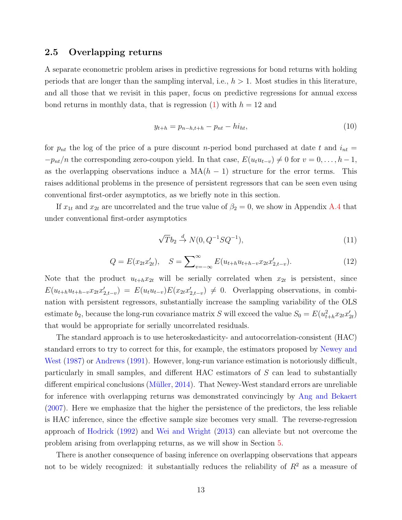#### <span id="page-14-1"></span>2.5 Overlapping returns

A separate econometric problem arises in predictive regressions for bond returns with holding periods that are longer than the sampling interval, i.e.,  $h > 1$ . Most studies in this literature, and all those that we revisit in this paper, focus on predictive regressions for annual excess bond returns in monthly data, that is regression  $(1)$  with  $h = 12$  and

<span id="page-14-0"></span>
$$
y_{t+h} = p_{n-h,t+h} - p_{nt} - h i_{ht},
$$
\n(10)

for  $p_{nt}$  the log of the price of a pure discount n-period bond purchased at date t and  $i_{nt}$  =  $-p_{nt}/n$  the corresponding zero-coupon yield. In that case,  $E(u_t u_{t-v}) \neq 0$  for  $v = 0, \ldots, h-1$ , as the overlapping observations induce a  $MA(h - 1)$  structure for the error terms. This raises additional problems in the presence of persistent regressors that can be seen even using conventional first-order asymptotics, as we briefly note in this section.

If  $x_{1t}$  and  $x_{2t}$  are uncorrelated and the true value of  $\beta_2 = 0$ , we show in Appendix [A.4](#page-51-0) that under conventional first-order asymptotics

<span id="page-14-3"></span>
$$
\sqrt{T}b_2 \stackrel{d}{\rightarrow} N(0, Q^{-1}SQ^{-1}),\tag{11}
$$

<span id="page-14-2"></span>
$$
Q = E(x_{2t}x'_{2t}), \quad S = \sum_{v=-\infty}^{\infty} E(u_{t+h}u_{t+h-v}x_{2t}x'_{2,t-v}).
$$
\n(12)

Note that the product  $u_{t+h}x_{2t}$  will be serially correlated when  $x_{2t}$  is persistent, since  $E(u_{t+h}u_{t+h-v}x_{2t}x'_{2,t-v}) = E(u_tu_{t-v})E(x_{2t}x'_{2,t-v}) \neq 0$ . Overlapping observations, in combination with persistent regressors, substantially increase the sampling variability of the OLS estimate  $b_2$ , because the long-run covariance matrix S will exceed the value  $S_0 = E(u_{t+h}^2 x_2 x_{2t}')$ that would be appropriate for serially uncorrelated residuals.

The standard approach is to use heteroskedasticity- and autocorrelation-consistent (HAC) standard errors to try to correct for this, for example, the estimators proposed by [Newey and](#page-35-9) [West](#page-35-9) [\(1987\)](#page-35-9) or [Andrews](#page-31-6) [\(1991\)](#page-31-6). However, long-run variance estimation is notoriously difficult, particularly in small samples, and different HAC estimators of S can lead to substantially different empirical conclusions (Müller, [2014\)](#page-35-10). That Newey-West standard errors are unreliable for inference with overlapping returns was demonstrated convincingly by [Ang and Bekaert](#page-31-3) [\(2007\)](#page-31-3). Here we emphasize that the higher the persistence of the predictors, the less reliable is HAC inference, since the effective sample size becomes very small. The reverse-regression approach of [Hodrick](#page-34-6) [\(1992\)](#page-34-6) and [Wei and Wright](#page-36-4) [\(2013\)](#page-36-4) can alleviate but not overcome the problem arising from overlapping returns, as we will show in Section [5.](#page-25-0)

There is another consequence of basing inference on overlapping observations that appears not to be widely recognized: it substantially reduces the reliability of  $R<sup>2</sup>$  as a measure of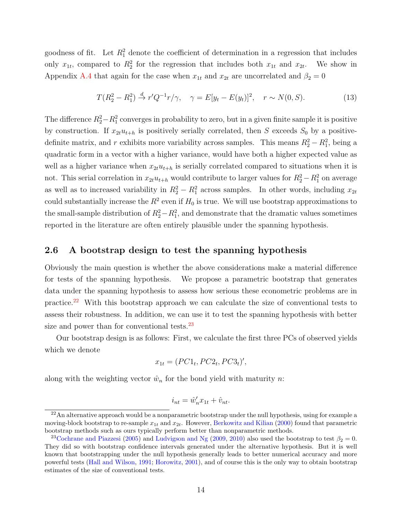goodness of fit. Let  $R_1^2$  denote the coefficient of determination in a regression that includes only  $x_{1t}$ , compared to  $R_2^2$  for the regression that includes both  $x_{1t}$  and  $x_{2t}$ . We show in Appendix [A.4](#page-51-0) that again for the case when  $x_{1t}$  and  $x_{2t}$  are uncorrelated and  $\beta_2 = 0$ 

<span id="page-15-3"></span>
$$
T(R_2^2 - R_1^2) \stackrel{d}{\to} r'Q^{-1}r/\gamma, \quad \gamma = E[y_t - E(y_t)]^2, \quad r \sim N(0, S). \tag{13}
$$

The difference  $R_2^2 - R_1^2$  converges in probability to zero, but in a given finite sample it is positive by construction. If  $x_{2t}u_{t+h}$  is positively serially correlated, then S exceeds  $S_0$  by a positivedefinite matrix, and r exhibits more variability across samples. This means  $R_2^2 - R_1^2$ , being a quadratic form in a vector with a higher variance, would have both a higher expected value as well as a higher variance when  $x_{2t}u_{t+h}$  is serially correlated compared to situations when it is not. This serial correlation in  $x_{2t}u_{t+h}$  would contribute to larger values for  $R_2^2 - R_1^2$  on average as well as to increased variability in  $R_2^2 - R_1^2$  across samples. In other words, including  $x_{2t}$ could substantially increase the  $R^2$  even if  $H_0$  is true. We will use bootstrap approximations to the small-sample distribution of  $R_2^2 - R_1^2$ , and demonstrate that the dramatic values sometimes reported in the literature are often entirely plausible under the spanning hypothesis.

#### <span id="page-15-2"></span>2.6 A bootstrap design to test the spanning hypothesis

Obviously the main question is whether the above considerations make a material difference for tests of the spanning hypothesis. We propose a parametric bootstrap that generates data under the spanning hypothesis to assess how serious these econometric problems are in practice.[22](#page-15-0) With this bootstrap approach we can calculate the size of conventional tests to assess their robustness. In addition, we can use it to test the spanning hypothesis with better size and power than for conventional tests.<sup>[23](#page-15-1)</sup>

Our bootstrap design is as follows: First, we calculate the first three PCs of observed yields which we denote

$$
x_{1t} = (PC1_t, PC2_t, PC3_t)',
$$

along with the weighting vector  $\hat{w}_n$  for the bond yield with maturity n:

$$
i_{nt} = \hat{w}'_n x_{1t} + \hat{v}_{nt}.
$$

<span id="page-15-0"></span> $^{22}$ An alternative approach would be a nonparametric bootstrap under the null hypothesis, using for example a moving-block bootstrap to re-sample  $x_{1t}$  and  $x_{2t}$ . However, [Berkowitz and Kilian](#page-32-11) [\(2000\)](#page-32-11) found that parametric bootstrap methods such as ours typically perform better than nonparametric methods.

<span id="page-15-1"></span><sup>&</sup>lt;sup>23</sup>[Cochrane and Piazzesi](#page-32-3) [\(2005\)](#page-32-3) and [Ludvigson and Ng](#page-34-3) [\(2009,](#page-34-3) [2010\)](#page-34-4) also used the bootstrap to test  $\beta_2 = 0$ . They did so with bootstrap confidence intervals generated under the alternative hypothesis. But it is well known that bootstrapping under the null hypothesis generally leads to better numerical accuracy and more powerful tests [\(Hall and Wilson,](#page-33-9) [1991;](#page-33-9) [Horowitz,](#page-34-7) [2001\)](#page-34-7), and of course this is the only way to obtain bootstrap estimates of the size of conventional tests.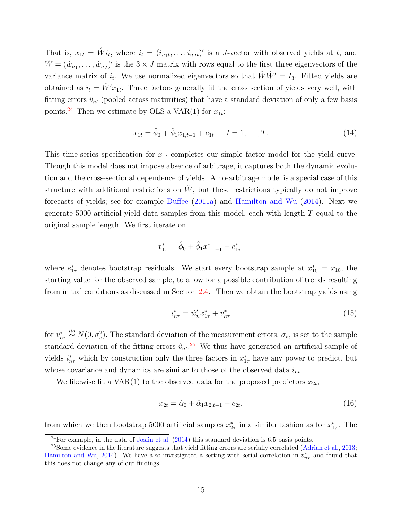That is,  $x_{1t} = \hat{W}i_t$ , where  $i_t = (i_{n_1t}, \ldots, i_{n_Jt})'$  is a J-vector with observed yields at t, and  $\hat{W} = (\hat{w}_{n_1}, \dots, \hat{w}_{n_J})'$  is the  $3 \times J$  matrix with rows equal to the first three eigenvectors of the variance matrix of  $i_t$ . We use normalized eigenvectors so that  $\hat{W}\hat{W}' = I_3$ . Fitted yields are obtained as  $\hat{i}_t = \hat{W}' x_{1t}$ . Three factors generally fit the cross section of yields very well, with fitting errors  $\hat{v}_{nt}$  (pooled across maturities) that have a standard deviation of only a few basis points.<sup>[24](#page-16-0)</sup> Then we estimate by OLS a VAR(1) for  $x_{1t}$ :

$$
x_{1t} = \hat{\phi}_0 + \hat{\phi}_1 x_{1,t-1} + e_{1t} \qquad t = 1, \dots, T. \tag{14}
$$

This time-series specification for  $x_{1t}$  completes our simple factor model for the yield curve. Though this model does not impose absence of arbitrage, it captures both the dynamic evolution and the cross-sectional dependence of yields. A no-arbitrage model is a special case of this structure with additional restrictions on  $W$ , but these restrictions typically do not improve forecasts of yields; see for example [Duffee](#page-33-10) [\(2011a\)](#page-33-10) and [Hamilton and Wu](#page-34-8) [\(2014\)](#page-34-8). Next we generate 5000 artificial yield data samples from this model, each with length  $T$  equal to the original sample length. We first iterate on

$$
x_{1\tau}^* = \hat{\phi}_0 + \hat{\phi}_1 x_{1,\tau-1}^* + e_{1\tau}^*
$$

where  $e_{1\tau}^*$  denotes bootstrap residuals. We start every bootstrap sample at  $x_{10}^* = x_{10}$ , the starting value for the observed sample, to allow for a possible contribution of trends resulting from initial conditions as discussed in Section [2.4.](#page-12-2) Then we obtain the bootstrap yields using

<span id="page-16-2"></span>
$$
i_{n\tau}^* = \hat{w}_n' x_{1\tau}^* + v_{n\tau}^* \tag{15}
$$

for  $v_{n\tau}^* \stackrel{iid}{\sim} N(0, \sigma_v^2)$ . The standard deviation of the measurement errors,  $\sigma_v$ , is set to the sample standard deviation of the fitting errors  $\hat{v}_{nt}$ <sup>[25](#page-16-1)</sup>. We thus have generated an artificial sample of yields  $i_{n\tau}^*$  which by construction only the three factors in  $x_{1\tau}^*$  have any power to predict, but whose covariance and dynamics are similar to those of the observed data  $i_{nt}$ .

We likewise fit a  $VAR(1)$  to the observed data for the proposed predictors  $x_{2t}$ ,

$$
x_{2t} = \hat{\alpha}_0 + \hat{\alpha}_1 x_{2,t-1} + e_{2t},\tag{16}
$$

from which we then bootstrap 5000 artificial samples  $x_{2\tau}^*$  in a similar fashion as for  $x_{1\tau}^*$ . The

<span id="page-16-1"></span><span id="page-16-0"></span> $\frac{1}{24}$  For example, in the data of [Joslin et al.](#page-34-2) [\(2014\)](#page-34-2) this standard deviation is 6.5 basis points.

 $^{25}$ Some evidence in the literature suggests that yield fitting errors are serially correlated [\(Adrian et al.,](#page-31-7) [2013;](#page-31-7) [Hamilton and Wu,](#page-34-8) [2014\)](#page-34-8). We have also investigated a setting with serial correlation in  $v_{n\tau}^*$  and found that this does not change any of our findings.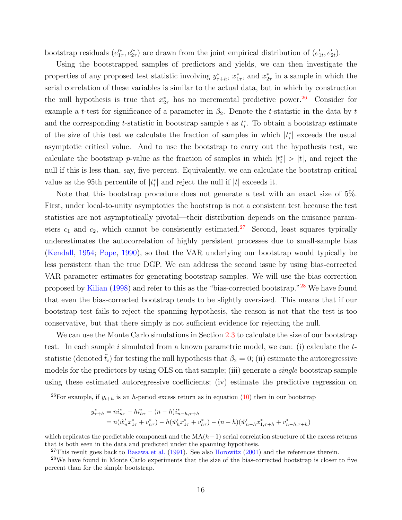bootstrap residuals  $(e_{1\tau}'^*, e_{2\tau}'^*)$  are drawn from the joint empirical distribution of  $(e_{1t}', e_{2t}')$ .

Using the bootstrapped samples of predictors and yields, we can then investigate the properties of any proposed test statistic involving  $y_{\tau+h}^*$ ,  $x_{1\tau}^*$ , and  $x_{2\tau}^*$  in a sample in which the serial correlation of these variables is similar to the actual data, but in which by construction the null hypothesis is true that  $x_{2\tau}^*$  has no incremental predictive power.<sup>[26](#page-17-0)</sup> Consider for example a t-test for significance of a parameter in  $\beta_2$ . Denote the t-statistic in the data by t and the corresponding t-statistic in bootstrap sample i as  $t_i^*$ . To obtain a bootstrap estimate of the size of this test we calculate the fraction of samples in which  $|t_i^*|$  exceeds the usual asymptotic critical value. And to use the bootstrap to carry out the hypothesis test, we calculate the bootstrap p-value as the fraction of samples in which  $|t_i^*| > |t|$ , and reject the null if this is less than, say, five percent. Equivalently, we can calculate the bootstrap critical value as the 95th percentile of  $|t_i^*|$  and reject the null if |t| exceeds it.

Note that this bootstrap procedure does not generate a test with an exact size of 5%. First, under local-to-unity asymptotics the bootstrap is not a consistent test because the test statistics are not asymptotically pivotal—their distribution depends on the nuisance parameters  $c_1$  and  $c_2$ , which cannot be consistently estimated.<sup>[27](#page-17-1)</sup> Second, least squares typically underestimates the autocorrelation of highly persistent processes due to small-sample bias [\(Kendall,](#page-34-9) [1954;](#page-34-9) [Pope,](#page-35-11) [1990\)](#page-35-11), so that the VAR underlying our bootstrap would typically be less persistent than the true DGP. We can address the second issue by using bias-corrected VAR parameter estimates for generating bootstrap samples. We will use the bias correction proposed by [Kilian](#page-34-10) [\(1998\)](#page-34-10) and refer to this as the "bias-corrected bootstrap."[28](#page-17-2) We have found that even the bias-corrected bootstrap tends to be slightly oversized. This means that if our bootstrap test fails to reject the spanning hypothesis, the reason is not that the test is too conservative, but that there simply is not sufficient evidence for rejecting the null.

We can use the Monte Carlo simulations in Section [2.3](#page-9-6) to calculate the size of our bootstrap test. In each sample i simulated from a known parametric model, we can: (i) calculate the  $t$ statistic (denoted  $\tilde{t}_i$ ) for testing the null hypothesis that  $\beta_2 = 0$ ; (ii) estimate the autoregressive models for the predictors by using OLS on that sample; (iii) generate a *single* bootstrap sample using these estimated autoregressive coefficients; (iv) estimate the predictive regression on

$$
\begin{aligned} y_{\tau+h}^* &= ni_{n\tau}^* - hi_{h\tau}^* - (n-h)i_{n-h,\tau+h}^* \\ &= n(\hat{w}_n' x_{1\tau}^* + v_{n\tau}^*) - h(\hat{w}_h' x_{1\tau}^* + v_{h\tau}^*) - (n-h)(\hat{w}_{n-h}' x_{1,\tau+h}^* + v_{n-h,\tau+h}^*) \end{aligned}
$$

which replicates the predictable component and the  $MA(h-1)$  serial correlation structure of the excess returns that is both seen in the data and predicted under the spanning hypothesis.

<span id="page-17-2"></span><span id="page-17-1"></span><sup>27</sup>This result goes back to [Basawa et al.](#page-31-8)  $(1991)$ . See also [Horowitz](#page-34-7)  $(2001)$  and the references therein.

<span id="page-17-0"></span><sup>&</sup>lt;sup>26</sup>For example, if  $y_{t+h}$  is an h-period excess return as in equation [\(10\)](#page-14-0) then in our bootstrap

<sup>&</sup>lt;sup>28</sup>We have found in Monte Carlo experiments that the size of the bias-corrected bootstrap is closer to five percent than for the simple bootstrap.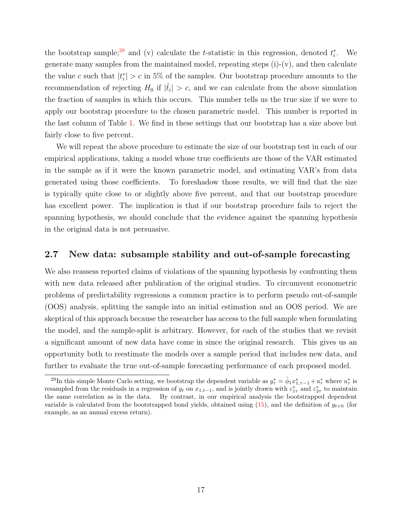the bootstrap sample;<sup>[29](#page-18-0)</sup> and (v) calculate the t-statistic in this regression, denoted  $t_i^*$ . We generate many samples from the maintained model, repeating steps  $(i)-(v)$ , and then calculate the value c such that  $|t_i^*| > c$  in 5% of the samples. Our bootstrap procedure amounts to the recommendation of rejecting  $H_0$  if  $|\tilde{t}_i| > c$ , and we can calculate from the above simulation the fraction of samples in which this occurs. This number tells us the true size if we were to apply our bootstrap procedure to the chosen parametric model. This number is reported in the last column of Table [1.](#page-37-0) We find in these settings that our bootstrap has a size above but fairly close to five percent.

We will repeat the above procedure to estimate the size of our bootstrap test in each of our empirical applications, taking a model whose true coefficients are those of the VAR estimated in the sample as if it were the known parametric model, and estimating VAR's from data generated using those coefficients. To foreshadow those results, we will find that the size is typically quite close to or slightly above five percent, and that our bootstrap procedure has excellent power. The implication is that if our bootstrap procedure fails to reject the spanning hypothesis, we should conclude that the evidence against the spanning hypothesis in the original data is not persuasive.

#### 2.7 New data: subsample stability and out-of-sample forecasting

We also reassess reported claims of violations of the spanning hypothesis by confronting them with new data released after publication of the original studies. To circumvent econometric problems of predictability regressions a common practice is to perform pseudo out-of-sample (OOS) analysis, splitting the sample into an initial estimation and an OOS period. We are skeptical of this approach because the researcher has access to the full sample when formulating the model, and the sample-split is arbitrary. However, for each of the studies that we revisit a significant amount of new data have come in since the original research. This gives us an opportunity both to reestimate the models over a sample period that includes new data, and further to evaluate the true out-of-sample forecasting performance of each proposed model.

<span id="page-18-0"></span><sup>&</sup>lt;sup>29</sup>In this simple Monte Carlo setting, we bootstrap the dependent variable as  $y_{\tau}^* = \hat{\phi}_1 x_{1,\tau-1}^* + u_{\tau}^*$  where  $u_{\tau}^*$  is resampled from the residuals in a regression of  $y_t$  on  $x_{1,t-1}$ , and is jointly drawn with  $\varepsilon_{1\tau}^*$  and  $\varepsilon_{2\tau}^*$  to maintain the same correlation as in the data. By contrast, in our empirical analysis the bootstrapped dependent variable is calculated from the bootstrapped bond yields, obtained using  $(15)$ , and the definition of  $y_{t+h}$  (for example, as an annual excess return).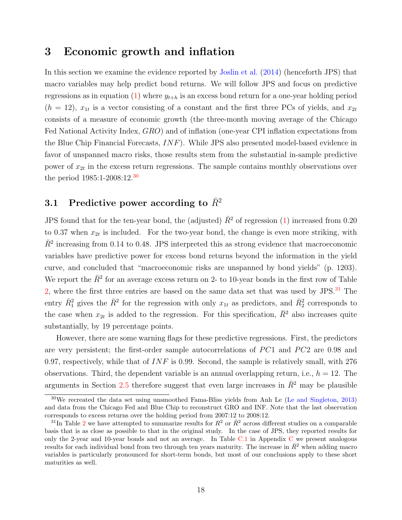### <span id="page-19-2"></span>3 Economic growth and inflation

In this section we examine the evidence reported by [Joslin et al.](#page-34-2) [\(2014\)](#page-34-2) (henceforth JPS) that macro variables may help predict bond returns. We will follow JPS and focus on predictive regressions as in equation [\(1\)](#page-7-0) where  $y_{t+h}$  is an excess bond return for a one-year holding period  $(h = 12)$ ,  $x_{1t}$  is a vector consisting of a constant and the first three PCs of yields, and  $x_{2t}$ consists of a measure of economic growth (the three-month moving average of the Chicago Fed National Activity Index, GRO) and of inflation (one-year CPI inflation expectations from the Blue Chip Financial Forecasts, INF). While JPS also presented model-based evidence in favor of unspanned macro risks, those results stem from the substantial in-sample predictive power of  $x_{2t}$  in the excess return regressions. The sample contains monthly observations over the period 1985:1-2008:12.[30](#page-19-0)

### 3.1 Predictive power according to  $\bar{R}^2$

JPS found that for the ten-year bond, the (adjusted)  $\bar{R}^2$  of regression [\(1\)](#page-7-0) increased from 0.20 to 0.37 when  $x_{2t}$  is included. For the two-year bond, the change is even more striking, with  $\bar{R}^2$  increasing from 0.14 to 0.48. JPS interpreted this as strong evidence that macroeconomic variables have predictive power for excess bond returns beyond the information in the yield curve, and concluded that "macroeconomic risks are unspanned by bond yields" (p. 1203). We report the  $\bar{R}^2$  for an average excess return on 2- to 10-year bonds in the first row of Table [2,](#page-38-0) where the first three entries are based on the same data set that was used by JPS.<sup>[31](#page-19-1)</sup> The entry  $\bar{R}_1^2$  gives the  $\bar{R}^2$  for the regression with only  $x_{1t}$  as predictors, and  $\bar{R}_2^2$  corresponds to the case when  $x_{2t}$  is added to the regression. For this specification,  $\bar{R}^2$  also increases quite substantially, by 19 percentage points.

However, there are some warning flags for these predictive regressions. First, the predictors are very persistent; the first-order sample autocorrelations of  $PC1$  and  $PC2$  are 0.98 and 0.97, respectively, while that of  $INF$  is 0.99. Second, the sample is relatively small, with 276 observations. Third, the dependent variable is an annual overlapping return, i.e.,  $h = 12$ . The arguments in Section [2.5](#page-14-1) therefore suggest that even large increases in  $\bar{R}^2$  may be plausible

<span id="page-19-0"></span><sup>30</sup>We recreated the data set using unsmoothed Fama-Bliss yields from Anh Le [\(Le and Singleton,](#page-34-11) [2013\)](#page-34-11) and data from the Chicago Fed and Blue Chip to reconstruct GRO and INF. Note that the last observation corresponds to excess returns over the holding period from 2007:12 to 2008:12.

<span id="page-19-1"></span><sup>&</sup>lt;sup>31</sup>In Table [2](#page-38-0) we have attempted to summarize results for  $R^2$  or  $\bar{R}^2$  across different studies on a comparable basis that is as close as possible to that in the original study. In the case of JPS, they reported results for only the 2-year and 10-year bonds and not an average. In Table [C.1](#page-55-0) in Appendix [C](#page-54-0) we present analogous results for each individual bond from two through ten years maturity. The increase in  $\bar{R}^2$  when adding macro variables is particularly pronounced for short-term bonds, but most of our conclusions apply to these short maturities as well.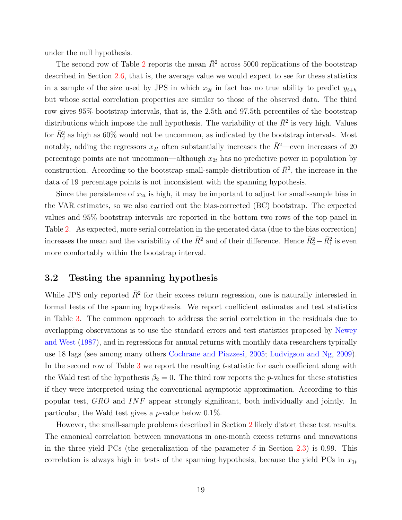under the null hypothesis.

The second row of Table [2](#page-38-0) reports the mean  $\bar{R}^2$  across 5000 replications of the bootstrap described in Section [2.6,](#page-15-2) that is, the average value we would expect to see for these statistics in a sample of the size used by JPS in which  $x_{2t}$  in fact has no true ability to predict  $y_{t+h}$ but whose serial correlation properties are similar to those of the observed data. The third row gives 95% bootstrap intervals, that is, the 2.5th and 97.5th percentiles of the bootstrap distributions which impose the null hypothesis. The variability of the  $\bar{R}^2$  is very high. Values for  $\bar{R}_2^2$  as high as 60% would not be uncommon, as indicated by the bootstrap intervals. Most notably, adding the regressors  $x_{2t}$  often substantially increases the  $\bar{R}^2$ —even increases of 20 percentage points are not uncommon—although  $x_{2t}$  has no predictive power in population by construction. According to the bootstrap small-sample distribution of  $\bar{R}^2$ , the increase in the data of 19 percentage points is not inconsistent with the spanning hypothesis.

Since the persistence of  $x_{2t}$  is high, it may be important to adjust for small-sample bias in the VAR estimates, so we also carried out the bias-corrected (BC) bootstrap. The expected values and 95% bootstrap intervals are reported in the bottom two rows of the top panel in Table [2.](#page-38-0) As expected, more serial correlation in the generated data (due to the bias correction) increases the mean and the variability of the  $\bar{R}^2$  and of their difference. Hence  $\bar{R}_2^2 - \bar{R}_1^2$  is even more comfortably within the bootstrap interval.

#### 3.2 Testing the spanning hypothesis

While JPS only reported  $\bar{R}^2$  for their excess return regression, one is naturally interested in formal tests of the spanning hypothesis. We report coefficient estimates and test statistics in Table [3.](#page-39-0) The common approach to address the serial correlation in the residuals due to overlapping observations is to use the standard errors and test statistics proposed by [Newey](#page-35-9) [and West](#page-35-9) [\(1987\)](#page-35-9), and in regressions for annual returns with monthly data researchers typically use 18 lags (see among many others [Cochrane and Piazzesi,](#page-32-3) [2005;](#page-32-3) [Ludvigson and Ng,](#page-34-3) [2009\)](#page-34-3). In the second row of Table  $3$  we report the resulting t-statistic for each coefficient along with the Wald test of the hypothesis  $\beta_2 = 0$ . The third row reports the p-values for these statistics if they were interpreted using the conventional asymptotic approximation. According to this popular test, GRO and INF appear strongly significant, both individually and jointly. In particular, the Wald test gives a  $p$ -value below 0.1%.

However, the small-sample problems described in Section [2](#page-6-3) likely distort these test results. The canonical correlation between innovations in one-month excess returns and innovations in the three yield PCs (the generalization of the parameter  $\delta$  in Section [2.3\)](#page-9-6) is 0.99. This correlation is always high in tests of the spanning hypothesis, because the yield PCs in  $x_{1t}$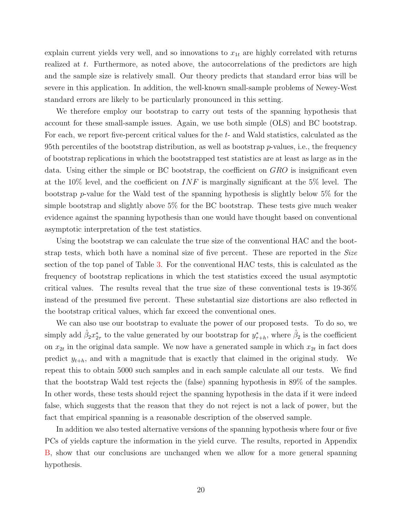explain current yields very well, and so innovations to  $x_{1t}$  are highly correlated with returns realized at t. Furthermore, as noted above, the autocorrelations of the predictors are high and the sample size is relatively small. Our theory predicts that standard error bias will be severe in this application. In addition, the well-known small-sample problems of Newey-West standard errors are likely to be particularly pronounced in this setting.

We therefore employ our bootstrap to carry out tests of the spanning hypothesis that account for these small-sample issues. Again, we use both simple (OLS) and BC bootstrap. For each, we report five-percent critical values for the t- and Wald statistics, calculated as the 95th percentiles of the bootstrap distribution, as well as bootstrap  $p$ -values, i.e., the frequency of bootstrap replications in which the bootstrapped test statistics are at least as large as in the data. Using either the simple or BC bootstrap, the coefficient on GRO is insignificant even at the 10% level, and the coefficient on  $INF$  is marginally significant at the 5% level. The bootstrap p-value for the Wald test of the spanning hypothesis is slightly below 5% for the simple bootstrap and slightly above 5% for the BC bootstrap. These tests give much weaker evidence against the spanning hypothesis than one would have thought based on conventional asymptotic interpretation of the test statistics.

Using the bootstrap we can calculate the true size of the conventional HAC and the bootstrap tests, which both have a nominal size of five percent. These are reported in the Size section of the top panel of Table [3.](#page-39-0) For the conventional HAC tests, this is calculated as the frequency of bootstrap replications in which the test statistics exceed the usual asymptotic critical values. The results reveal that the true size of these conventional tests is 19-36% instead of the presumed five percent. These substantial size distortions are also reflected in the bootstrap critical values, which far exceed the conventional ones.

We can also use our bootstrap to evaluate the power of our proposed tests. To do so, we simply add  $\hat{\beta}_2 x_{2\tau}^*$  to the value generated by our bootstrap for  $y_{\tau+h}^*$ , where  $\hat{\beta}_2$  is the coefficient on  $x_{2t}$  in the original data sample. We now have a generated sample in which  $x_{2t}$  in fact does predict  $y_{t+h}$ , and with a magnitude that is exactly that claimed in the original study. We repeat this to obtain 5000 such samples and in each sample calculate all our tests. We find that the bootstrap Wald test rejects the (false) spanning hypothesis in 89% of the samples. In other words, these tests should reject the spanning hypothesis in the data if it were indeed false, which suggests that the reason that they do not reject is not a lack of power, but the fact that empirical spanning is a reasonable description of the observed sample.

In addition we also tested alternative versions of the spanning hypothesis where four or five PCs of yields capture the information in the yield curve. The results, reported in Appendix [B,](#page-53-0) show that our conclusions are unchanged when we allow for a more general spanning hypothesis.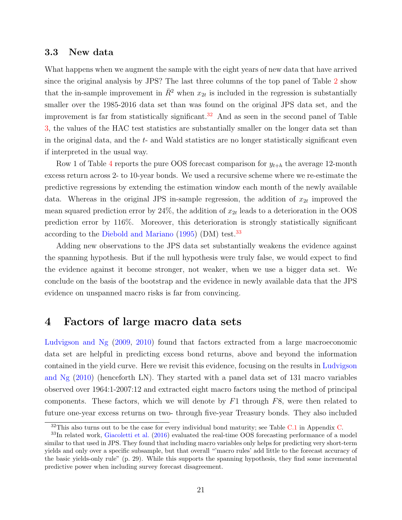#### 3.3 New data

What happens when we augment the sample with the eight years of new data that have arrived since the original analysis by JPS? The last three columns of the top panel of Table [2](#page-38-0) show that the in-sample improvement in  $\bar{R}^2$  when  $x_{2t}$  is included in the regression is substantially smaller over the 1985-2016 data set than was found on the original JPS data set, and the improvement is far from statistically significant.<sup>[32](#page-22-0)</sup> And as seen in the second panel of Table [3,](#page-39-0) the values of the HAC test statistics are substantially smaller on the longer data set than in the original data, and the  $t-$  and Wald statistics are no longer statistically significant even if interpreted in the usual way.

Row 1 of Table [4](#page-40-0) reports the pure OOS forecast comparison for  $y_{t+h}$  the average 12-month excess return across 2- to 10-year bonds. We used a recursive scheme where we re-estimate the predictive regressions by extending the estimation window each month of the newly available data. Whereas in the original JPS in-sample regression, the addition of  $x_{2t}$  improved the mean squared prediction error by 24%, the addition of  $x_{2t}$  leads to a deterioration in the OOS prediction error by 116%. Moreover, this deterioration is strongly statistically significant according to the [Diebold and Mariano](#page-32-12)  $(1995)$  (DM) test.<sup>[33](#page-22-1)</sup>

Adding new observations to the JPS data set substantially weakens the evidence against the spanning hypothesis. But if the null hypothesis were truly false, we would expect to find the evidence against it become stronger, not weaker, when we use a bigger data set. We conclude on the basis of the bootstrap and the evidence in newly available data that the JPS evidence on unspanned macro risks is far from convincing.

### <span id="page-22-2"></span>4 Factors of large macro data sets

[Ludvigson and Ng](#page-34-3) [\(2009,](#page-34-3) [2010\)](#page-34-4) found that factors extracted from a large macroeconomic data set are helpful in predicting excess bond returns, above and beyond the information contained in the yield curve. Here we revisit this evidence, focusing on the results in [Ludvigson](#page-34-4) [and Ng](#page-34-4) [\(2010\)](#page-34-4) (henceforth LN). They started with a panel data set of 131 macro variables observed over 1964:1-2007:12 and extracted eight macro factors using the method of principal components. These factors, which we will denote by  $F1$  through  $F8$ , were then related to future one-year excess returns on two- through five-year Treasury bonds. They also included

<span id="page-22-1"></span><span id="page-22-0"></span> $32$ This also turns out to be the case for every individual bond maturity; see Table [C.1](#page-55-0) in Appendix [C.](#page-54-0)

<sup>33</sup>In related work, [Giacoletti et al.](#page-33-11) [\(2016\)](#page-33-11) evaluated the real-time OOS forecasting performance of a model similar to that used in JPS. They found that including macro variables only helps for predicting very short-term yields and only over a specific subsample, but that overall "'macro rules' add little to the forecast accuracy of the basic yields-only rule" (p. 29). While this supports the spanning hypothesis, they find some incremental predictive power when including survey forecast disagreement.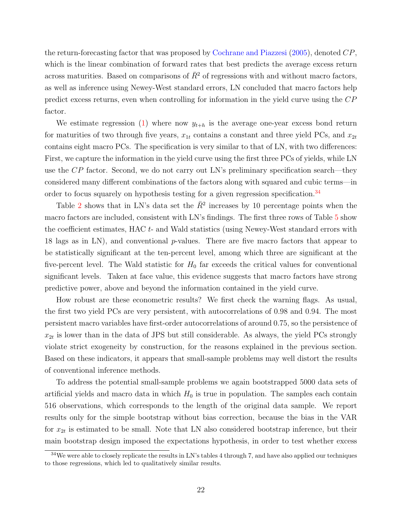the return-forecasting factor that was proposed by [Cochrane and Piazzesi](#page-32-3) [\(2005\)](#page-32-3), denoted CP, which is the linear combination of forward rates that best predicts the average excess return across maturities. Based on comparisons of  $\bar{R}^2$  of regressions with and without macro factors, as well as inference using Newey-West standard errors, LN concluded that macro factors help predict excess returns, even when controlling for information in the yield curve using the CP factor.

We estimate regression [\(1\)](#page-7-0) where now  $y_{t+h}$  is the average one-year excess bond return for maturities of two through five years,  $x_{1t}$  contains a constant and three yield PCs, and  $x_{2t}$ contains eight macro PCs. The specification is very similar to that of LN, with two differences: First, we capture the information in the yield curve using the first three PCs of yields, while LN use the CP factor. Second, we do not carry out LN's preliminary specification search—they considered many different combinations of the factors along with squared and cubic terms—in order to focus squarely on hypothesis testing for a given regression specification.<sup>[34](#page-23-0)</sup>

Table [2](#page-38-0) shows that in LN's data set the  $\bar{R}^2$  increases by 10 percentage points when the macro factors are included, consistent with LN's findings. The first three rows of Table [5](#page-41-0) show the coefficient estimates,  $HAC t$ - and Wald statistics (using Newey-West standard errors with 18 lags as in LN), and conventional p-values. There are five macro factors that appear to be statistically significant at the ten-percent level, among which three are significant at the five-percent level. The Wald statistic for  $H_0$  far exceeds the critical values for conventional significant levels. Taken at face value, this evidence suggests that macro factors have strong predictive power, above and beyond the information contained in the yield curve.

How robust are these econometric results? We first check the warning flags. As usual, the first two yield PCs are very persistent, with autocorrelations of 0.98 and 0.94. The most persistent macro variables have first-order autocorrelations of around 0.75, so the persistence of  $x_{2t}$  is lower than in the data of JPS but still considerable. As always, the yield PCs strongly violate strict exogeneity by construction, for the reasons explained in the previous section. Based on these indicators, it appears that small-sample problems may well distort the results of conventional inference methods.

To address the potential small-sample problems we again bootstrapped 5000 data sets of artificial yields and macro data in which  $H_0$  is true in population. The samples each contain 516 observations, which corresponds to the length of the original data sample. We report results only for the simple bootstrap without bias correction, because the bias in the VAR for  $x_{2t}$  is estimated to be small. Note that LN also considered bootstrap inference, but their main bootstrap design imposed the expectations hypothesis, in order to test whether excess

<span id="page-23-0"></span><sup>&</sup>lt;sup>34</sup>We were able to closely replicate the results in LN's tables 4 through 7, and have also applied our techniques to those regressions, which led to qualitatively similar results.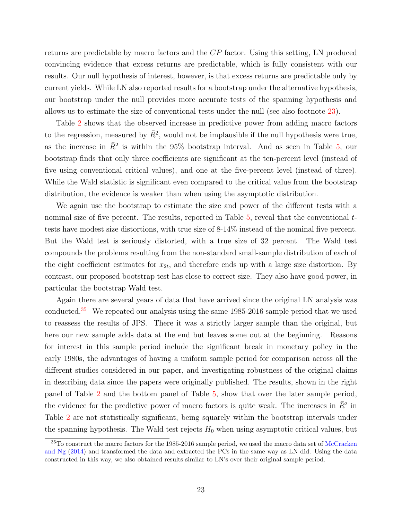returns are predictable by macro factors and the CP factor. Using this setting, LN produced convincing evidence that excess returns are predictable, which is fully consistent with our results. Our null hypothesis of interest, however, is that excess returns are predictable only by current yields. While LN also reported results for a bootstrap under the alternative hypothesis, our bootstrap under the null provides more accurate tests of the spanning hypothesis and allows us to estimate the size of conventional tests under the null (see also footnote [23\)](#page-15-1).

Table [2](#page-38-0) shows that the observed increase in predictive power from adding macro factors to the regression, measured by  $\bar{R}^2$ , would not be implausible if the null hypothesis were true, as the increase in  $\bar{R}^2$  is within the 95% bootstrap interval. And as seen in Table [5,](#page-41-0) our bootstrap finds that only three coefficients are significant at the ten-percent level (instead of five using conventional critical values), and one at the five-percent level (instead of three). While the Wald statistic is significant even compared to the critical value from the bootstrap distribution, the evidence is weaker than when using the asymptotic distribution.

We again use the bootstrap to estimate the size and power of the different tests with a nominal size of five percent. The results, reported in Table  $5$ , reveal that the conventional  $t$ tests have modest size distortions, with true size of 8-14% instead of the nominal five percent. But the Wald test is seriously distorted, with a true size of 32 percent. The Wald test compounds the problems resulting from the non-standard small-sample distribution of each of the eight coefficient estimates for  $x_{2t}$ , and therefore ends up with a large size distortion. By contrast, our proposed bootstrap test has close to correct size. They also have good power, in particular the bootstrap Wald test.

Again there are several years of data that have arrived since the original LN analysis was conducted. $35$  We repeated our analysis using the same 1985-2016 sample period that we used to reassess the results of JPS. There it was a strictly larger sample than the original, but here our new sample adds data at the end but leaves some out at the beginning. Reasons for interest in this sample period include the significant break in monetary policy in the early 1980s, the advantages of having a uniform sample period for comparison across all the different studies considered in our paper, and investigating robustness of the original claims in describing data since the papers were originally published. The results, shown in the right panel of Table [2](#page-38-0) and the bottom panel of Table [5,](#page-41-0) show that over the later sample period, the evidence for the predictive power of macro factors is quite weak. The increases in  $\bar{R}^2$  in Table [2](#page-38-0) are not statistically significant, being squarely within the bootstrap intervals under the spanning hypothesis. The Wald test rejects  $H_0$  when using asymptotic critical values, but

<span id="page-24-0"></span><sup>&</sup>lt;sup>35</sup>To construct the macro factors for the 1985-2016 sample period, we used the macro data set of [McCracken](#page-35-12) [and Ng](#page-35-12) [\(2014\)](#page-35-12) and transformed the data and extracted the PCs in the same way as LN did. Using the data constructed in this way, we also obtained results similar to LN's over their original sample period.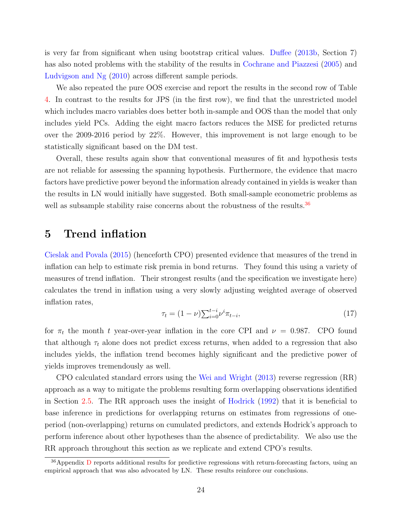is very far from significant when using bootstrap critical values. [Duffee](#page-33-7) [\(2013b,](#page-33-7) Section 7) has also noted problems with the stability of the results in [Cochrane and Piazzesi](#page-32-3) [\(2005\)](#page-32-3) and [Ludvigson and Ng](#page-34-4) [\(2010\)](#page-34-4) across different sample periods.

We also repeated the pure OOS exercise and report the results in the second row of Table [4.](#page-40-0) In contrast to the results for JPS (in the first row), we find that the unrestricted model which includes macro variables does better both in-sample and OOS than the model that only includes yield PCs. Adding the eight macro factors reduces the MSE for predicted returns over the 2009-2016 period by 22%. However, this improvement is not large enough to be statistically significant based on the DM test.

Overall, these results again show that conventional measures of fit and hypothesis tests are not reliable for assessing the spanning hypothesis. Furthermore, the evidence that macro factors have predictive power beyond the information already contained in yields is weaker than the results in LN would initially have suggested. Both small-sample econometric problems as well as subsample stability raise concerns about the robustness of the results. $36$ 

### <span id="page-25-0"></span>5 Trend inflation

[Cieslak and Povala](#page-32-1) [\(2015\)](#page-32-1) (henceforth CPO) presented evidence that measures of the trend in inflation can help to estimate risk premia in bond returns. They found this using a variety of measures of trend inflation. Their strongest results (and the specification we investigate here) calculates the trend in inflation using a very slowly adjusting weighted average of observed inflation rates,

<span id="page-25-2"></span>
$$
\tau_t = (1 - \nu) \sum_{i=0}^{t-i} \nu^i \pi_{t-i}, \tag{17}
$$

for  $\pi_t$  the month t year-over-year inflation in the core CPI and  $\nu = 0.987$ . CPO found that although  $\tau_t$  alone does not predict excess returns, when added to a regression that also includes yields, the inflation trend becomes highly significant and the predictive power of yields improves tremendously as well.

CPO calculated standard errors using the [Wei and Wright](#page-36-4) [\(2013\)](#page-36-4) reverse regression (RR) approach as a way to mitigate the problems resulting form overlapping observations identified in Section [2.5.](#page-14-1) The RR approach uses the insight of [Hodrick](#page-34-6) [\(1992\)](#page-34-6) that it is beneficial to base inference in predictions for overlapping returns on estimates from regressions of oneperiod (non-overlapping) returns on cumulated predictors, and extends Hodrick's approach to perform inference about other hypotheses than the absence of predictability. We also use the RR approach throughout this section as we replicate and extend CPO's results.

<span id="page-25-1"></span><sup>&</sup>lt;sup>36</sup>Appendix [D](#page-56-0) reports additional results for predictive regressions with return-forecasting factors, using an empirical approach that was also advocated by LN. These results reinforce our conclusions.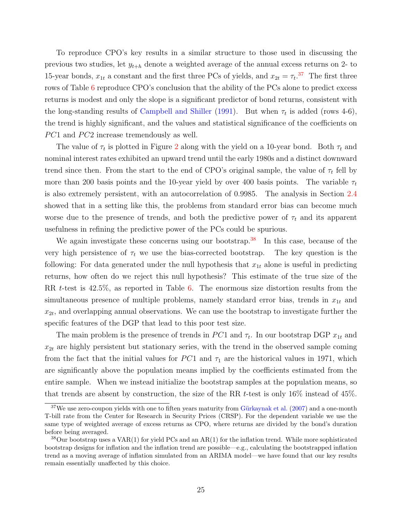To reproduce CPO's key results in a similar structure to those used in discussing the previous two studies, let  $y_{t+h}$  denote a weighted average of the annual excess returns on 2- to 15-year bonds,  $x_{1t}$  a constant and the first three PCs of yields, and  $x_{2t} = \tau_t$ .<sup>[37](#page-26-0)</sup> The first three rows of Table [6](#page-42-0) reproduce CPO's conclusion that the ability of the PCs alone to predict excess returns is modest and only the slope is a significant predictor of bond returns, consistent with the long-standing results of [Campbell and Shiller](#page-32-9) [\(1991\)](#page-32-9). But when  $\tau_t$  is added (rows 4-6), the trend is highly significant, and the values and statistical significance of the coefficients on  $PC1$  and  $PC2$  increase tremendously as well.

The value of  $\tau_t$  is plotted in Figure [2](#page-45-0) along with the yield on a 10-year bond. Both  $\tau_t$  and nominal interest rates exhibited an upward trend until the early 1980s and a distinct downward trend since then. From the start to the end of CPO's original sample, the value of  $\tau_t$  fell by more than 200 basis points and the 10-year yield by over 400 basis points. The variable  $\tau_t$ is also extremely persistent, with an autocorrelation of 0.9985. The analysis in Section [2.4](#page-12-2) showed that in a setting like this, the problems from standard error bias can become much worse due to the presence of trends, and both the predictive power of  $\tau_t$  and its apparent usefulness in refining the predictive power of the PCs could be spurious.

We again investigate these concerns using our bootstrap.<sup>[38](#page-26-1)</sup> In this case, because of the very high persistence of  $\tau_t$  we use the bias-corrected bootstrap. The key question is the following: For data generated under the null hypothesis that  $x_{1t}$  alone is useful in predicting returns, how often do we reject this null hypothesis? This estimate of the true size of the RR t-test is 42.5%, as reported in Table [6.](#page-42-0) The enormous size distortion results from the simultaneous presence of multiple problems, namely standard error bias, trends in  $x_{1t}$  and  $x_{2t}$ , and overlapping annual observations. We can use the bootstrap to investigate further the specific features of the DGP that lead to this poor test size.

The main problem is the presence of trends in PC1 and  $\tau_t$ . In our bootstrap DGP  $x_{1t}$  and  $x_{2t}$  are highly persistent but stationary series, with the trend in the observed sample coming from the fact that the initial values for PC1 and  $\tau_1$  are the historical values in 1971, which are significantly above the population means implied by the coefficients estimated from the entire sample. When we instead initialize the bootstrap samples at the population means, so that trends are absent by construction, the size of the RR t-test is only 16% instead of 45%.

<span id="page-26-0"></span> $37$ We use zero-coupon yields with one to fiften years maturity from Gürkaynak et al. [\(2007\)](#page-33-12) and a one-month T-bill rate from the Center for Research in Security Prices (CRSP). For the dependent variable we use the same type of weighted average of excess returns as CPO, where returns are divided by the bond's duration before being averaged.

<span id="page-26-1"></span> $38$ Our bootstrap uses a VAR(1) for yield PCs and an AR(1) for the inflation trend. While more sophisticated bootstrap designs for inflation and the inflation trend are possible—e.g., calculating the bootstrapped inflation trend as a moving average of inflation simulated from an ARIMA model—we have found that our key results remain essentially unaffected by this choice.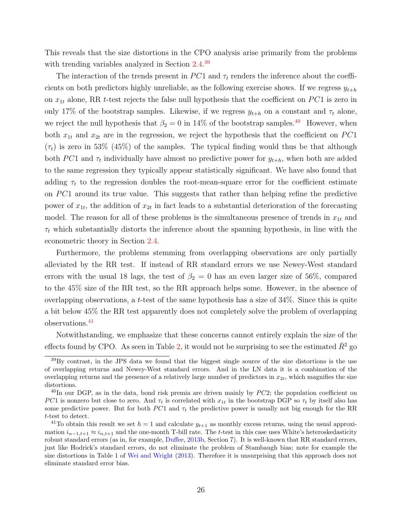This reveals that the size distortions in the CPO analysis arise primarily from the problems with trending variables analyzed in Section [2.4.](#page-12-2)<sup>[39](#page-27-0)</sup>

The interaction of the trends present in PC1 and  $\tau_t$  renders the inference about the coefficients on both predictors highly unreliable, as the following exercise shows. If we regress  $y_{t+h}$ on  $x_{1t}$  alone, RR t-test rejects the false null hypothesis that the coefficient on PC1 is zero in only 17% of the bootstrap samples. Likewise, if we regress  $y_{t+h}$  on a constant and  $\tau_t$  alone, we reject the null hypothesis that  $\beta_2 = 0$  in 14% of the bootstrap samples.<sup>[40](#page-27-1)</sup> However, when both  $x_{1t}$  and  $x_{2t}$  are in the regression, we reject the hypothesis that the coefficient on PC1  $(\tau_t)$  is zero in 53% (45%) of the samples. The typical finding would thus be that although both PC1 and  $\tau_t$  individually have almost no predictive power for  $y_{t+h}$ , when both are added to the same regression they typically appear statistically significant. We have also found that adding  $\tau_t$  to the regression doubles the root-mean-square error for the coefficient estimate on  $PC1$  around its true value. This suggests that rather than helping refine the predictive power of  $x_{1t}$ , the addition of  $x_{2t}$  in fact leads to a substantial deterioration of the forecasting model. The reason for all of these problems is the simultaneous presence of trends in  $x_{1t}$  and  $\tau_t$  which substantially distorts the inference about the spanning hypothesis, in line with the econometric theory in Section [2.4.](#page-12-2)

Furthermore, the problems stemming from overlapping observations are only partially alleviated by the RR test. If instead of RR standard errors we use Newey-West standard errors with the usual 18 lags, the test of  $\beta_2 = 0$  has an even larger size of 56%, compared to the 45% size of the RR test, so the RR approach helps some. However, in the absence of overlapping observations, a t-test of the same hypothesis has a size of 34%. Since this is quite a bit below 45% the RR test apparently does not completely solve the problem of overlapping observations.[41](#page-27-2)

Notwithstanding, we emphasize that these concerns cannot entirely explain the size of the effects found by CPO. As seen in Table [2,](#page-38-0) it would not be surprising to see the estimated  $\bar{R}^2$  go

<span id="page-27-0"></span><sup>&</sup>lt;sup>39</sup>By contrast, in the JPS data we found that the biggest single source of the size distortions is the use of overlapping returns and Newey-West standard errors. And in the LN data it is a combination of the overlapping returns and the presence of a relatively large number of predictors in  $x_{2t}$ , which magnifies the size distortions.

<span id="page-27-1"></span> $^{40}$ In our DGP, as in the data, bond risk premia are driven mainly by  $PC2$ ; the population coefficient on PC1 is nonzero but close to zero. And  $\tau_t$  is correlated with  $x_{1t}$  in the bootstrap DGP so  $\tau_t$  by itself also has some predictive power. But for both PC1 and  $\tau_t$  the predictive power is usually not big enough for the RR t-test to detect.

<span id="page-27-2"></span><sup>&</sup>lt;sup>41</sup>To obtain this result we set  $h = 1$  and calculate  $y_{t+1}$  as monthly excess returns, using the usual approximation  $i_{n-1,t+1} \approx i_{n,t+1}$  and the one-month T-bill rate. The t-test in this case uses White's heteroskedasticity robust standard errors (as in, for example, [Duffee,](#page-33-7) [2013b,](#page-33-7) Section 7). It is well-known that RR standard errors, just like Hodrick's standard errors, do not eliminate the problem of Stambaugh bias; note for example the size distortions in Table 1 of [Wei and Wright](#page-36-4) [\(2013\)](#page-36-4). Therefore it is unsurprising that this approach does not eliminate standard error bias.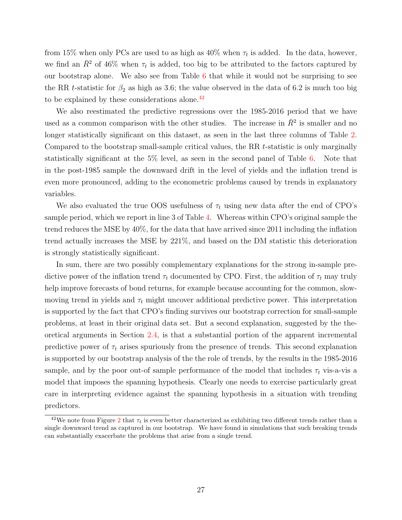from 15% when only PCs are used to as high as 40% when  $\tau_t$  is added. In the data, however, we find an  $\bar{R}^2$  of 46% when  $\tau_t$  is added, too big to be attributed to the factors captured by our bootstrap alone. We also see from Table [6](#page-42-0) that while it would not be surprising to see the RR t-statistic for  $\beta_2$  as high as 3.6; the value observed in the data of 6.2 is much too big to be explained by these considerations alone.<sup>[42](#page-28-0)</sup>

We also reestimated the predictive regressions over the 1985-2016 period that we have used as a common comparison with the other studies. The increase in  $\bar{R}^2$  is smaller and no longer statistically significant on this dataset, as seen in the last three columns of Table [2.](#page-38-0) Compared to the bootstrap small-sample critical values, the RR t-statistic is only marginally statistically significant at the 5% level, as seen in the second panel of Table [6.](#page-42-0) Note that in the post-1985 sample the downward drift in the level of yields and the inflation trend is even more pronounced, adding to the econometric problems caused by trends in explanatory variables.

We also evaluated the true OOS usefulness of  $\tau_t$  using new data after the end of CPO's sample period, which we report in line 3 of Table [4.](#page-40-0) Whereas within CPO's original sample the trend reduces the MSE by 40%, for the data that have arrived since 2011 including the inflation trend actually increases the MSE by 221%, and based on the DM statistic this deterioration is strongly statistically significant.

In sum, there are two possibly complementary explanations for the strong in-sample predictive power of the inflation trend  $\tau_t$  documented by CPO. First, the addition of  $\tau_t$  may truly help improve forecasts of bond returns, for example because accounting for the common, slowmoving trend in yields and  $\tau_t$  might uncover additional predictive power. This interpretation is supported by the fact that CPO's finding survives our bootstrap correction for small-sample problems, at least in their original data set. But a second explanation, suggested by the theoretical arguments in Section [2.4,](#page-12-2) is that a substantial portion of the apparent incremental predictive power of  $\tau_t$  arises spuriously from the presence of trends. This second explanation is supported by our bootstrap analysis of the the role of trends, by the results in the 1985-2016 sample, and by the poor out-of sample performance of the model that includes  $\tau_t$  vis-a-vis a model that imposes the spanning hypothesis. Clearly one needs to exercise particularly great care in interpreting evidence against the spanning hypothesis in a situation with trending predictors.

<span id="page-28-0"></span><sup>&</sup>lt;sup>4[2](#page-45-0)</sup>We note from Figure 2 that  $\tau_t$  is even better characterized as exhibiting two different trends rather than a single downward trend as captured in our bootstrap. We have found in simulations that such breaking trends can substantially exacerbate the problems that arise from a single trend.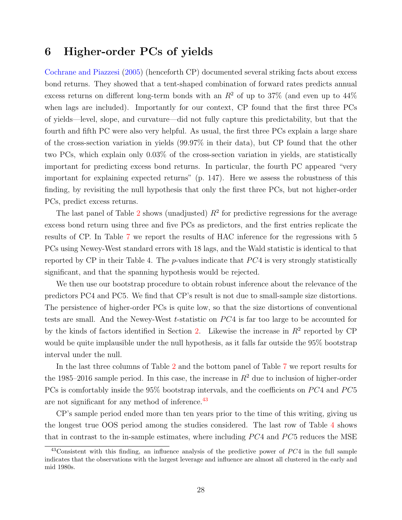## <span id="page-29-1"></span>6 Higher-order PCs of yields

[Cochrane and Piazzesi](#page-32-3) [\(2005\)](#page-32-3) (henceforth CP) documented several striking facts about excess bond returns. They showed that a tent-shaped combination of forward rates predicts annual excess returns on different long-term bonds with an  $R^2$  of up to 37% (and even up to 44%) when lags are included). Importantly for our context, CP found that the first three PCs of yields—level, slope, and curvature—did not fully capture this predictability, but that the fourth and fifth PC were also very helpful. As usual, the first three PCs explain a large share of the cross-section variation in yields (99.97% in their data), but CP found that the other two PCs, which explain only 0.03% of the cross-section variation in yields, are statistically important for predicting excess bond returns. In particular, the fourth PC appeared "very important for explaining expected returns" (p. 147). Here we assess the robustness of this finding, by revisiting the null hypothesis that only the first three PCs, but not higher-order PCs, predict excess returns.

The last panel of Table [2](#page-38-0) shows (unadjusted)  $R^2$  for predictive regressions for the average excess bond return using three and five PCs as predictors, and the first entries replicate the results of CP. In Table [7](#page-43-0) we report the results of HAC inference for the regressions with 5 PCs using Newey-West standard errors with 18 lags, and the Wald statistic is identical to that reported by CP in their Table 4. The p-values indicate that  $PC4$  is very strongly statistically significant, and that the spanning hypothesis would be rejected.

We then use our bootstrap procedure to obtain robust inference about the relevance of the predictors PC4 and PC5. We find that CP's result is not due to small-sample size distortions. The persistence of higher-order PCs is quite low, so that the size distortions of conventional tests are small. And the Newey-West  $t$ -statistic on  $PC4$  is far too large to be accounted for by the kinds of factors identified in Section [2.](#page-6-3) Likewise the increase in  $R^2$  reported by CP would be quite implausible under the null hypothesis, as it falls far outside the 95% bootstrap interval under the null.

In the last three columns of Table [2](#page-38-0) and the bottom panel of Table [7](#page-43-0) we report results for the 1985–2016 sample period. In this case, the increase in  $R^2$  due to inclusion of higher-order PCs is comfortably inside the  $95\%$  bootstrap intervals, and the coefficients on PC4 and PC5 are not significant for any method of inference.<sup>[43](#page-29-0)</sup>

CP's sample period ended more than ten years prior to the time of this writing, giving us the longest true OOS period among the studies considered. The last row of Table [4](#page-40-0) shows that in contrast to the in-sample estimates, where including  $PC4$  and  $PC5$  reduces the MSE

<span id="page-29-0"></span> $43$ Consistent with this finding, an influence analysis of the predictive power of  $PC4$  in the full sample indicates that the observations with the largest leverage and influence are almost all clustered in the early and mid 1980s.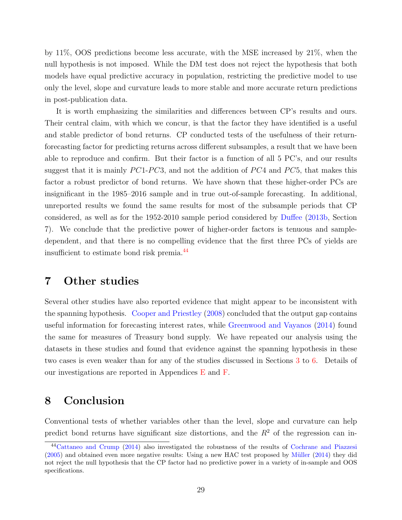by 11%, OOS predictions become less accurate, with the MSE increased by 21%, when the null hypothesis is not imposed. While the DM test does not reject the hypothesis that both models have equal predictive accuracy in population, restricting the predictive model to use only the level, slope and curvature leads to more stable and more accurate return predictions in post-publication data.

It is worth emphasizing the similarities and differences between CP's results and ours. Their central claim, with which we concur, is that the factor they have identified is a useful and stable predictor of bond returns. CP conducted tests of the usefulness of their returnforecasting factor for predicting returns across different subsamples, a result that we have been able to reproduce and confirm. But their factor is a function of all 5 PC's, and our results suggest that it is mainly  $PC1-PC3$ , and not the addition of  $PC4$  and  $PC5$ , that makes this factor a robust predictor of bond returns. We have shown that these higher-order PCs are insignificant in the 1985–2016 sample and in true out-of-sample forecasting. In additional, unreported results we found the same results for most of the subsample periods that CP considered, as well as for the 1952-2010 sample period considered by [Duffee](#page-33-7) [\(2013b,](#page-33-7) Section 7). We conclude that the predictive power of higher-order factors is tenuous and sampledependent, and that there is no compelling evidence that the first three PCs of yields are insufficient to estimate bond risk premia.[44](#page-30-0)

### 7 Other studies

Several other studies have also reported evidence that might appear to be inconsistent with the spanning hypothesis. [Cooper and Priestley](#page-32-2) [\(2008\)](#page-32-2) concluded that the output gap contains useful information for forecasting interest rates, while [Greenwood and Vayanos](#page-33-2) [\(2014\)](#page-33-2) found the same for measures of Treasury bond supply. We have repeated our analysis using the datasets in these studies and found that evidence against the spanning hypothesis in these two cases is even weaker than for any of the studies discussed in Sections [3](#page-19-2) to [6.](#page-29-1) Details of our investigations are reported in Appendices [E](#page-59-0) and [F.](#page-62-0)

## 8 Conclusion

Conventional tests of whether variables other than the level, slope and curvature can help predict bond returns have significant size distortions, and the  $R<sup>2</sup>$  of the regression can in-

<span id="page-30-0"></span><sup>44</sup>[Cattaneo and Crump](#page-32-13) [\(2014\)](#page-32-13) also investigated the robustness of the results of [Cochrane and Piazzesi](#page-32-3)  $(2005)$  and obtained even more negative results: Using a new HAC test proposed by Müller  $(2014)$  they did not reject the null hypothesis that the CP factor had no predictive power in a variety of in-sample and OOS specifications.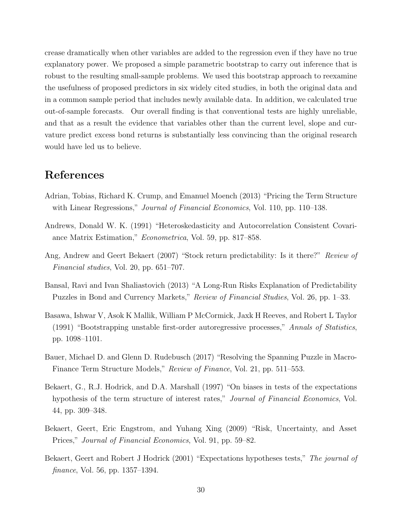crease dramatically when other variables are added to the regression even if they have no true explanatory power. We proposed a simple parametric bootstrap to carry out inference that is robust to the resulting small-sample problems. We used this bootstrap approach to reexamine the usefulness of proposed predictors in six widely cited studies, in both the original data and in a common sample period that includes newly available data. In addition, we calculated true out-of-sample forecasts. Our overall finding is that conventional tests are highly unreliable, and that as a result the evidence that variables other than the current level, slope and curvature predict excess bond returns is substantially less convincing than the original research would have led us to believe.

### References

- <span id="page-31-7"></span>Adrian, Tobias, Richard K. Crump, and Emanuel Moench (2013) "Pricing the Term Structure with Linear Regressions," *Journal of Financial Economics*, Vol. 110, pp. 110–138.
- <span id="page-31-6"></span>Andrews, Donald W. K. (1991) "Heteroskedasticity and Autocorrelation Consistent Covariance Matrix Estimation," Econometrica, Vol. 59, pp. 817–858.
- <span id="page-31-3"></span>Ang, Andrew and Geert Bekaert (2007) "Stock return predictability: Is it there?" Review of Financial studies, Vol. 20, pp. 651–707.
- <span id="page-31-1"></span>Bansal, Ravi and Ivan Shaliastovich (2013) "A Long-Run Risks Explanation of Predictability Puzzles in Bond and Currency Markets," Review of Financial Studies, Vol. 26, pp. 1–33.
- <span id="page-31-8"></span>Basawa, Ishwar V, Asok K Mallik, William P McCormick, Jaxk H Reeves, and Robert L Taylor (1991) "Bootstrapping unstable first-order autoregressive processes," Annals of Statistics, pp. 1098–1101.
- <span id="page-31-5"></span>Bauer, Michael D. and Glenn D. Rudebusch (2017) "Resolving the Spanning Puzzle in Macro-Finance Term Structure Models," Review of Finance, Vol. 21, pp. 511–553.
- <span id="page-31-2"></span>Bekaert, G., R.J. Hodrick, and D.A. Marshall (1997) "On biases in tests of the expectations hypothesis of the term structure of interest rates," *Journal of Financial Economics*, Vol. 44, pp. 309–348.
- <span id="page-31-0"></span>Bekaert, Geert, Eric Engstrom, and Yuhang Xing (2009) "Risk, Uncertainty, and Asset Prices," Journal of Financial Economics, Vol. 91, pp. 59–82.
- <span id="page-31-4"></span>Bekaert, Geert and Robert J Hodrick (2001) "Expectations hypotheses tests," The journal of finance, Vol. 56, pp. 1357–1394.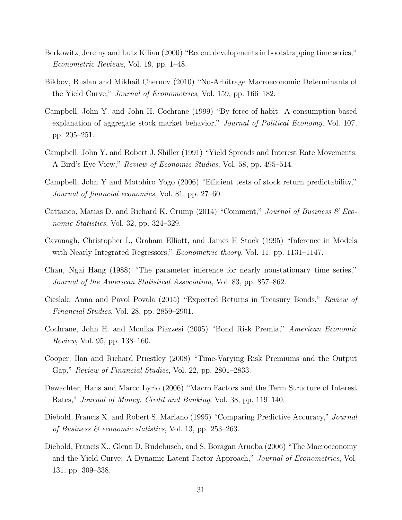- <span id="page-32-11"></span>Berkowitz, Jeremy and Lutz Kilian (2000) "Recent developments in bootstrapping time series," Econometric Reviews, Vol. 19, pp. 1–48.
- <span id="page-32-6"></span>Bikbov, Ruslan and Mikhail Chernov (2010) "No-Arbitrage Macroeconomic Determinants of the Yield Curve," Journal of Econometrics, Vol. 159, pp. 166–182.
- <span id="page-32-4"></span>Campbell, John Y. and John H. Cochrane (1999) "By force of habit: A consumption-based explanation of aggregate stock market behavior," Journal of Political Economy, Vol. 107, pp. 205–251.
- <span id="page-32-9"></span>Campbell, John Y. and Robert J. Shiller (1991) "Yield Spreads and Interest Rate Movements: A Bird's Eye View," Review of Economic Studies, Vol. 58, pp. 495–514.
- <span id="page-32-8"></span>Campbell, John Y and Motohiro Yogo (2006) "Efficient tests of stock return predictability," Journal of financial economics, Vol. 81, pp. 27–60.
- <span id="page-32-13"></span>Cattaneo, Matias D. and Richard K. Crump (2014) "Comment," Journal of Business  $\mathcal C$  Economic Statistics, Vol. 32, pp. 324–329.
- <span id="page-32-7"></span>Cavanagh, Christopher L, Graham Elliott, and James H Stock (1995) "Inference in Models with Nearly Integrated Regressors," *Econometric theory*, Vol. 11, pp. 1131–1147.
- <span id="page-32-10"></span>Chan, Ngai Hang (1988) "The parameter inference for nearly nonstationary time series," Journal of the American Statistical Association, Vol. 83, pp. 857–862.
- <span id="page-32-1"></span>Cieslak, Anna and Pavol Povala (2015) "Expected Returns in Treasury Bonds," Review of Financial Studies, Vol. 28, pp. 2859–2901.
- <span id="page-32-3"></span>Cochrane, John H. and Monika Piazzesi (2005) "Bond Risk Premia," American Economic Review, Vol. 95, pp. 138–160.
- <span id="page-32-2"></span>Cooper, Ilan and Richard Priestley (2008) "Time-Varying Risk Premiums and the Output Gap," Review of Financial Studies, Vol. 22, pp. 2801–2833.
- <span id="page-32-0"></span>Dewachter, Hans and Marco Lyrio (2006) "Macro Factors and the Term Structure of Interest Rates," Journal of Money, Credit and Banking, Vol. 38, pp. 119–140.
- <span id="page-32-12"></span>Diebold, Francis X. and Robert S. Mariano (1995) "Comparing Predictive Accuracy," Journal of Business  $\mathcal C$  economic statistics, Vol. 13, pp. 253–263.
- <span id="page-32-5"></span>Diebold, Francis X., Glenn D. Rudebusch, and S. Boragan Aruoba (2006) "The Macroeconomy and the Yield Curve: A Dynamic Latent Factor Approach," Journal of Econometrics, Vol. 131, pp. 309–338.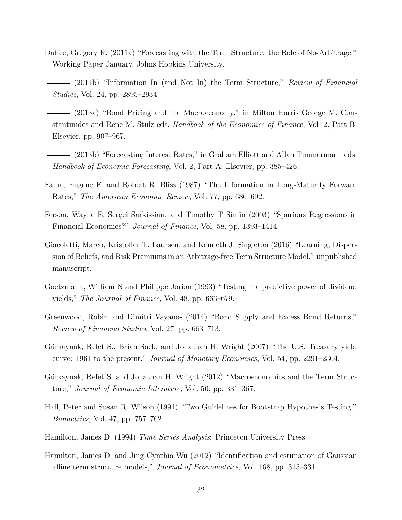- <span id="page-33-10"></span><span id="page-33-6"></span>Duffee, Gregory R. (2011a) "Forecasting with the Term Structure: the Role of No-Arbitrage," Working Paper January, Johns Hopkins University.
	- (2011b) "Information In (and Not In) the Term Structure," Review of Financial Studies, Vol. 24, pp. 2895–2934.
	- (2013a) "Bond Pricing and the Macroeconomy," in Milton Harris George M. Constantinides and Rene M. Stulz eds. Handbook of the Economics of Finance, Vol. 2, Part B: Elsevier, pp. 907–967.
- <span id="page-33-7"></span><span id="page-33-1"></span>(2013b) "Forecasting Interest Rates," in Graham Elliott and Allan Timmermann eds. Handbook of Economic Forecasting, Vol. 2, Part A: Elsevier, pp. 385–426.
- <span id="page-33-5"></span>Fama, Eugene F. and Robert R. Bliss (1987) "The Information in Long-Maturity Forward Rates," The American Economic Review, Vol. 77, pp. 680–692.
- <span id="page-33-4"></span>Ferson, Wayne E, Sergei Sarkissian, and Timothy T Simin (2003) "Spurious Regressions in Financial Economics?" Journal of Finance, Vol. 58, pp. 1393–1414.
- <span id="page-33-11"></span>Giacoletti, Marco, Kristoffer T. Laursen, and Kenneth J. Singleton (2016) "Learning, Dispersion of Beliefs, and Risk Premiums in an Arbitrage-free Term Structure Model," unpublished manuscript.
- <span id="page-33-3"></span>Goetzmann, William N and Philippe Jorion (1993) "Testing the predictive power of dividend yields," The Journal of Finance, Vol. 48, pp. 663–679.
- <span id="page-33-2"></span>Greenwood, Robin and Dimitri Vayanos (2014) "Bond Supply and Excess Bond Returns," Review of Financial Studies, Vol. 27, pp. 663–713.
- <span id="page-33-12"></span>Gürkaynak, Refet S., Brian Sack, and Jonathan H. Wright (2007) "The U.S. Treasury yield curve: 1961 to the present," Journal of Monetary Economics, Vol. 54, pp. 2291–2304.
- <span id="page-33-0"></span>Gürkaynak, Refet S. and Jonathan H. Wright (2012) "Macroeconomics and the Term Structure," Journal of Economic Literature, Vol. 50, pp. 331–367.
- <span id="page-33-9"></span>Hall, Peter and Susan R. Wilson (1991) "Two Guidelines for Bootstrap Hypothesis Testing," Biometrics, Vol. 47, pp. 757–762.
- <span id="page-33-8"></span>Hamilton, James D. (1994) Time Series Analysis: Princeton University Press.
- <span id="page-33-13"></span>Hamilton, James D. and Jing Cynthia Wu (2012) "Identification and estimation of Gaussian affine term structure models," Journal of Econometrics, Vol. 168, pp. 315–331.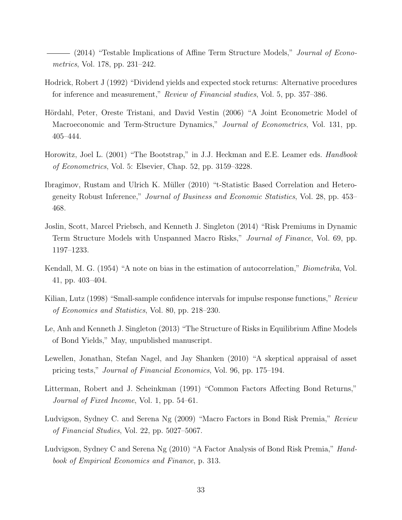<span id="page-34-8"></span>- (2014) "Testable Implications of Affine Term Structure Models," *Journal of Econo*metrics, Vol. 178, pp. 231–242.

- <span id="page-34-6"></span>Hodrick, Robert J (1992) "Dividend yields and expected stock returns: Alternative procedures for inference and measurement," Review of Financial studies, Vol. 5, pp. 357–386.
- <span id="page-34-0"></span>Hördahl, Peter, Oreste Tristani, and David Vestin (2006) "A Joint Econometric Model of Macroeconomic and Term-Structure Dynamics," *Journal of Econometrics*, Vol. 131, pp. 405–444.
- <span id="page-34-7"></span>Horowitz, Joel L. (2001) "The Bootstrap," in J.J. Heckman and E.E. Leamer eds. *Handbook* of Econometrics, Vol. 5: Elsevier, Chap. 52, pp. 3159–3228.
- <span id="page-34-12"></span>Ibragimov, Rustam and Ulrich K. Müller (2010) "t-Statistic Based Correlation and Heterogeneity Robust Inference," Journal of Business and Economic Statistics, Vol. 28, pp. 453– 468.
- <span id="page-34-2"></span>Joslin, Scott, Marcel Priebsch, and Kenneth J. Singleton (2014) "Risk Premiums in Dynamic Term Structure Models with Unspanned Macro Risks," Journal of Finance, Vol. 69, pp. 1197–1233.
- <span id="page-34-9"></span>Kendall, M. G. (1954) "A note on bias in the estimation of autocorrelation," Biometrika, Vol. 41, pp. 403–404.
- <span id="page-34-10"></span>Kilian, Lutz (1998) "Small-sample confidence intervals for impulse response functions," Review of Economics and Statistics, Vol. 80, pp. 218–230.
- <span id="page-34-11"></span>Le, Anh and Kenneth J. Singleton (2013) "The Structure of Risks in Equilibrium Affine Models of Bond Yields," May, unpublished manuscript.
- <span id="page-34-5"></span>Lewellen, Jonathan, Stefan Nagel, and Jay Shanken (2010) "A skeptical appraisal of asset pricing tests," Journal of Financial Economics, Vol. 96, pp. 175–194.
- <span id="page-34-1"></span>Litterman, Robert and J. Scheinkman (1991) "Common Factors Affecting Bond Returns," Journal of Fixed Income, Vol. 1, pp. 54–61.
- <span id="page-34-3"></span>Ludvigson, Sydney C. and Serena Ng (2009) "Macro Factors in Bond Risk Premia," Review of Financial Studies, Vol. 22, pp. 5027–5067.
- <span id="page-34-4"></span>Ludvigson, Sydney C and Serena Ng (2010) "A Factor Analysis of Bond Risk Premia," Handbook of Empirical Economics and Finance, p. 313.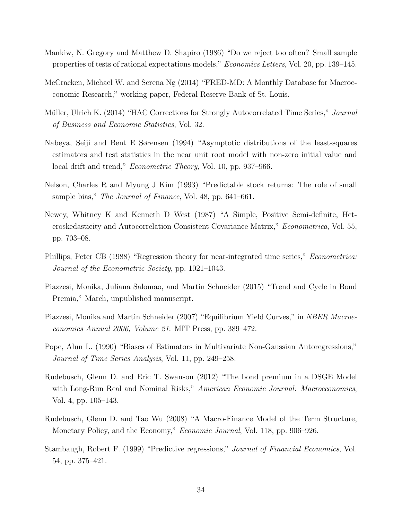- <span id="page-35-3"></span>Mankiw, N. Gregory and Matthew D. Shapiro (1986) "Do we reject too often? Small sample properties of tests of rational expectations models," Economics Letters, Vol. 20, pp. 139–145.
- <span id="page-35-12"></span>McCracken, Michael W. and Serena Ng (2014) "FRED-MD: A Monthly Database for Macroeconomic Research," working paper, Federal Reserve Bank of St. Louis.
- <span id="page-35-10"></span>Müller, Ulrich K. (2014) "HAC Corrections for Strongly Autocorrelated Time Series," Journal of Business and Economic Statistics, Vol. 32.
- <span id="page-35-8"></span>Nabeya, Seiji and Bent E Sørensen (1994) "Asymptotic distributions of the least-squares estimators and test statistics in the near unit root model with non-zero initial value and local drift and trend," Econometric Theory, Vol. 10, pp. 937–966.
- <span id="page-35-5"></span>Nelson, Charles R and Myung J Kim (1993) "Predictable stock returns: The role of small sample bias," The Journal of Finance, Vol. 48, pp. 641–661.
- <span id="page-35-9"></span>Newey, Whitney K and Kenneth D West (1987) "A Simple, Positive Semi-definite, Heteroskedasticity and Autocorrelation Consistent Covariance Matrix," Econometrica, Vol. 55, pp. 703–08.
- <span id="page-35-7"></span>Phillips, Peter CB (1988) "Regression theory for near-integrated time series," *Econometrica*: Journal of the Econometric Society, pp. 1021–1043.
- <span id="page-35-6"></span>Piazzesi, Monika, Juliana Salomao, and Martin Schneider (2015) "Trend and Cycle in Bond Premia," March, unpublished manuscript.
- <span id="page-35-0"></span>Piazzesi, Monika and Martin Schneider (2007) "Equilibrium Yield Curves," in *NBER Macroe*conomics Annual 2006, Volume 21: MIT Press, pp. 389–472.
- <span id="page-35-11"></span>Pope, Alun L. (1990) "Biases of Estimators in Multivariate Non-Gaussian Autoregressions," Journal of Time Series Analysis, Vol. 11, pp. 249–258.
- <span id="page-35-2"></span>Rudebusch, Glenn D. and Eric T. Swanson (2012) "The bond premium in a DSGE Model with Long-Run Real and Nominal Risks," American Economic Journal: Macroeconomics, Vol. 4, pp. 105–143.
- <span id="page-35-1"></span>Rudebusch, Glenn D. and Tao Wu (2008) "A Macro-Finance Model of the Term Structure, Monetary Policy, and the Economy," *Economic Journal*, Vol. 118, pp. 906–926.
- <span id="page-35-4"></span>Stambaugh, Robert F. (1999) "Predictive regressions," Journal of Financial Economics, Vol. 54, pp. 375–421.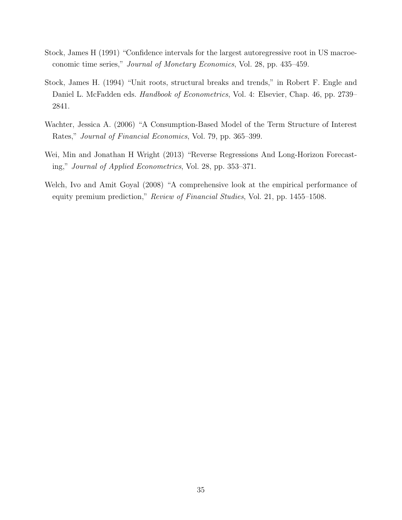- <span id="page-36-2"></span>Stock, James H (1991) "Confidence intervals for the largest autoregressive root in US macroeconomic time series," Journal of Monetary Economics, Vol. 28, pp. 435–459.
- <span id="page-36-3"></span>Stock, James H. (1994) "Unit roots, structural breaks and trends," in Robert F. Engle and Daniel L. McFadden eds. *Handbook of Econometrics*, Vol. 4: Elsevier, Chap. 46, pp. 2739– 2841.
- <span id="page-36-0"></span>Wachter, Jessica A. (2006) "A Consumption-Based Model of the Term Structure of Interest Rates," Journal of Financial Economics, Vol. 79, pp. 365–399.
- <span id="page-36-4"></span>Wei, Min and Jonathan H Wright (2013) "Reverse Regressions And Long-Horizon Forecasting," Journal of Applied Econometrics, Vol. 28, pp. 353–371.
- <span id="page-36-1"></span>Welch, Ivo and Amit Goyal (2008) "A comprehensive look at the empirical performance of equity premium prediction," Review of Financial Studies, Vol. 21, pp. 1455–1508.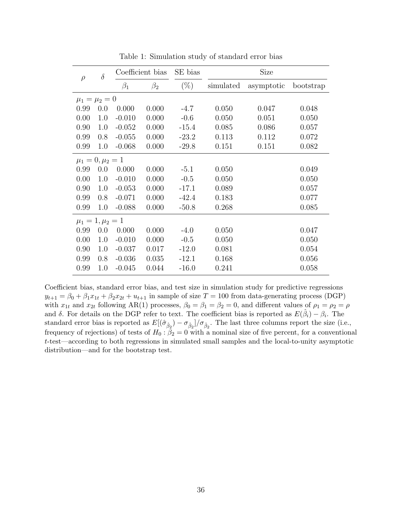| $\rho$                 | $\delta$ |           | Coefficient bias | SE bias |           | <b>Size</b> |           |
|------------------------|----------|-----------|------------------|---------|-----------|-------------|-----------|
|                        |          | $\beta_1$ | $\beta_2$        | $(\%)$  | simulated | asymptotic  | bootstrap |
| $\mu_1 = \mu_2 = 0$    |          |           |                  |         |           |             |           |
| 0.99                   | 0.0      | 0.000     | 0.000            | $-4.7$  | 0.050     | 0.047       | 0.048     |
| 0.00                   | 1.0      | $-0.010$  | 0.000            | $-0.6$  | 0.050     | 0.051       | 0.050     |
| 0.90                   | 1.0      | $-0.052$  | 0.000            | $-15.4$ | 0.085     | 0.086       | 0.057     |
| 0.99                   | 0.8      | $-0.055$  | 0.000            | $-23.2$ | 0.113     | 0.112       | 0.072     |
| 0.99                   | 1.0      | $-0.068$  | 0.000            | $-29.8$ | 0.151     | 0.151       | 0.082     |
| $\mu_1 = 0, \mu_2 = 1$ |          |           |                  |         |           |             |           |
| 0.99                   | 0.0      | 0.000     | 0.000            | $-5.1$  | 0.050     |             | 0.049     |
| 0.00                   | 1.0      | $-0.010$  | 0.000            | $-0.5$  | 0.050     |             | 0.050     |
| 0.90                   | 1.0      | $-0.053$  | 0.000            | $-17.1$ | 0.089     |             | 0.057     |
| 0.99                   | 0.8      | $-0.071$  | 0.000            | $-42.4$ | 0.183     |             | 0.077     |
| 0.99                   | 1.0      | $-0.088$  | 0.000            | $-50.8$ | 0.268     |             | 0.085     |
| $\mu_1 = 1, \mu_2 = 1$ |          |           |                  |         |           |             |           |
| 0.99                   | 0.0      | 0.000     | 0.000            | $-4.0$  | 0.050     |             | 0.047     |
| 0.00                   | 1.0      | $-0.010$  | 0.000            | $-0.5$  | 0.050     |             | 0.050     |
| 0.90                   | 1.0      | $-0.037$  | 0.017            | $-12.0$ | 0.081     |             | 0.054     |
| 0.99                   | 0.8      | $-0.036$  | 0.035            | $-12.1$ | 0.168     |             | 0.056     |
| 0.99                   | 1.0      | $-0.045$  | 0.044            | $-16.0$ | 0.241     |             | 0.058     |

<span id="page-37-0"></span>Table 1: Simulation study of standard error bias

Coefficient bias, standard error bias, and test size in simulation study for predictive regressions  $y_{t+1} = \beta_0 + \beta_1 x_{1t} + \beta_2 x_{2t} + u_{t+1}$  in sample of size  $T = 100$  from data-generating process (DGP) with  $x_{1t}$  and  $x_{2t}$  following AR(1) processes,  $\beta_0 = \beta_1 = \beta_2 = 0$ , and different values of  $\rho_1 = \rho_2 = \rho$ and  $\delta$ . For details on the DGP refer to text. The coefficient bias is reported as  $E(\hat{\beta}_i) - \beta_i$ . The standard error bias is reported as  $E[(\hat{\sigma}_{\hat{\beta}_2}) - \sigma_{\hat{\beta}_2}]/\sigma_{\hat{\beta}_2}$ . The last three columns report the size (i.e., frequency of rejections) of tests of  $H_0$ :  $\beta_2 = 0$  with a nominal size of five percent, for a conventional t-test—according to both regressions in simulated small samples and the local-to-unity asymptotic distribution—and for the bootstrap test.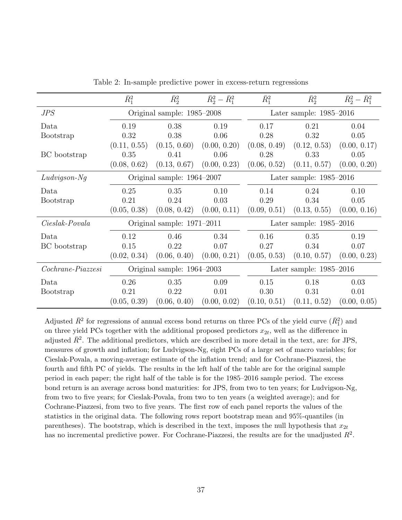|                     | $\bar{R}_1^2$ | $\bar{R}_2^2$              | $\bar{R}_{2}^{2}-\bar{R}_{1}^{2}$ | $\bar{R}_1^2$ | $\bar{R}_2^2$             | $\bar{R}_{2}^{2}-\bar{R}_{1}^{2}$ |
|---------------------|---------------|----------------------------|-----------------------------------|---------------|---------------------------|-----------------------------------|
| JPS                 |               | Original sample: 1985–2008 |                                   |               | Later sample: $1985-2016$ |                                   |
| Data                | 0.19          | 0.38                       | 0.19                              | 0.17          | 0.21                      | 0.04                              |
| <b>Bootstrap</b>    | 0.32          | 0.38                       | 0.06                              | 0.28          | 0.32                      | 0.05                              |
|                     | (0.11, 0.55)  | (0.15, 0.60)               | (0.00, 0.20)                      | (0.08, 0.49)  | (0.12, 0.53)              | (0.00, 0.17)                      |
| BC bootstrap        | 0.35          | 0.41                       | 0.06                              | 0.28          | 0.33                      | 0.05                              |
|                     | (0.08, 0.62)  | (0.13, 0.67)               | (0.00, 0.23)                      | (0.06, 0.52)  | (0.11, 0.57)              | (0.00, 0.20)                      |
| $Ludvigson-Ng$      |               | Original sample: 1964-2007 |                                   |               | Later sample: $1985-2016$ |                                   |
| Data                | 0.25          | 0.35                       | 0.10                              | 0.14          | 0.24                      | 0.10                              |
| Bootstrap           | 0.21          | 0.24                       | 0.03                              | 0.29          | 0.34                      | 0.05                              |
|                     | (0.05, 0.38)  | (0.08, 0.42)               | (0.00, 0.11)                      | (0.09, 0.51)  | (0.13, 0.55)              | (0.00, 0.16)                      |
| Cieslak-Povala      |               | Original sample: 1971–2011 |                                   |               | Later sample: $1985-2016$ |                                   |
| Data                | 0.12          | 0.46                       | 0.34                              | 0.16          | 0.35                      | 0.19                              |
| BC bootstrap        | 0.15          | 0.22                       | 0.07                              | 0.27          | 0.34                      | 0.07                              |
|                     | (0.02, 0.34)  | (0.06, 0.40)               | (0.00, 0.21)                      | (0.05, 0.53)  | (0.10, 0.57)              | (0.00, 0.23)                      |
| $Cochrane-Piazzesi$ |               | Original sample: 1964–2003 |                                   |               | Later sample: $1985-2016$ |                                   |
| Data                | 0.26          | 0.35                       | 0.09                              | 0.15          | 0.18                      | 0.03                              |
| Bootstrap           | 0.21          | 0.22                       | 0.01                              | 0.30          | 0.31                      | 0.01                              |
|                     | (0.05, 0.39)  | (0.06, 0.40)               | (0.00, 0.02)                      | (0.10, 0.51)  | (0.11, 0.52)              | (0.00, 0.05)                      |

<span id="page-38-0"></span>Table 2: In-sample predictive power in excess-return regressions

Adjusted  $\bar{R}^2$  for regressions of annual excess bond returns on three PCs of the yield curve  $(\bar{R}_1^2)$  and on three yield PCs together with the additional proposed predictors  $x_{2t}$ , well as the difference in adjusted  $\bar{R}^2$ . The additional predictors, which are described in more detail in the text, are: for JPS, measures of growth and inflation; for Ludvigson-Ng, eight PCs of a large set of macro variables; for Cieslak-Povala, a moving-average estimate of the inflation trend; and for Cochrane-Piazzesi, the fourth and fifth PC of yields. The results in the left half of the table are for the original sample period in each paper; the right half of the table is for the 1985–2016 sample period. The excess bond return is an average across bond maturities: for JPS, from two to ten years; for Ludvigson-Ng, from two to five years; for Cieslak-Povala, from two to ten years (a weighted average); and for Cochrane-Piazzesi, from two to five years. The first row of each panel reports the values of the statistics in the original data. The following rows report bootstrap mean and 95%-quantiles (in parentheses). The bootstrap, which is described in the text, imposes the null hypothesis that  $x_{2t}$ has no incremental predictive power. For Cochrane-Piazzesi, the results are for the unadjusted  $R^2$ .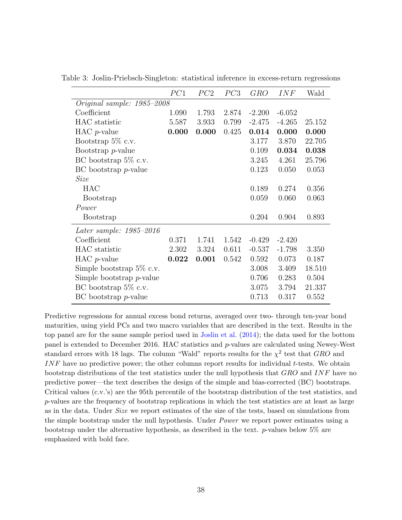<span id="page-39-0"></span>

|                                | PC1   | PC2   | PC3   | <b>GRO</b> | INF      | Wald   |
|--------------------------------|-------|-------|-------|------------|----------|--------|
| Original sample: 1985-2008     |       |       |       |            |          |        |
| Coefficient                    | 1.090 | 1.793 | 2.874 | $-2.200$   | $-6.052$ |        |
| <b>HAC</b> statistic           | 5.587 | 3.933 | 0.799 | $-2.475$   | $-4.265$ | 25.152 |
| $HAC$ <i>p</i> -value          | 0.000 | 0.000 | 0.425 | 0.014      | 0.000    | 0.000  |
| Bootstrap $5\%$ c.v.           |       |       |       | 3.177      | 3.870    | 22.705 |
| Bootstrap $p$ -value           |       |       |       | 0.109      | 0.034    | 0.038  |
| BC bootstrap $5\%$ c.v.        |       |       |       | 3.245      | 4.261    | 25.796 |
| $BC$ bootstrap <i>p</i> -value |       |       |       | 0.123      | 0.050    | 0.053  |
| Size                           |       |       |       |            |          |        |
| <b>HAC</b>                     |       |       |       | 0.189      | 0.274    | 0.356  |
| <b>Bootstrap</b>               |       |       |       | 0.059      | 0.060    | 0.063  |
| Power                          |       |       |       |            |          |        |
| <b>Bootstrap</b>               |       |       |       | 0.204      | 0.904    | 0.893  |
| Later sample: $1985 - 2016$    |       |       |       |            |          |        |
| Coefficient                    | 0.371 | 1.741 | 1.542 | $-0.429$   | $-2.420$ |        |
| <b>HAC</b> statistic           | 2.302 | 3.324 | 0.611 | $-0.537$   | $-1.798$ | 3.350  |
| $HAC$ <i>p</i> -value          | 0.022 | 0.001 | 0.542 | 0.592      | 0.073    | 0.187  |
| Simple bootstrap $5\%$ c.v.    |       |       |       | 3.008      | 3.409    | 18.510 |
| Simple bootstrap $p$ -value    |       |       |       | 0.706      | 0.283    | 0.504  |
| BC bootstrap $5\%$ c.v.        |       |       |       | 3.075      | 3.794    | 21.337 |
| $BC$ bootstrap <i>p</i> -value |       |       |       | 0.713      | 0.317    | 0.552  |

Table 3: Joslin-Priebsch-Singleton: statistical inference in excess-return regressions

Predictive regressions for annual excess bond returns, averaged over two- through ten-year bond maturities, using yield PCs and two macro variables that are described in the text. Results in the top panel are for the same sample period used in [Joslin et al.](#page-34-2) [\(2014\)](#page-34-2); the data used for the bottom panel is extended to December 2016. HAC statistics and p-values are calculated using Newey-West standard errors with 18 lags. The column "Wald" reports results for the  $\chi^2$  test that GRO and INF have no predictive power; the other columns report results for individual t-tests. We obtain bootstrap distributions of the test statistics under the null hypothesis that GRO and INF have no predictive power—the text describes the design of the simple and bias-corrected (BC) bootstraps. Critical values (c.v.'s) are the 95th percentile of the bootstrap distribution of the test statistics, and p-values are the frequency of bootstrap replications in which the test statistics are at least as large as in the data. Under Size we report estimates of the size of the tests, based on simulations from the simple bootstrap under the null hypothesis. Under Power we report power estimates using a bootstrap under the alternative hypothesis, as described in the text. p-values below 5% are emphasized with bold face.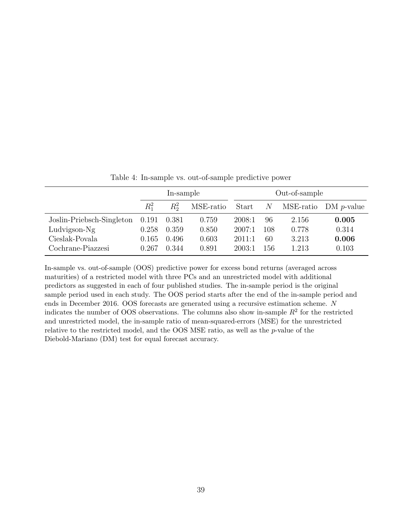|                           |         | In-sample |           |        |     | Out-of-sample |                         |
|---------------------------|---------|-----------|-----------|--------|-----|---------------|-------------------------|
|                           | $R_1^2$ | $R^2$     | MSE-ratio | Start  | N   |               | MSE-ratio $DM p$ -value |
| Joslin-Priebsch-Singleton | 0.191   | 0.381     | 0.759     | 2008:1 | 96  | 2.156         | 0.005                   |
| Ludvigson-Ng              | 0.258   | 0.359     | 0.850     | 2007:1 | 108 | 0.778         | 0.314                   |
| Cieslak-Povala            | 0.165   | 0.496     | 0.603     | 2011:1 | 60  | 3.213         | 0.006                   |
| Cochrane-Piazzesi         | 0.267   | 0.344     | 0.891     | 2003:1 | 156 | 1.213         | 0.103                   |

<span id="page-40-0"></span>Table 4: In-sample vs. out-of-sample predictive power

In-sample vs. out-of-sample (OOS) predictive power for excess bond returns (averaged across maturities) of a restricted model with three PCs and an unrestricted model with additional predictors as suggested in each of four published studies. The in-sample period is the original sample period used in each study. The OOS period starts after the end of the in-sample period and ends in December 2016. OOS forecasts are generated using a recursive estimation scheme. N indicates the number of OOS observations. The columns also show in-sample  $R^2$  for the restricted and unrestricted model, the in-sample ratio of mean-squared-errors (MSE) for the unrestricted relative to the restricted model, and the OOS MSE ratio, as well as the p-value of the Diebold-Mariano (DM) test for equal forecast accuracy.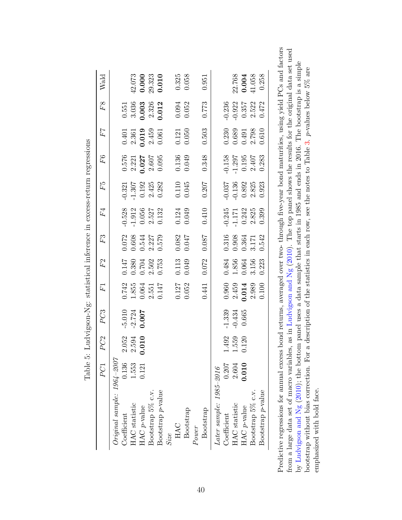|                                           | PC <sub>1</sub> | PC2   | $\cal{PC}3$ | F1                    | F2               | F3                                            | F4                   | F5       | F6                    | F7                    | F8       | Wald   |
|-------------------------------------------|-----------------|-------|-------------|-----------------------|------------------|-----------------------------------------------|----------------------|----------|-----------------------|-----------------------|----------|--------|
| $Original\ sample\!\!: 1964\text{--}2007$ |                 |       |             |                       |                  |                                               |                      |          |                       |                       |          |        |
| Coefficient                               | 0.136           | 2.052 | $-5.010$    |                       |                  | 0.072                                         |                      | $-0.321$ |                       |                       | 0.551    |        |
| $\rm HAC$ statistic                       | 1.553           | 2.594 | $-2.724$    | $0.742$<br>$1.855$    | $0.380$<br>0.380 | $0.608\,$                                     | $-0.528$<br>$-1.912$ | $-1.307$ | $\frac{0.576}{2.221}$ | $\frac{0.401}{2.361}$ | 3.036    | 42.073 |
| ${\rm HAC}$ $p\text{-value}$              | 0.121           | 0.010 | 0.007       | 0.064                 | $0.704\,$        | 0.544                                         | 0.056                | 0.192    | 1.027                 | 0.019                 | 0.003    | 0.000  |
| Bootstrap 5% c.v.                         |                 |       |             | 2.551                 |                  | 2.227                                         | 2.527                | 2.425    |                       | 2.459                 | 2.326    | 29.323 |
| Bootstrap p-value                         |                 |       |             | 0.147                 | $2.502$<br>0.753 | 0.579                                         | 0.132                | 0.282    | $2.607$<br>$0.095$    | $0.061\,$             | 0.012    | 0.010  |
| Size                                      |                 |       |             |                       |                  |                                               |                      |          |                       |                       |          |        |
| HAC                                       |                 |       |             | 0.127                 | 0.113            | 0.082                                         | 0.124                | 0.110    | 0.136                 | 0.121                 | 0.094    | 0.325  |
| Bootstrap                                 |                 |       |             | $0.052\,$             | 0.049            | $0.047$                                       | 0.049                | 0.045    | 0.049                 | $0.050\,$             | 0.052    | 0.058  |
| Power                                     |                 |       |             |                       |                  |                                               |                      |          |                       |                       |          |        |
| Bootstrap                                 |                 |       |             | 0.441                 | 0.072            | 180.0                                         | 0.410                | 0.207    | 0.348                 | 0.503                 | 0.773    | 0.951  |
| $Later\ sample:~1985–2016$                |                 |       |             |                       |                  |                                               |                      |          |                       |                       |          |        |
| Coefficient                               | 0.207           | 1.492 | $-1.339$    |                       |                  |                                               |                      | $-0.037$ |                       | 0.230                 | $-0.236$ |        |
| $\rm HAC$ statistic                       | 2.604           | 1.559 | $-0.434$    | $\frac{0.960}{2.459}$ | $0.484$<br>1.856 | $\begin{array}{c} 0.316 \\ 0.908 \end{array}$ | $-0.245$<br>$-1.171$ | $-0.136$ | $-0.158$<br>$-1.297$  | 0.689                 | $-0.922$ | 22.768 |
| ${\rm HAC}$ $p\text{-value}$              | 0.010           | 0.120 | 0.665       | 0.014                 | $\!0.064\!$      | 0.364                                         | 0.242                | 0.892    | $0.195\,$             | $\!0.491$             | 0.357    | 0.004  |
| Bootstrap 5% c.v.                         |                 |       |             | 2.989                 | 3.156            | 3.171                                         | 2.825                | 2.825    | 2.407                 | 2.798                 | 2.522    | 41.058 |
| Bootstrap p-value                         |                 |       |             | 0.100                 | 0.223            | 0.542                                         | 0.399                | 0.923    | 0.283                 | 0.610                 | 0.472    | 0.258  |

Table 5: Ludvigson-Ng: statistical inference in excess-return regressions Table 5: Ludvigson-Ng: statistical inference in excess-return regressions

<span id="page-41-0"></span>tors from a large data set of macro variables, as in Ludvigson and Ng (2010). The top panel shows the results for the original data set used Predictive regressions for annual excess bond returns, averaged over two- through five-year bond maturities, using yield PCs and factors from a large data set of macro variables, as in [Ludvigson](#page-34-4) and Ng [\(2010\)](#page-34-4). The top panel shows the results for the original data set used by Ludvigson and Ng  $(2010)$ ; the bottom panel uses a data sample that starts in 1985 and ends in 2016. The bootstrap is a simple by [Ludvigson](#page-34-4) and Ng ([2010\)](#page-34-4); the bottom panel uses a data sample that starts in 1985 and ends in 2016. The bootstrap is a simple bootstrap without bias correction. For a description of the statistics in each row, see the notes to Table 3.  $p$ -values below 5% are [3.](#page-39-0) *p*-values below  $5\%$  are bootstrap without bias correction. For a description of the statistics in each row, see the notes to Table emphasized with bold face. emphasized with bold face. Predic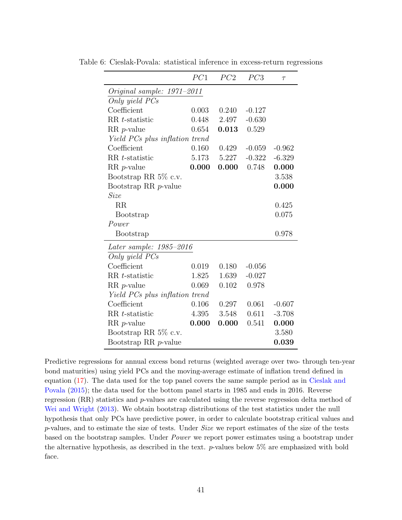<span id="page-42-0"></span>

|                                | PC1   | PC2   | PC3      | $\tau$   |
|--------------------------------|-------|-------|----------|----------|
| Original sample: $1971 - 2011$ |       |       |          |          |
| Only yield PCs                 |       |       |          |          |
| Coefficient                    | 0.003 | 0.240 | $-0.127$ |          |
| RR t-statistic                 | 0.448 | 2.497 | $-0.630$ |          |
| $RR$ <i>p</i> -value           | 0.654 | 0.013 | 0.529    |          |
| Yield PCs plus inflation trend |       |       |          |          |
| Coefficient                    | 0.160 | 0.429 | $-0.059$ | $-0.962$ |
| RR t-statistic                 | 5.173 | 5.227 | $-0.322$ | $-6.329$ |
| $RR$ <i>p</i> -value           | 0.000 | 0.000 | 0.748    | 0.000    |
| Bootstrap RR 5\% c.v.          |       |       |          | 3.538    |
| Bootstrap RR p-value           |       |       |          | 0.000    |
| Size                           |       |       |          |          |
| RR                             |       |       |          | 0.425    |
| Bootstrap                      |       |       |          | 0.075    |
| Power                          |       |       |          |          |
| Bootstrap                      |       |       |          | 0.978    |
| Later sample: 1985-2016        |       |       |          |          |
| Only yield PCs                 |       |       |          |          |
| Coefficient                    | 0.019 | 0.180 | $-0.056$ |          |
| RR t-statistic                 | 1.825 | 1.639 | $-0.027$ |          |
| $RR p-value$                   | 0.069 | 0.102 | 0.978    |          |
| Yield PCs plus inflation trend |       |       |          |          |
| Coefficient                    | 0.106 | 0.297 | 0.061    | $-0.607$ |
| RR t-statistic                 | 4.395 | 3.548 | 0.611    | $-3.708$ |
| $RR$ $p$ -value                | 0.000 | 0.000 | 0.541    | 0.000    |
| Bootstrap RR 5\% c.v.          |       |       |          | 3.580    |
| Bootstrap RR p-value           |       |       |          | 0.039    |

Table 6: Cieslak-Povala: statistical inference in excess-return regressions

Predictive regressions for annual excess bond returns (weighted average over two- through ten-year bond maturities) using yield PCs and the moving-average estimate of inflation trend defined in equation [\(17\)](#page-25-2). The data used for the top panel covers the same sample period as in [Cieslak and](#page-32-1) [Povala](#page-32-1) [\(2015\)](#page-32-1); the data used for the bottom panel starts in 1985 and ends in 2016. Reverse regression (RR) statistics and p-values are calculated using the reverse regression delta method of [Wei and Wright](#page-36-4) [\(2013\)](#page-36-4). We obtain bootstrap distributions of the test statistics under the null hypothesis that only PCs have predictive power, in order to calculate bootstrap critical values and  $p$ -values, and to estimate the size of tests. Under *Size* we report estimates of the size of the tests based on the bootstrap samples. Under Power we report power estimates using a bootstrap under the alternative hypothesis, as described in the text. p-values below 5% are emphasized with bold face.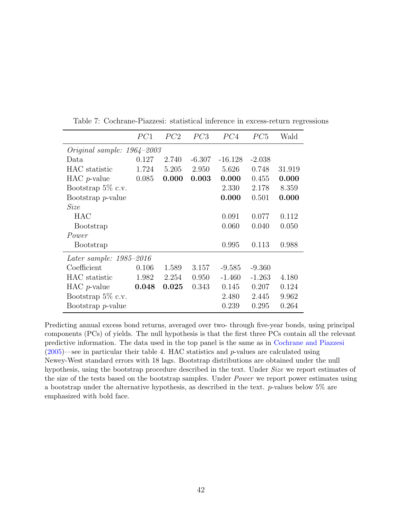|                            | PC1   | PC2   | PC3      | PC4       | PC5      | Wald   |
|----------------------------|-------|-------|----------|-----------|----------|--------|
| Original sample: 1964-2003 |       |       |          |           |          |        |
| Data                       | 0.127 | 2.740 | $-6.307$ | $-16.128$ | $-2.038$ |        |
| <b>HAC</b> statistic       | 1.724 | 5.205 | 2.950    | 5.626     | 0.748    | 31.919 |
| $HAC$ <i>p</i> -value      | 0.085 | 0.000 | 0.003    | 0.000     | 0.455    | 0.000  |
| Bootstrap $5\%$ c.v.       |       |       |          | 2.330     | 2.178    | 8.359  |
| Bootstrap $p$ -value       |       |       |          | 0.000     | 0.501    | 0.000  |
| Size                       |       |       |          |           |          |        |
| <b>HAC</b>                 |       |       |          | 0.091     | 0.077    | 0.112  |
| <b>Bootstrap</b>           |       |       |          | 0.060     | 0.040    | 0.050  |
| Power                      |       |       |          |           |          |        |
| <b>Bootstrap</b>           |       |       |          | 0.995     | 0.113    | 0.988  |
| Later sample: 1985-2016    |       |       |          |           |          |        |
| Coefficient                | 0.106 | 1.589 | 3.157    | $-9.585$  | $-9.360$ |        |
| <b>HAC</b> statistic       | 1.982 | 2.254 | 0.950    | $-1.460$  | $-1.263$ | 4.180  |
| $HAC$ <i>p</i> -value      | 0.048 | 0.025 | 0.343    | 0.145     | 0.207    | 0.124  |
| Bootstrap $5\%$ c.v.       |       |       |          | 2.480     | 2.445    | 9.962  |
| Bootstrap <i>p</i> -value  |       |       |          | 0.239     | 0.295    | 0.264  |

<span id="page-43-0"></span>Table 7: Cochrane-Piazzesi: statistical inference in excess-return regressions

Predicting annual excess bond returns, averaged over two- through five-year bonds, using principal components (PCs) of yields. The null hypothesis is that the first three PCs contain all the relevant predictive information. The data used in the top panel is the same as in [Cochrane and Piazzesi](#page-32-3)  $(2005)$ —see in particular their table 4. HAC statistics and p-values are calculated using Newey-West standard errors with 18 lags. Bootstrap distributions are obtained under the null hypothesis, using the bootstrap procedure described in the text. Under Size we report estimates of the size of the tests based on the bootstrap samples. Under Power we report power estimates using a bootstrap under the alternative hypothesis, as described in the text.  $p$ -values below 5% are emphasized with bold face.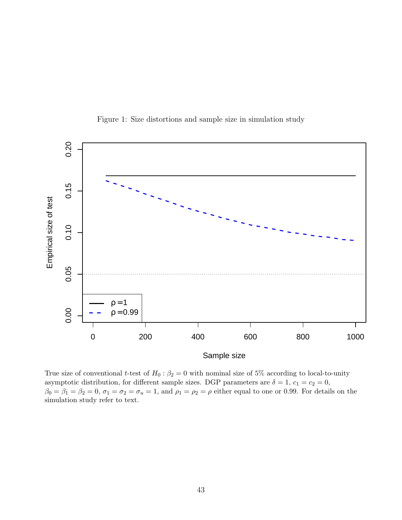

<span id="page-44-0"></span>Figure 1: Size distortions and sample size in simulation study

True size of conventional t-test of  $H_0: \beta_2 = 0$  with nominal size of 5% according to local-to-unity asymptotic distribution, for different sample sizes. DGP parameters are  $\delta = 1, c_1 = c_2 = 0$ ,  $\beta_0 = \beta_1 = \beta_2 = 0$ ,  $\sigma_1 = \sigma_2 = \sigma_u = 1$ , and  $\rho_1 = \rho_2 = \rho$  either equal to one or 0.99. For details on the simulation study refer to text.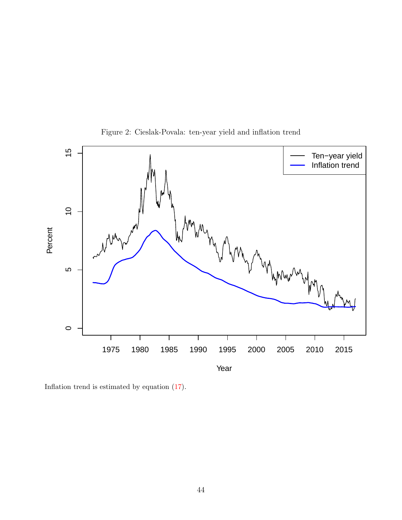

<span id="page-45-0"></span>Figure 2: Cieslak-Povala: ten-year yield and inflation trend

Inflation trend is estimated by equation [\(17\)](#page-25-2).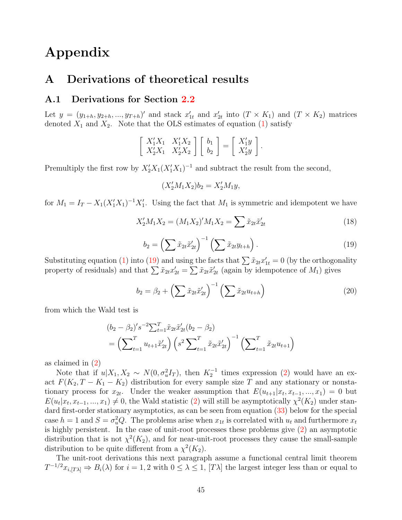# Appendix

### A Derivations of theoretical results

#### <span id="page-46-0"></span>A.1 Derivations for Section [2.2](#page-8-2)

Let  $y = (y_{1+h}, y_{2+h}, ..., y_{T+h})'$  and stack  $x'_{1t}$  and  $x'_{2t}$  into  $(T \times K_1)$  and  $(T \times K_2)$  matrices denoted  $X_1$  and  $X_2$ . Note that the OLS estimates of equation [\(1\)](#page-7-0) satisfy

$$
\left[\begin{array}{cc} X_1'X_1 & X_1'X_2 \\ X_2'X_1 & X_2'X_2 \end{array}\right] \left[\begin{array}{c} b_1 \\ b_2 \end{array}\right] = \left[\begin{array}{c} X_1'y \\ X_2'y \end{array}\right].
$$

Premultiply the first row by  $X_2'X_1(X_1'X_1)^{-1}$  and subtract the result from the second,

$$
(X_2'M_1X_2)b_2 = X_2'M_1y,
$$

for  $M_1 = I_T - X_1 (X_1' X_1)^{-1} X_1'$ . Using the fact that  $M_1$  is symmetric and idempotent we have

<span id="page-46-2"></span>
$$
X_2'M_1X_2 = (M_1X_2)'M_1X_2 = \sum \tilde{x}_{2t}\tilde{x}_{2t}' \tag{18}
$$

<span id="page-46-1"></span>
$$
b_2 = \left(\sum \tilde{x}_{2t}\tilde{x}_{2t}'\right)^{-1} \left(\sum \tilde{x}_{2t}y_{t+h}\right).
$$
 (19)

Substituting equation [\(1\)](#page-7-0) into [\(19\)](#page-46-1) and using the facts that  $\sum \tilde{x}_{2t} x'_{1t} = 0$  (by the orthogonality property of residuals) and that  $\sum \tilde{x}_{2t} x'_{2t} = \sum \tilde{x}_{2t} \tilde{x}'_{2t}$  (again by idempotence of  $M_1$ ) gives

<span id="page-46-3"></span>
$$
b_2 = \beta_2 + \left(\sum \tilde{x}_{2t}\tilde{x}_{2t}'\right)^{-1} \left(\sum \tilde{x}_{2t}u_{t+h}\right)
$$
\n(20)

from which the Wald test is

$$
(b_2 - \beta_2)' s^{-2} \sum_{t=1}^T \tilde{x}_{2t} \tilde{x}_{2t}' (b_2 - \beta_2)
$$
  
= 
$$
\left( \sum_{t=1}^T u_{t+1} \tilde{x}_{2t}' \right) \left( s^2 \sum_{t=1}^T \tilde{x}_{2t} \tilde{x}_{2t}' \right)^{-1} \left( \sum_{t=1}^T \tilde{x}_{2t} u_{t+1} \right)
$$

as claimed in [\(2\)](#page-8-3)

Note that if  $u|X_1, X_2 \sim N(0, \sigma_u^2 I_T)$ , then  $K_2^{-1}$  times expression [\(2\)](#page-8-3) would have an exact  $F(K_2, T - K_1 - K_2)$  distribution for every sample size T and any stationary or nonstationary process for  $x_{2t}$ . Under the weaker assumption that  $E(u_{t+1}|x_t, x_{t-1},...,x_1) = 0$  but  $E(u_t|x_t, x_{t-1},...,x_1) \neq 0$ , the Wald statistic [\(2\)](#page-8-3) will still be asymptotically  $\chi^2(K_2)$  under standard first-order stationary asymptotics, as can be seen from equation  $(33)$  below for the special case  $h = 1$  and  $S = \sigma_u^2 Q$ . The problems arise when  $x_{1t}$  is correlated with  $u_t$  and furthermore  $x_t$ is highly persistent. In the case of unit-root processes these problems give [\(2\)](#page-8-3) an asymptotic distribution that is not  $\chi^2(K_2)$ , and for near-unit-root processes they cause the small-sample distribution to be quite different from a  $\chi^2(K_2)$ .

The unit-root derivations this next paragraph assume a functional central limit theorem  $T^{-1/2}x_{i,|T\lambda|} \Rightarrow B_i(\lambda)$  for  $i=1,2$  with  $0 \leq \lambda \leq 1$ ,  $[T\lambda]$  the largest integer less than or equal to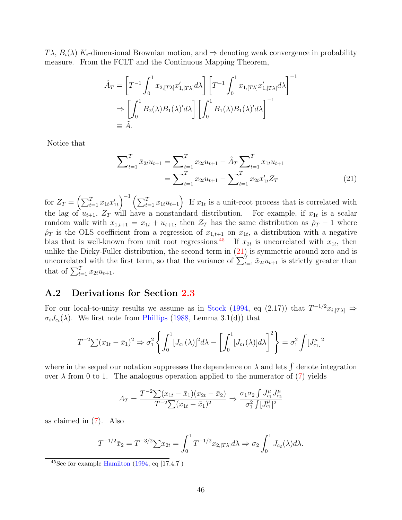$T\lambda$ ,  $B_i(\lambda)$  K<sub>i</sub>-dimensional Brownian motion, and  $\Rightarrow$  denoting weak convergence in probability measure. From the FCLT and the Continuous Mapping Theorem,

$$
\hat{A}_T = \left[T^{-1} \int_0^1 x_{2,[T\lambda]} x'_{1,[T\lambda]} d\lambda\right] \left[T^{-1} \int_0^1 x_{1,[T\lambda]} x'_{1,[T\lambda]} d\lambda\right]^{-1}
$$

$$
\Rightarrow \left[\int_0^1 B_2(\lambda) B_1(\lambda)' d\lambda\right] \left[\int_0^1 B_1(\lambda) B_1(\lambda)' d\lambda\right]^{-1}
$$

$$
\equiv \tilde{A}.
$$

Notice that

<span id="page-47-2"></span>
$$
\sum_{t=1}^{T} \tilde{x}_{2t} u_{t+1} = \sum_{t=1}^{T} x_{2t} u_{t+1} - \hat{A}_T \sum_{t=1}^{T} x_{1t} u_{t+1}
$$

$$
= \sum_{t=1}^{T} x_{2t} u_{t+1} - \sum_{t=1}^{T} x_{2t} x'_{1t} Z_T
$$
(21)

for  $Z_T = \left(\sum_{t=1}^T x_{1t} x'_{1t}\right)^{-1} \left(\sum_{t=1}^T x_{1t} u_{t+1}\right)$  If  $x_{1t}$  is a unit-root process that is correlated with the lag of  $u_{t+1}$ ,  $Z_T$  will have a nonstandard distribution. For example, if  $x_{1t}$  is a scalar random walk with  $x_{1,t+1} = x_{1t} + u_{t+1}$ , then  $Z_T$  has the same distribution as  $\hat{\rho}_T - 1$  where  $\rho_T$  is the OLS coefficient from a regression of  $x_{1,t+1}$  on  $x_{1t}$ , a distribution with a negative bias that is well-known from unit root regressions.<sup>[45](#page-47-1)</sup> If  $x_{2t}$  is uncorrelated with  $x_{1t}$ , then unlike the Dicky-Fuller distribution, the second term in  $(21)$  is symmetric around zero and is uncorrelated with the first term, so that the variance of  $\sum_{t=1}^{T} \tilde{x}_{2t} u_{t+1}$  is strictly greater than that of  $\sum_{t=1}^{T} x_{2t} u_{t+1}$ .

#### <span id="page-47-0"></span>A.2 Derivations for Section [2.3](#page-9-6)

For our local-to-unity results we assume as in [Stock](#page-36-3) [\(1994,](#page-36-3) eq (2.17)) that  $T^{-1/2}x_{i, [T\lambda]} \Rightarrow$  $\sigma_i J_{c_i}(\lambda)$ . We first note from [Phillips](#page-35-7) [\(1988,](#page-35-7) Lemma 3.1(d)) that

$$
T^{-2}\sum_{i}(x_{1t}-\bar{x}_{1})^{2} \Rightarrow \sigma_{1}^{2}\left\{\int_{0}^{1}[J_{c_{1}}(\lambda)]^{2}d\lambda - \left[\int_{0}^{1}[J_{c_{1}}(\lambda)]d\lambda\right]^{2}\right\} = \sigma_{1}^{2}\int [J_{c_{1}}^{\mu}]^{2}
$$

where in the sequel our notation suppresses the dependence on  $\lambda$  and lets  $\int$  denote integration over  $\lambda$  from 0 to 1. The analogous operation applied to the numerator of [\(7\)](#page-10-3) yields

$$
A_T = \frac{T^{-2} \sum (x_{1t} - \bar{x}_1)(x_{2t} - \bar{x}_2)}{T^{-2} \sum (x_{1t} - \bar{x}_1)^2} \Rightarrow \frac{\sigma_1 \sigma_2 \int J_{c_1}^{\mu} J_{c_2}^{\mu}}{\sigma_1^2 \int [J_{c_1}^{\mu}]^2}
$$

as claimed in [\(7\)](#page-10-3). Also

$$
T^{-1/2}\bar{x}_2 = T^{-3/2} \sum x_{2t} = \int_0^1 T^{-1/2} x_{2,[T\lambda]} d\lambda \Rightarrow \sigma_2 \int_0^1 J_{c_2}(\lambda) d\lambda.
$$

<span id="page-47-1"></span> $45$ See for example [Hamilton](#page-33-8) [\(1994,](#page-33-8) eq [17.4.7])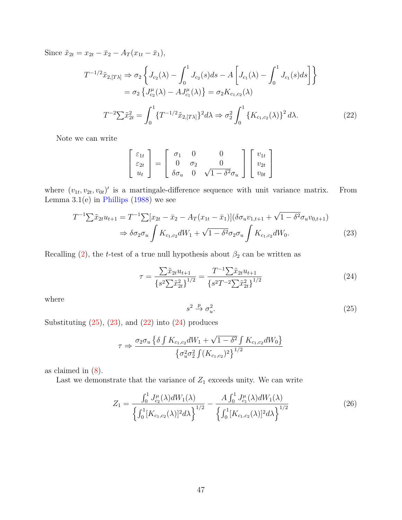Since  $\tilde{x}_{2t} = x_{2t} - \bar{x}_2 - A_T(x_{1t} - \bar{x}_1),$ 

<span id="page-48-2"></span>
$$
T^{-1/2}\tilde{x}_{2,[T\lambda]} \Rightarrow \sigma_2 \left\{ J_{c_2}(\lambda) - \int_0^1 J_{c_2}(s)ds - A \left[ J_{c_1}(\lambda) - \int_0^1 J_{c_1}(s)ds \right] \right\}
$$
  

$$
= \sigma_2 \left\{ J_{c_2}^{\mu}(\lambda) - A J_{c_1}^{\mu}(\lambda) \right\} = \sigma_2 K_{c_1,c_2}(\lambda)
$$
  

$$
T^{-2} \sum \tilde{x}_{2t}^2 = \int_0^1 \left\{ T^{-1/2} \tilde{x}_{2,[T\lambda]} \right\}^2 d\lambda \Rightarrow \sigma_2^2 \int_0^1 \left\{ K_{c_1,c_2}(\lambda) \right\}^2 d\lambda.
$$
 (22)

Note we can write

$$
\begin{bmatrix} \varepsilon_{1t} \\ \varepsilon_{2t} \\ u_t \end{bmatrix} = \begin{bmatrix} \sigma_1 & 0 & 0 \\ 0 & \sigma_2 & 0 \\ \delta \sigma_u & 0 & \sqrt{1 - \delta^2} \sigma_u \end{bmatrix} \begin{bmatrix} v_{1t} \\ v_{2t} \\ v_{0t} \end{bmatrix}
$$

where  $(v_{1t}, v_{2t}, v_{0t})'$  is a martingale-difference sequence with unit variance matrix. From Lemma 3.1(e) in [Phillips](#page-35-7) [\(1988\)](#page-35-7) we see

$$
T^{-1} \sum \tilde{x}_{2t} u_{t+1} = T^{-1} \sum [x_{2t} - \bar{x}_2 - A_T (x_{1t} - \bar{x}_1)] (\delta \sigma_u v_{1,t+1} + \sqrt{1 - \delta^2} \sigma_u v_{0,t+1})
$$
  
\n
$$
\Rightarrow \delta \sigma_2 \sigma_u \int K_{c_1, c_2} dW_1 + \sqrt{1 - \delta^2} \sigma_2 \sigma_u \int K_{c_1, c_2} dW_0.
$$
\n(23)

Recalling [\(2\)](#page-8-3), the t-test of a true null hypothesis about  $\beta_2$  can be written as

<span id="page-48-3"></span>
$$
\tau = \frac{\sum \tilde{x}_{2t} u_{t+1}}{\left\{s^2 \sum \tilde{x}_{2t}^2\right\}^{1/2}} = \frac{T^{-1} \sum \tilde{x}_{2t} u_{t+1}}{\left\{s^2 T^{-2} \sum \tilde{x}_{2t}^2\right\}^{1/2}}
$$
(24)

where

<span id="page-48-1"></span><span id="page-48-0"></span>
$$
s^2 \stackrel{p}{\rightarrow} \sigma_u^2. \tag{25}
$$

Substituting  $(25)$ ,  $(23)$ , and  $(22)$  into  $(24)$  produces

$$
\tau \Rightarrow \frac{\sigma_2 \sigma_u \left\{ \delta \int K_{c_1, c_2} dW_1 + \sqrt{1 - \delta^2} \int K_{c_1, c_2} dW_0 \right\}}{\left\{ \sigma_u^2 \sigma_2^2 \int (K_{c_1, c_2})^2 \right\}^{1/2}}
$$

as claimed in  $(8)$ .

Last we demonstrate that the variance of  $Z_1$  exceeds unity. We can write

<span id="page-48-4"></span>
$$
Z_{1} = \frac{\int_{0}^{1} J_{c_{2}}^{\mu}(\lambda) dW_{1}(\lambda)}{\left\{\int_{0}^{1} [K_{c_{1},c_{2}}(\lambda)]^{2} d\lambda\right\}^{1/2}} - \frac{A \int_{0}^{1} J_{c_{1}}^{\mu}(\lambda) dW_{1}(\lambda)}{\left\{\int_{0}^{1} [K_{c_{1},c_{2}}(\lambda)]^{2} d\lambda\right\}^{1/2}}
$$
(26)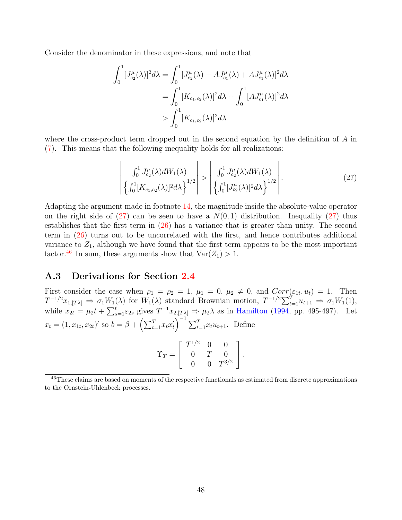Consider the denominator in these expressions, and note that

$$
\int_0^1 [J_{c_2}^{\mu}(\lambda)]^2 d\lambda = \int_0^1 [J_{c_2}^{\mu}(\lambda) - AJ_{c_1}^{\mu}(\lambda) + AJ_{c_1}^{\mu}(\lambda)]^2 d\lambda
$$
  
= 
$$
\int_0^1 [K_{c_1,c_2}(\lambda)]^2 d\lambda + \int_0^1 [AJ_{c_1}^{\mu}(\lambda)]^2 d\lambda
$$
  
> 
$$
\int_0^1 [K_{c_1,c_2}(\lambda)]^2 d\lambda
$$

where the cross-product term dropped out in the second equation by the definition of  $A$  in [\(7\)](#page-10-3). This means that the following inequality holds for all realizations:

<span id="page-49-1"></span>
$$
\left| \frac{\int_0^1 J_{c_2}^{\mu}(\lambda) dW_1(\lambda)}{\left\{ \int_0^1 [K_{c_1, c_2}(\lambda)]^2 d\lambda \right\}^{1/2}} \right| > \left| \frac{\int_0^1 J_{c_2}^{\mu}(\lambda) dW_1(\lambda)}{\left\{ \int_0^1 [J_{c_2}^{\mu}(\lambda)]^2 d\lambda \right\}^{1/2}} \right|.
$$
\n(27)

Adapting the argument made in footnote [14,](#page-10-1) the magnitude inside the absolute-value operator on the right side of  $(27)$  can be seen to have a  $N(0, 1)$  distribution. Inequality  $(27)$  thus establishes that the first term in [\(26\)](#page-48-4) has a variance that is greater than unity. The second term in [\(26\)](#page-48-4) turns out to be uncorrelated with the first, and hence contributes additional variance to  $Z_1$ , although we have found that the first term appears to be the most important factor.<sup>[46](#page-49-2)</sup> In sum, these arguments show that  $Var(Z_1) > 1$ .

#### <span id="page-49-0"></span>A.3 Derivations for Section [2.4](#page-12-2)

First consider the case when  $\rho_1 = \rho_2 = 1$ ,  $\mu_1 = 0$ ,  $\mu_2 \neq 0$ , and  $Corr(\varepsilon_{1t}, u_t) = 1$ . Then  $T^{-1/2}x_{1,[T\lambda]} \Rightarrow \sigma_1W_1(\lambda)$  for  $W_1(\lambda)$  standard Brownian motion,  $T^{-1/2}\sum_{t=1}^T u_{t+1} \Rightarrow \sigma_1W_1(1)$ , while  $x_{2t} = \mu_2 t + \sum_{s=1}^t \varepsilon_{2s}$  gives  $T^{-1} x_{2,[T\lambda]} \Rightarrow \mu_2 \lambda$  as in [Hamilton](#page-33-8) [\(1994,](#page-33-8) pp. 495-497). Let  $x_t = (1, x_{1t}, x_{2t})'$  so  $b = \beta + \left(\sum_{t=1}^T x_t x_t'\right)^{-1} \sum_{t=1}^T x_t u_{t+1}$ . Define

|                | $T^{1/2}$ |                   |           |  |
|----------------|-----------|-------------------|-----------|--|
| $\Upsilon_T =$ | -1        |                   |           |  |
|                |           | $\mathbf{\Omega}$ | $T^{3/2}$ |  |

<span id="page-49-2"></span><sup>&</sup>lt;sup>46</sup>These claims are based on moments of the respective functionals as estimated from discrete approximations to the Ornstein-Uhlenbeck processes.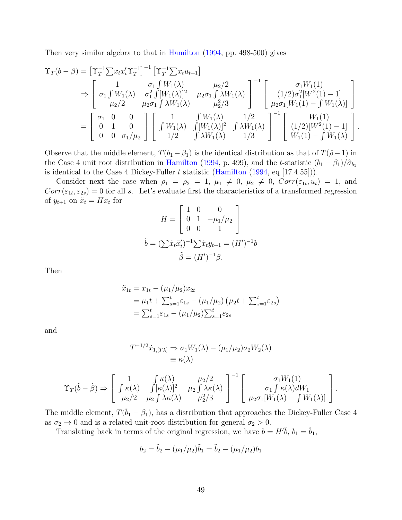Then very similar algebra to that in [Hamilton](#page-33-8) [\(1994,](#page-33-8) pp. 498-500) gives

$$
\begin{split}\n\Upsilon_T(b-\beta) &= \left[\Upsilon_T^{-1} \sum x_t x_t' \Upsilon_T^{-1}\right]^{-1} \left[\Upsilon_T^{-1} \sum x_t u_{t+1}\right] \\
& \Rightarrow \begin{bmatrix} 1 & \sigma_1 \int W_1(\lambda) & \mu_2/2 \\ \sigma_1 \int W_1(\lambda) & \sigma_1^2 \int [W_1(\lambda)]^2 & \mu_2 \sigma_1 \int \lambda W_1(\lambda) \\ \mu_2/2 & \mu_2 \sigma_1 \int \lambda W_1(\lambda) & \mu_2^2/3 \end{bmatrix}^{-1} \begin{bmatrix} \sigma_1 W_1(1) \\ (1/2) \sigma_1^2 [W^2(1) - 1] \\ \mu_2 \sigma_1 [W_1(1) - \int W_1(\lambda)] \end{bmatrix} \\
&= \begin{bmatrix} \sigma_1 & 0 & 0 \\ 0 & 1 & 0 \\ 0 & 0 & \sigma_1/\mu_2 \end{bmatrix} \begin{bmatrix} 1 & \int W_1(\lambda) & 1/2 \\ \int W_1(\lambda) & \int [W_1(\lambda)]^2 & \int \lambda W_1(\lambda) \\ 1/2 & \int \lambda W_1(\lambda) & 1/3 \end{bmatrix}^{-1} \begin{bmatrix} W_1(1) \\ (1/2)[W^2(1) - 1] \\ W_1(1) - \int W_1(\lambda) \end{bmatrix}.\n\end{split}
$$

Observe that the middle element,  $T(b_1 - \beta_1)$  is the identical distribution as that of  $T(\hat{\rho}-1)$  in the Case 4 unit root distribution in [Hamilton](#page-33-8) [\(1994,](#page-33-8) p. 499), and the t-statistic  $(b_1 - \beta_1)/\hat{\sigma}_{b_1}$ is identical to the Case 4 Dickey-Fuller  $t$  statistic [\(Hamilton](#page-33-8) [\(1994,](#page-33-8) eq [17.4.55])).

Consider next the case when  $\rho_1 = \rho_2 = 1$ ,  $\mu_1 \neq 0$ ,  $\mu_2 \neq 0$ ,  $Corr(\varepsilon_{1t}, u_t) = 1$ , and  $Corr(\varepsilon_{1t}, \varepsilon_{2s}) = 0$  for all s. Let's evaluate first the characteristics of a transformed regression of  $y_{t+1}$  on  $\tilde{x}_t = Hx_t$  for

$$
H = \begin{bmatrix} 1 & 0 & 0 \\ 0 & 1 & -\mu_1/\mu_2 \\ 0 & 0 & 1 \end{bmatrix}
$$

$$
\tilde{b} = (\sum \tilde{x}_t \tilde{x}'_t)^{-1} \sum \tilde{x}_t y_{t+1} = (H')^{-1} b
$$

$$
\tilde{\beta} = (H')^{-1} \beta.
$$

Then

$$
\tilde{x}_{1t} = x_{1t} - (\mu_1/\mu_2)x_{2t}
$$
\n
$$
= \mu_1 t + \sum_{s=1}^t \varepsilon_{1s} - (\mu_1/\mu_2) (\mu_2 t + \sum_{s=1}^t \varepsilon_{2s})
$$
\n
$$
= \sum_{s=1}^t \varepsilon_{1s} - (\mu_1/\mu_2) \sum_{s=1}^t \varepsilon_{2s}
$$

and

$$
T^{-1/2}\tilde{x}_{1,[T\lambda]} \Rightarrow \sigma_1 W_1(\lambda) - (\mu_1/\mu_2)\sigma_2 W_2(\lambda)
$$
  

$$
\equiv \kappa(\lambda)
$$

$$
\Upsilon_T(\tilde{b}-\tilde{\beta}) \Rightarrow \begin{bmatrix} 1 & \int \kappa(\lambda) & \mu_2/2 \\ \int \kappa(\lambda) & \int [\kappa(\lambda)]^2 & \mu_2 \int \lambda \kappa(\lambda) \\ \mu_2/2 & \mu_2 \int \lambda \kappa(\lambda) & \mu_2^2/3 \end{bmatrix}^{-1} \begin{bmatrix} \sigma_1 W_1(1) \\ \sigma_1 \int \kappa(\lambda) dW_1 \\ \mu_2 \sigma_1[W_1(\lambda) - \int W_1(\lambda)] \end{bmatrix}.
$$

The middle element,  $T(\tilde{b}_1 - \beta_1)$ , has a distribution that approaches the Dickey-Fuller Case 4 as  $\sigma_2 \to 0$  and is a related unit-root distribution for general  $\sigma_2 > 0$ .

Translating back in terms of the original regression, we have  $b = H^{\prime}\tilde{b}$ ,  $b_1 = \tilde{b}_1$ ,

$$
b_2 = \tilde{b}_2 - (\mu_1/\mu_2)\tilde{b}_1 = \tilde{b}_2 - (\mu_1/\mu_2)b_1
$$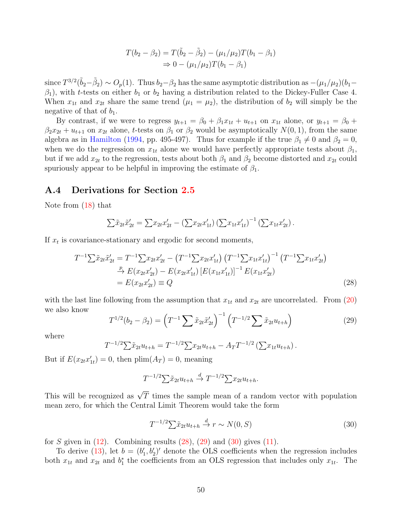$$
T(b_2 - \beta_2) = T(\tilde{b}_2 - \tilde{\beta}_2) - (\mu_1/\mu_2)T(b_1 - \beta_1)
$$
  
\n
$$
\Rightarrow 0 - (\mu_1/\mu_2)T(b_1 - \beta_1)
$$

since  $T^{3/2}(\tilde{b}_2-\tilde{\beta}_2) \sim O_p(1)$ . Thus  $b_2-\beta_2$  has the same asymptotic distribution as  $-(\mu_1/\mu_2)(b_1-\mu_1/\mu_2)$  $\beta_1$ ), with t-tests on either  $b_1$  or  $b_2$  having a distribution related to the Dickey-Fuller Case 4. When  $x_{1t}$  and  $x_{2t}$  share the same trend  $(\mu_1 = \mu_2)$ , the distribution of  $b_2$  will simply be the negative of that of  $b_1$ .

By contrast, if we were to regress  $y_{t+1} = \beta_0 + \beta_1 x_{1t} + u_{t+1}$  on  $x_{1t}$  alone, or  $y_{t+1} = \beta_0 +$  $\beta_2 x_{2t} + u_{t+1}$  on  $x_{2t}$  alone, t-tests on  $\beta_1$  or  $\beta_2$  would be asymptotically  $N(0, 1)$ , from the same algebra as in [Hamilton](#page-33-8) [\(1994,](#page-33-8) pp. 495-497). Thus for example if the true  $\beta_1 \neq 0$  and  $\beta_2 = 0$ , when we do the regression on  $x_{1t}$  alone we would have perfectly appropriate tests about  $\beta_1$ , but if we add  $x_{2t}$  to the regression, tests about both  $\beta_1$  and  $\beta_2$  become distorted and  $x_{2t}$  could spuriously appear to be helpful in improving the estimate of  $\beta_1$ .

#### <span id="page-51-0"></span>A.4 Derivations for Section [2.5](#page-14-1)

Note from [\(18\)](#page-46-2) that

$$
\sum \tilde{x}_{2t} \tilde{x}'_{2t} = \sum x_{2t} x'_{2t} - \left(\sum x_{2t} x'_{1t}\right) \left(\sum x_{1t} x'_{1t}\right)^{-1} \left(\sum x_{1t} x'_{2t}\right).
$$

If  $x_t$  is covariance-stationary and ergodic for second moments,

$$
T^{-1} \sum \tilde{x}_{2t} \tilde{x}'_{2t} = T^{-1} \sum x_{2t} x'_{2t} - \left( T^{-1} \sum x_{2t} x'_{1t} \right) \left( T^{-1} \sum x_{1t} x'_{1t} \right)^{-1} \left( T^{-1} \sum x_{1t} x'_{2t} \right)
$$
  
\n
$$
\xrightarrow{p} E(x_{2t} x'_{2t}) - E(x_{2t} x'_{1t}) \left[ E(x_{1t} x'_{1t}) \right]^{-1} E(x_{1t} x'_{2t})
$$
  
\n
$$
= E(x_{2t} x'_{2t}) \equiv Q \tag{28}
$$

with the last line following from the assumption that  $x_{1t}$  and  $x_{2t}$  are uncorrelated. From [\(20\)](#page-46-3) we also know

<span id="page-51-2"></span>
$$
T^{1/2}(b_2 - \beta_2) = \left(T^{-1} \sum \tilde{x}_{2t} \tilde{x}'_{2t}\right)^{-1} \left(T^{-1/2} \sum \tilde{x}_{2t} u_{t+h}\right)
$$
(29)

where

$$
T^{-1/2} \sum \tilde{x}_{2t} u_{t+h} = T^{-1/2} \sum x_{2t} u_{t+h} - A_T T^{-1/2} \left( \sum x_{1t} u_{t+h} \right).
$$

But if  $E(x_{2t}x'_{1t}) = 0$ , then  $\text{plim}(A_T) = 0$ , meaning

<span id="page-51-1"></span>
$$
T^{-1/2} \sum \tilde{x}_{2t} u_{t+h} \stackrel{d}{\rightarrow} T^{-1/2} \sum x_{2t} u_{t+h}.
$$

This will be recognized as  $\sqrt{T}$  times the sample mean of a random vector with population mean zero, for which the Central Limit Theorem would take the form

<span id="page-51-3"></span>
$$
T^{-1/2} \sum \tilde{x}_{2t} u_{t+h} \stackrel{d}{\to} r \sim N(0, S) \tag{30}
$$

for S given in  $(12)$ . Combining results  $(28)$ ,  $(29)$  and  $(30)$  gives  $(11)$ .

To derive [\(13\)](#page-15-3), let  $b = (b'_1, b'_2)'$  denote the OLS coefficients when the regression includes both  $x_{1t}$  and  $x_{2t}$  and  $b_1^*$  the coefficients from an OLS regression that includes only  $x_{1t}$ . The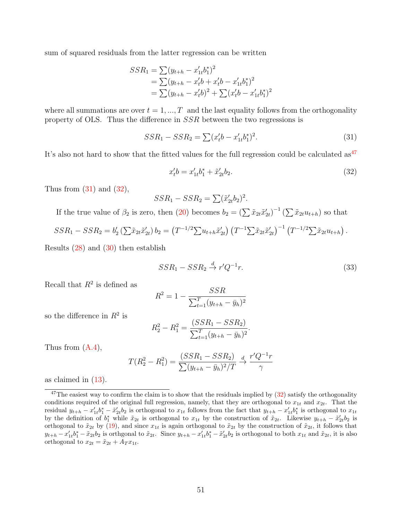sum of squared residuals from the latter regression can be written

$$
SSR_1 = \sum (y_{t+h} - x'_{1t}b_1^*)^2
$$
  
=  $\sum (y_{t+h} - x'_t b + x'_t b - x'_{1t}b_1^*)^2$   
=  $\sum (y_{t+h} - x'_t b)^2 + \sum (x'_t b - x'_{1t}b_1^*)^2$ 

where all summations are over  $t = 1, ..., T$  and the last equality follows from the orthogonality property of OLS. Thus the difference in SSR between the two regressions is

<span id="page-52-2"></span>
$$
SSR_1 - SSR_2 = \sum (x_t'b - x_{1t}'b_1^*)^2.
$$
\n(31)

It's also not hard to show that the fitted values for the full regression could be calculated as  $47$ 

<span id="page-52-3"></span>
$$
x_t'b = x_{1t}'b_1^* + \tilde{x}_{2t}'b_2.
$$
\n(32)

Thus from  $(31)$  and  $(32)$ ,

$$
SSR_1 - SSR_2 = \sum (\tilde{x}'_{2t}b_2)^2.
$$

If the true value of  $\beta_2$  is zero, then [\(20\)](#page-46-3) becomes  $b_2 = \left(\sum \tilde{x}_{2t}\tilde{x}_{2t}'\right)^{-1}\left(\sum \tilde{x}_{2t}u_{t+h}\right)$  so that

$$
SSR_1 - SSR_2 = b'_2 (\sum \tilde{x}_{2t} \tilde{x}'_{2t}) b_2 = (T^{-1/2} \sum u_{t+h} \tilde{x}'_{2t}) (T^{-1} \sum \tilde{x}_{2t} \tilde{x}'_{2t})^{-1} (T^{-1/2} \sum \tilde{x}_{2t} u_{t+h}).
$$

Results [\(28\)](#page-51-1) and [\(30\)](#page-51-3) then establish

<span id="page-52-0"></span>
$$
SSR_1 - SSR_2 \xrightarrow{d} r'Q^{-1}r. \tag{33}
$$

Recall that  $R^2$  is defined as

$$
R^{2} = 1 - \frac{SSR}{\sum_{t=1}^{T} (y_{t+h} - \bar{y}_{h})^{2}}
$$

so the difference in  $R^2$  is

$$
R_2^2 - R_1^2 = \frac{(SSR_1 - SSR_2)}{\sum_{t=1}^T (y_{t+h} - \bar{y}_h)^2}.
$$

Thus from [\(A.4\)](#page-52-3),

$$
T(R_2^2 - R_1^2) = \frac{(SSR_1 - SSR_2)}{\sum (y_{t+h} - \bar{y}_h)^2/T} \stackrel{d}{\to} \frac{r'Q^{-1}r}{\gamma}
$$

as claimed in [\(13\)](#page-15-3).

<span id="page-52-1"></span> $47$ The easiest way to confirm the claim is to show that the residuals implied by  $(32)$  satisfy the orthogonality conditions required of the original full regression, namely, that they are orthogonal to  $x_{1t}$  and  $x_{2t}$ . That the residual  $y_{t+h} - x'_{1t}b_1^* - \tilde{x}'_{2t}b_2$  is orthogonal to  $x_{1t}$  follows from the fact that  $y_{t+h} - x'_{1t}b_1^*$  is orthogonal to  $x_{1t}$ by the definition of  $b_1^*$  while  $\tilde{x}_{2t}$  is orthogonal to  $x_{1t}$  by the construction of  $\tilde{x}_{2t}$ . Likewise  $y_{t+h} - \tilde{x}'_{2t}$  is orthogonal to  $\tilde{x}_{2t}$  by [\(19\)](#page-46-1), and since  $x_{1t}$  is again orthogonal to  $\tilde{x}_{2t}$  by the construction of  $\tilde{x}_{2t}$ , it follows that  $y_{t+h} - x'_{1t}b_1^* - \tilde{x}_{2t}b_2$  is orthgonal to  $\tilde{x}_{2t}$ . Since  $y_{t+h} - x'_{1t}b_1^* - \tilde{x}'_{2t}b_2$  is orthogonal to both  $x_{1t}$  and  $\tilde{x}_{2t}$ , it is also orthogonal to  $x_{2t} = \tilde{x}_{2t} + A_T x_{1t}$ .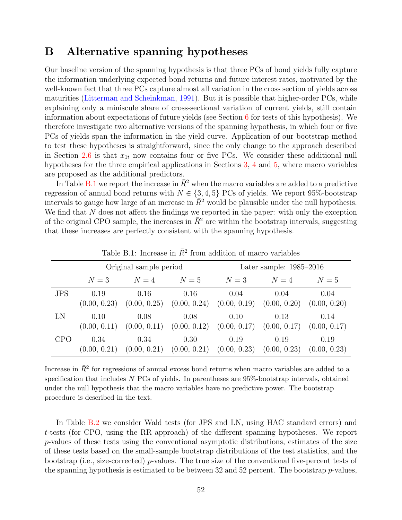### <span id="page-53-0"></span>B Alternative spanning hypotheses

Our baseline version of the spanning hypothesis is that three PCs of bond yields fully capture the information underlying expected bond returns and future interest rates, motivated by the well-known fact that three PCs capture almost all variation in the cross section of yields across maturities [\(Litterman and Scheinkman,](#page-34-1) [1991\)](#page-34-1). But it is possible that higher-order PCs, while explaining only a miniscule share of cross-sectional variation of current yields, still contain information about expectations of future yields (see Section [6](#page-29-1) for tests of this hypothesis). We therefore investigate two alternative versions of the spanning hypothesis, in which four or five PCs of yields span the information in the yield curve. Application of our bootstrap method to test these hypotheses is straightforward, since the only change to the approach described in Section [2.6](#page-15-2) is that  $x_{1t}$  now contains four or five PCs. We consider these additional null hypotheses for the three empirical applications in Sections [3,](#page-19-2) [4](#page-22-2) and [5,](#page-25-0) where macro variables are proposed as the additional predictors.

In Table [B.1](#page-53-1) we report the increase in  $\bar{R}^2$  when the macro variables are added to a predictive regression of annual bond returns with  $N \in \{3, 4, 5\}$  PCs of yields. We report 95%-bootstrap intervals to gauge how large of an increase in  $\bar{R}^2$  would be plausible under the null hypothesis. We find that  $N$  does not affect the findings we reported in the paper: with only the exception of the original CPO sample, the increases in  $\bar{R}^2$  are within the bootstrap intervals, suggesting that these increases are perfectly consistent with the spanning hypothesis.

|            |                      | Original sample period |                      |                      | Later sample: $1985-2016$                            |                      |
|------------|----------------------|------------------------|----------------------|----------------------|------------------------------------------------------|----------------------|
|            | $N=3$                | $N=4$                  | $N=5$                | $N=3$                | $N=4$                                                | $N=5$                |
| <b>JPS</b> | 0.19<br>(0.00, 0.23) | 0.16<br>(0.00, 0.25)   | 0.16<br>(0.00, 0.24) | 0.04                 | 0.04<br>$(0.00, 0.19)$ $(0.00, 0.20)$                | 0.04<br>(0.00, 0.20) |
| LN         | 0.10<br>(0.00, 0.11) | 0.08<br>(0.00, 0.11)   | 0.08<br>(0.00, 0.12) | 0.10                 | 0.13<br>$(0.00, 0.17)$ $(0.00, 0.17)$ $(0.00, 0.17)$ | 0.14                 |
| <b>CPO</b> | 0.34<br>(0.00, 0.21) | 0.34<br>(0.00, 0.21)   | 0.30<br>(0.00, 0.21) | 0.19<br>(0.00, 0.23) | 0.19<br>(0.00, 0.23)                                 | 0.19<br>(0.00, 0.23) |

<span id="page-53-1"></span>Table B.1: Increase in  $\bar{R}^2$  from addition of macro variables

Increase in  $\bar{R}^2$  for regressions of annual excess bond returns when macro variables are added to a specification that includes N PCs of yields. In parentheses are 95%-bootstrap intervals, obtained under the null hypothesis that the macro variables have no predictive power. The bootstrap procedure is described in the text.

In Table [B.2](#page-54-1) we consider Wald tests (for JPS and LN, using HAC standard errors) and t-tests (for CPO, using the RR approach) of the different spanning hypotheses. We report p-values of these tests using the conventional asymptotic distributions, estimates of the size of these tests based on the small-sample bootstrap distributions of the test statistics, and the bootstrap (i.e., size-corrected)  $p$ -values. The true size of the conventional five-percent tests of the spanning hypothesis is estimated to be between 32 and 52 percent. The bootstrap p-values,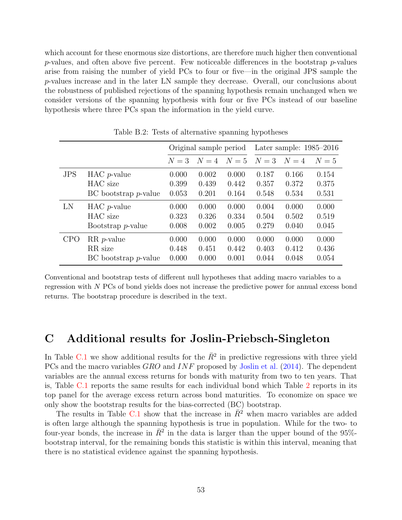which account for these enormous size distortions, are therefore much higher then conventional  $p$ -values, and often above five percent. Few noticeable differences in the bootstrap  $p$ -values arise from raising the number of yield PCs to four or five—in the original JPS sample the p-values increase and in the later LN sample they decrease. Overall, our conclusions about the robustness of published rejections of the spanning hypothesis remain unchanged when we consider versions of the spanning hypothesis with four or five PCs instead of our baseline hypothesis where three PCs span the information in the yield curve.

|            |                                |       | Original sample period |             |       | Later sample: $1985-2016$ |       |
|------------|--------------------------------|-------|------------------------|-------------|-------|---------------------------|-------|
|            |                                | $N=3$ | $N=4$                  | $N=5$ $N=3$ |       | $N=4$                     | $N=5$ |
| <b>JPS</b> | $HAC$ <i>p</i> -value          | 0.000 | 0.002                  | 0.000       | 0.187 | 0.166                     | 0.154 |
|            | HAC size                       | 0.399 | 0.439                  | 0.442       | 0.357 | 0.372                     | 0.375 |
|            | $BC$ bootstrap <i>p</i> -value | 0.053 | 0.201                  | 0.164       | 0.548 | 0.534                     | 0.531 |
| LN         | $HAC$ <i>p</i> -value          | 0.000 | 0.000                  | 0.000       | 0.004 | 0.000                     | 0.000 |
|            | HAC size                       | 0.323 | 0.326                  | 0.334       | 0.504 | 0.502                     | 0.519 |
|            | Bootstrap $p$ -value           | 0.008 | 0.002                  | 0.005       | 0.279 | 0.040                     | 0.045 |
| <b>CPO</b> | $RR$ <i>p</i> -value           | 0.000 | 0.000                  | 0.000       | 0.000 | 0.000                     | 0.000 |
|            | RR size                        | 0.448 | 0.451                  | 0.442       | 0.403 | 0.412                     | 0.436 |
|            | $BC$ bootstrap <i>p</i> -value | 0.000 | 0.000                  | 0.001       | 0.044 | 0.048                     | 0.054 |

<span id="page-54-1"></span>Table B.2: Tests of alternative spanning hypotheses

Conventional and bootstrap tests of different null hypotheses that adding macro variables to a regression with N PCs of bond yields does not increase the predictive power for annual excess bond returns. The bootstrap procedure is described in the text.

### <span id="page-54-0"></span>C Additional results for Joslin-Priebsch-Singleton

In Table [C.1](#page-55-0) we show additional results for the  $\bar{R}^2$  in predictive regressions with three yield PCs and the macro variables GRO and INF proposed by [Joslin et al.](#page-34-2) [\(2014\)](#page-34-2). The dependent variables are the annual excess returns for bonds with maturity from two to ten years. That is, Table [C.1](#page-55-0) reports the same results for each individual bond which Table [2](#page-38-0) reports in its top panel for the average excess return across bond maturities. To economize on space we only show the bootstrap results for the bias-corrected (BC) bootstrap.

The results in Table [C.1](#page-55-0) show that the increase in  $\bar{R}^2$  when macro variables are added is often large although the spanning hypothesis is true in population. While for the two- to four-year bonds, the increase in  $\bar{R}^2$  in the data is larger than the upper bound of the 95%bootstrap interval, for the remaining bonds this statistic is within this interval, meaning that there is no statistical evidence against the spanning hypothesis.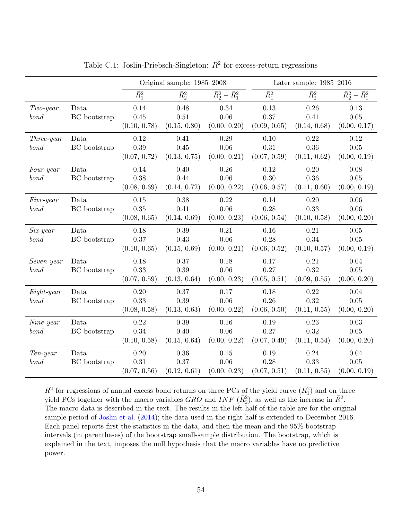|                          |                      |                                  | Original sample: 1985-2008   |                                   |                                  | Later sample: $1985-2016$        |                                   |
|--------------------------|----------------------|----------------------------------|------------------------------|-----------------------------------|----------------------------------|----------------------------------|-----------------------------------|
|                          |                      | $\bar{R}_1^2$                    | $\bar{R}_2^2$                | $\bar{R}_{2}^{2}-\bar{R}_{1}^{2}$ | $\bar{R}_1^2$                    | $\bar{R}_2^2$                    | $\bar{R}_{2}^{2}-\bar{R}_{1}^{2}$ |
| $Two-year$<br>bond       | Data<br>BC bootstrap | $0.14\,$<br>0.45<br>(0.10, 0.78) | 0.48<br>0.51<br>(0.15, 0.80) | 0.34<br>0.06<br>(0.00, 0.20)      | $0.13\,$<br>0.37<br>(0.09, 0.65) | $0.26\,$<br>0.41<br>(0.14, 0.68) | 0.13<br>0.05<br>(0.00, 0.17)      |
| Three-year<br>bond       | Data<br>BC bootstrap | 0.12<br>0.39<br>(0.07, 0.72)     | 0.41<br>0.45<br>(0.13, 0.75) | 0.29<br>0.06<br>(0.00, 0.21)      | 0.10<br>0.31<br>(0.07, 0.59)     | 0.22<br>0.36<br>(0.11, 0.62)     | 0.12<br>$0.05\,$<br>(0.00, 0.19)  |
| Four-year<br>bond        | Data<br>BC bootstrap | 0.14<br>0.38<br>(0.08, 0.69)     | 0.40<br>0.44<br>(0.14, 0.72) | 0.26<br>0.06<br>(0.00, 0.22)      | 0.12<br>0.30<br>(0.06, 0.57)     | 0.20<br>0.36<br>(0.11, 0.60)     | 0.08<br>0.05<br>(0.00, 0.19)      |
| <i>Five-year</i><br>bond | Data<br>BC bootstrap | $0.15\,$<br>0.35<br>(0.08, 0.65) | 0.38<br>0.41<br>(0.14, 0.69) | 0.22<br>0.06<br>(0.00, 0.23)      | 0.14<br>0.28<br>(0.06, 0.54)     | 0.20<br>0.33<br>(0.10, 0.58)     | $0.06\,$<br>0.06<br>(0.00, 0.20)  |
| $Six-year$<br>bond       | Data<br>BC bootstrap | 0.18<br>0.37<br>(0.10, 0.65)     | 0.39<br>0.43<br>(0.15, 0.69) | 0.21<br>0.06<br>(0.00, 0.21)      | 0.16<br>0.28<br>(0.06, 0.52)     | 0.21<br>0.34<br>(0.10, 0.57)     | 0.05<br>0.05<br>(0.00, 0.19)      |
| Seven-year<br>bond       | Data<br>BC bootstrap | 0.18<br>0.33<br>(0.07, 0.59)     | 0.37<br>0.39<br>(0.13, 0.64) | 0.18<br>0.06<br>(0.00, 0.23)      | 0.17<br>0.27<br>(0.05, 0.51)     | 0.21<br>0.32<br>(0.09, 0.55)     | 0.04<br>0.05<br>(0.00, 0.20)      |
| $Eight-year$<br>bond     | Data<br>BC bootstrap | 0.20<br>0.33<br>(0.08, 0.58)     | 0.37<br>0.39<br>(0.13, 0.63) | 0.17<br>0.06<br>(0.00, 0.22)      | 0.18<br>0.26<br>(0.06, 0.50)     | 0.22<br>0.32<br>(0.11, 0.55)     | 0.04<br>$0.05\,$<br>(0.00, 0.20)  |
| $Nine-year$<br>bond      | Data<br>BC bootstrap | 0.22<br>0.34<br>(0.10, 0.58)     | 0.39<br>0.40<br>(0.15, 0.64) | 0.16<br>0.06<br>(0.00, 0.22)      | 0.19<br>0.27<br>(0.07, 0.49)     | 0.23<br>0.32<br>(0.11, 0.54)     | 0.03<br>0.05<br>(0.00, 0.20)      |
| $Ten-year$<br>bond       | Data<br>BC bootstrap | 0.20<br>0.31<br>(0.07, 0.56)     | 0.36<br>0.37<br>(0.12, 0.61) | 0.15<br>0.06<br>(0.00, 0.23)      | 0.19<br>0.28<br>(0.07, 0.51)     | 0.24<br>0.33<br>(0.11, 0.55)     | 0.04<br>0.05<br>(0.00, 0.19)      |

<span id="page-55-0"></span>Table C.1: Joslin-Priebsch-Singleton:  $\bar{R}^2$  for excess-return regressions

 $\bar{R}^2$  for regressions of annual excess bond returns on three PCs of the yield curve  $(\bar{R}_1^2)$  and on three yield PCs together with the macro variables GRO and INF  $(\bar{R}_2^2)$ , as well as the increase in  $\bar{R}^2$ . The macro data is described in the text. The results in the left half of the table are for the original sample period of [Joslin et al.](#page-34-2) [\(2014\)](#page-34-2); the data used in the right half is extended to December 2016. Each panel reports first the statistics in the data, and then the mean and the 95%-bootstrap intervals (in parentheses) of the bootstrap small-sample distribution. The bootstrap, which is explained in the text, imposes the null hypothesis that the macro variables have no predictive power.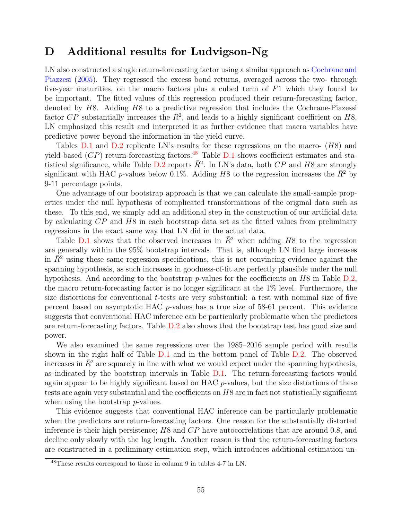### <span id="page-56-0"></span>D Additional results for Ludvigson-Ng

LN also constructed a single return-forecasting factor using a similar approach as [Cochrane and](#page-32-3) [Piazzesi](#page-32-3) [\(2005\)](#page-32-3). They regressed the excess bond returns, averaged across the two- through five-year maturities, on the macro factors plus a cubed term of F1 which they found to be important. The fitted values of this regression produced their return-forecasting factor, denoted by H8. Adding H8 to a predictive regression that includes the Cochrane-Piazessi factor  $\overline{CP}$  substantially increases the  $\overline{R}^2$ , and leads to a highly significant coefficient on H8. LN emphasized this result and interpreted it as further evidence that macro variables have predictive power beyond the information in the yield curve.

Tables  $D.1$  and  $D.2$  replicate LN's results for these regressions on the macro-  $(H8)$  and yield-based  $(CP)$  return-forecasting factors.<sup>[48](#page-56-1)</sup> Table [D.1](#page-57-0) shows coefficient estimates and statistical significance, while Table  $D.2$  reports  $\bar{R}^2$ . In LN's data, both  $CP$  and H8 are strongly significant with HAC p-values below 0.1%. Adding H8 to the regression increases the  $\bar{R}^2$  by 9-11 percentage points.

One advantage of our bootstrap approach is that we can calculate the small-sample properties under the null hypothesis of complicated transformations of the original data such as these. To this end, we simply add an additional step in the construction of our artificial data by calculating  $\mathbb{CP}$  and  $\mathbb{H}8$  in each bootstrap data set as the fitted values from preliminary regressions in the exact same way that LN did in the actual data.

Table [D.1](#page-57-0) shows that the observed increases in  $\bar{R}^2$  when adding H8 to the regression are generally within the 95% bootstrap intervals. That is, although LN find large increases in  $\bar{R}^2$  using these same regression specifications, this is not convincing evidence against the spanning hypothesis, as such increases in goodness-of-fit are perfectly plausible under the null hypothesis. And according to the bootstrap  $p$ -values for the coefficients on H8 in Table [D.2,](#page-58-0) the macro return-forecasting factor is no longer significant at the 1% level. Furthermore, the size distortions for conventional  $t$ -tests are very substantial: a test with nominal size of five percent based on asymptotic HAC  $p$ -values has a true size of 58-61 percent. This evidence suggests that conventional HAC inference can be particularly problematic when the predictors are return-forecasting factors. Table [D.2](#page-58-0) also shows that the bootstrap test has good size and power.

We also examined the same regressions over the 1985–2016 sample period with results shown in the right half of Table [D.1](#page-57-0) and in the bottom panel of Table [D.2.](#page-58-0) The observed increases in  $\bar{R}^2$  are squarely in line with what we would expect under the spanning hypothesis, as indicated by the bootstrap intervals in Table [D.1.](#page-57-0) The return-forecasting factors would again appear to be highly significant based on  $HAC$  *p*-values, but the size distortions of these tests are again very substantial and the coefficients on H8 are in fact not statistically significant when using the bootstrap *p*-values.

This evidence suggests that conventional HAC inference can be particularly problematic when the predictors are return-forecasting factors. One reason for the substantially distorted inference is their high persistence;  $H8$  and  $CP$  have autocorrelations that are around 0.8, and decline only slowly with the lag length. Another reason is that the return-forecasting factors are constructed in a preliminary estimation step, which introduces additional estimation un-

<span id="page-56-1"></span><sup>48</sup>These results correspond to those in column 9 in tables 4-7 in LN.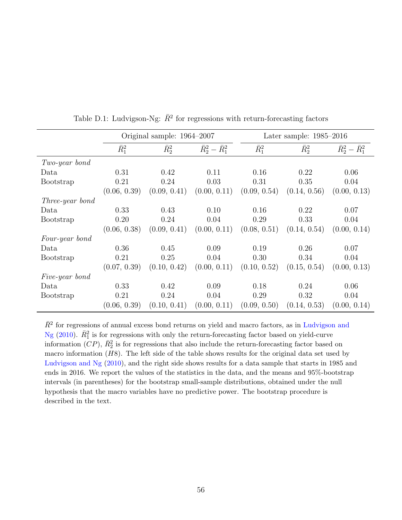|                  |               | Original sample: 1964–2007 |                                   |               | Later sample: $1985-2016$ |                                   |
|------------------|---------------|----------------------------|-----------------------------------|---------------|---------------------------|-----------------------------------|
|                  | $\bar{R}_1^2$ | $\bar{R}_2^2$              | $\bar{R}_{2}^{2}-\bar{R}_{1}^{2}$ | $\bar{R}_1^2$ | $\bar{R}_2^2$             | $\bar{R}_{2}^{2}-\bar{R}_{1}^{2}$ |
| Two-year bond    |               |                            |                                   |               |                           |                                   |
| Data             | 0.31          | 0.42                       | 0.11                              | 0.16          | 0.22                      | 0.06                              |
| Bootstrap        | 0.21          | 0.24                       | 0.03                              | 0.31          | 0.35                      | 0.04                              |
|                  | (0.06, 0.39)  | (0.09, 0.41)               | (0.00, 0.11)                      | (0.09, 0.54)  | (0.14, 0.56)              | (0.00, 0.13)                      |
| Three-year bond  |               |                            |                                   |               |                           |                                   |
| Data             | 0.33          | 0.43                       | 0.10                              | 0.16          | 0.22                      | 0.07                              |
| Bootstrap        | 0.20          | 0.24                       | 0.04                              | 0.29          | 0.33                      | 0.04                              |
|                  | (0.06, 0.38)  | (0.09, 0.41)               | (0.00, 0.11)                      | (0.08, 0.51)  | (0.14, 0.54)              | (0.00, 0.14)                      |
| Four-year bond   |               |                            |                                   |               |                           |                                   |
| Data             | 0.36          | 0.45                       | 0.09                              | 0.19          | 0.26                      | 0.07                              |
| <b>Bootstrap</b> | 0.21          | 0.25                       | 0.04                              | 0.30          | 0.34                      | 0.04                              |
|                  | (0.07, 0.39)  | (0.10, 0.42)               | (0.00, 0.11)                      | (0.10, 0.52)  | (0.15, 0.54)              | (0.00, 0.13)                      |
| Five-year bond   |               |                            |                                   |               |                           |                                   |
| Data             | 0.33          | 0.42                       | 0.09                              | 0.18          | 0.24                      | 0.06                              |
| Bootstrap        | 0.21          | 0.24                       | 0.04                              | 0.29          | 0.32                      | 0.04                              |
|                  | (0.06, 0.39)  | (0.10, 0.41)               | (0.00, 0.11)                      | (0.09, 0.50)  | (0.14, 0.53)              | (0.00, 0.14)                      |

<span id="page-57-0"></span>Table D.1: Ludvigson-Ng:  $\bar{R}^2$  for regressions with return-forecasting factors

 $\bar{R}^2$  for regressions of annual excess bond returns on yield and macro factors, as in [Ludvigson and](#page-34-4) [Ng](#page-34-4) [\(2010\)](#page-34-4).  $\bar{R}_1^2$  is for regressions with only the return-forecasting factor based on yield-curve information  $(CP)$ ,  $\bar{R}_2^2$  is for regressions that also include the return-forecasting factor based on macro information  $(H8)$ . The left side of the table shows results for the original data set used by [Ludvigson and Ng](#page-34-4) [\(2010\)](#page-34-4), and the right side shows results for a data sample that starts in 1985 and ends in 2016. We report the values of the statistics in the data, and the means and 95%-bootstrap intervals (in parentheses) for the bootstrap small-sample distributions, obtained under the null hypothesis that the macro variables have no predictive power. The bootstrap procedure is described in the text.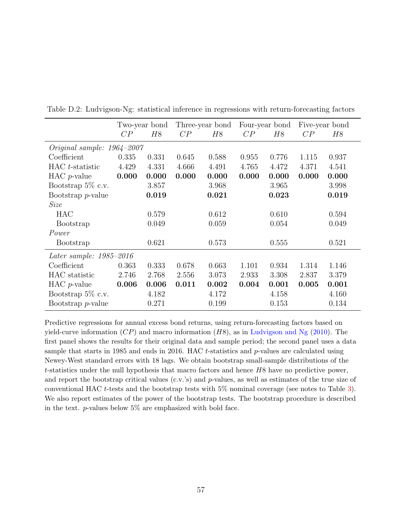|                                | Two-year bond |       | Three-year bond |       | Four-year bond |       | Five-year bond |       |
|--------------------------------|---------------|-------|-----------------|-------|----------------|-------|----------------|-------|
|                                | CP            | H8    | CP              | H8    | CP             | H8    | CP             | H8    |
| Original sample: $1964 - 2007$ |               |       |                 |       |                |       |                |       |
| Coefficient                    | 0.335         | 0.331 | 0.645           | 0.588 | 0.955          | 0.776 | 1.115          | 0.937 |
| HAC t-statistic                | 4.429         | 4.331 | 4.666           | 4.491 | 4.765          | 4.472 | 4.371          | 4.541 |
| $HAC$ <i>p</i> -value          | 0.000         | 0.000 | 0.000           | 0.000 | 0.000          | 0.000 | 0.000          | 0.000 |
| Bootstrap $5\%$ c.v.           |               | 3.857 |                 | 3.968 |                | 3.965 |                | 3.998 |
| Bootstrap $p$ -value           |               | 0.019 |                 | 0.021 |                | 0.023 |                | 0.019 |
| Size                           |               |       |                 |       |                |       |                |       |
| <b>HAC</b>                     |               | 0.579 |                 | 0.612 |                | 0.610 |                | 0.594 |
| <b>Bootstrap</b>               |               | 0.049 |                 | 0.059 |                | 0.054 |                | 0.049 |
| Power                          |               |       |                 |       |                |       |                |       |
| <b>Bootstrap</b>               |               | 0.621 |                 | 0.573 |                | 0.555 |                | 0.521 |
| Later sample: 1985-2016        |               |       |                 |       |                |       |                |       |
| Coefficient                    | 0.363         | 0.333 | 0.678           | 0.663 | 1.101          | 0.934 | 1.314          | 1.146 |
| HAC statistic                  | 2.746         | 2.768 | 2.556           | 3.073 | 2.933          | 3.308 | 2.837          | 3.379 |
| $HAC$ <i>p</i> -value          | 0.006         | 0.006 | 0.011           | 0.002 | 0.004          | 0.001 | 0.005          | 0.001 |
| Bootstrap 5\% c.v.             |               | 4.182 |                 | 4.172 |                | 4.158 |                | 4.160 |
| Bootstrap $p$ -value           |               | 0.271 |                 | 0.199 |                | 0.153 |                | 0.134 |

<span id="page-58-0"></span>Table D.2: Ludvigson-Ng: statistical inference in regressions with return-forecasting factors

Predictive regressions for annual excess bond returns, using return-forecasting factors based on yield-curve information  $(CP)$  and macro information  $(H8)$ , as in [Ludvigson and Ng](#page-34-4) [\(2010\)](#page-34-4). The first panel shows the results for their original data and sample period; the second panel uses a data sample that starts in 1985 and ends in 2016. HAC t-statistics and p-values are calculated using Newey-West standard errors with 18 lags. We obtain bootstrap small-sample distributions of the t-statistics under the null hypothesis that macro factors and hence H8 have no predictive power, and report the bootstrap critical values  $(c.v.'s)$  and p-values, as well as estimates of the true size of conventional HAC t-tests and the bootstrap tests with 5% nominal coverage (see notes to Table [3\)](#page-39-0). We also report estimates of the power of the bootstrap tests. The bootstrap procedure is described in the text. p-values below 5% are emphasized with bold face.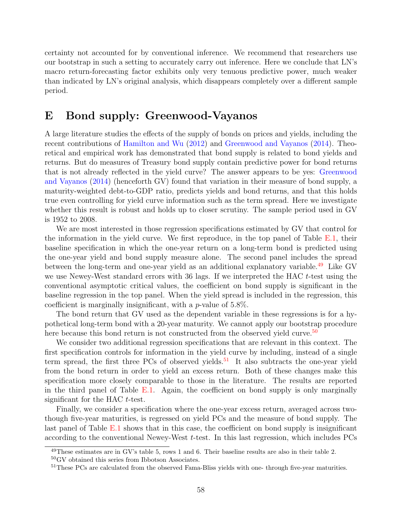certainty not accounted for by conventional inference. We recommend that researchers use our bootstrap in such a setting to accurately carry out inference. Here we conclude that LN's macro return-forecasting factor exhibits only very tenuous predictive power, much weaker than indicated by LN's original analysis, which disappears completely over a different sample period.

### <span id="page-59-0"></span>E Bond supply: Greenwood-Vayanos

A large literature studies the effects of the supply of bonds on prices and yields, including the recent contributions of [Hamilton and Wu](#page-33-13) [\(2012\)](#page-33-13) and [Greenwood and Vayanos](#page-33-2) [\(2014\)](#page-33-2). Theoretical and empirical work has demonstrated that bond supply is related to bond yields and returns. But do measures of Treasury bond supply contain predictive power for bond returns that is not already reflected in the yield curve? The answer appears to be yes: [Greenwood](#page-33-2) [and Vayanos](#page-33-2) [\(2014\)](#page-33-2) (henceforth GV) found that variation in their measure of bond supply, a maturity-weighted debt-to-GDP ratio, predicts yields and bond returns, and that this holds true even controlling for yield curve information such as the term spread. Here we investigate whether this result is robust and holds up to closer scrutiny. The sample period used in GV is 1952 to 2008.

We are most interested in those regression specifications estimated by GV that control for the information in the yield curve. We first reproduce, in the top panel of Table  $E.1$ , their baseline specification in which the one-year return on a long-term bond is predicted using the one-year yield and bond supply measure alone. The second panel includes the spread between the long-term and one-year yield as an additional explanatory variable.<sup>[49](#page-59-1)</sup> Like GV we use Newey-West standard errors with 36 lags. If we interpreted the HAC  $t$ -test using the conventional asymptotic critical values, the coefficient on bond supply is significant in the baseline regression in the top panel. When the yield spread is included in the regression, this coefficient is marginally insignificant, with a p-value of 5.8%.

The bond return that GV used as the dependent variable in these regressions is for a hypothetical long-term bond with a 20-year maturity. We cannot apply our bootstrap procedure here because this bond return is not constructed from the observed yield curve.<sup>[50](#page-59-2)</sup>

We consider two additional regression specifications that are relevant in this context. The first specification controls for information in the yield curve by including, instead of a single term spread, the first three PCs of observed yields.<sup>[51](#page-59-3)</sup> It also subtracts the one-year yield from the bond return in order to yield an excess return. Both of these changes make this specification more closely comparable to those in the literature. The results are reported in the third panel of Table [E.1.](#page-60-0) Again, the coefficient on bond supply is only marginally significant for the HAC t-test.

Finally, we consider a specification where the one-year excess return, averaged across twothough five-year maturities, is regressed on yield PCs and the measure of bond supply. The last panel of Table [E.1](#page-60-0) shows that in this case, the coefficient on bond supply is insignificant according to the conventional Newey-West  $t$ -test. In this last regression, which includes  $PCs$ 

<span id="page-59-1"></span><sup>49</sup>These estimates are in GV's table 5, rows 1 and 6. Their baseline results are also in their table 2.

<span id="page-59-2"></span><sup>50</sup>GV obtained this series from Ibbotson Associates.

<span id="page-59-3"></span><sup>&</sup>lt;sup>51</sup>These PCs are calculated from the observed Fama-Bliss yields with one- through five-year maturities.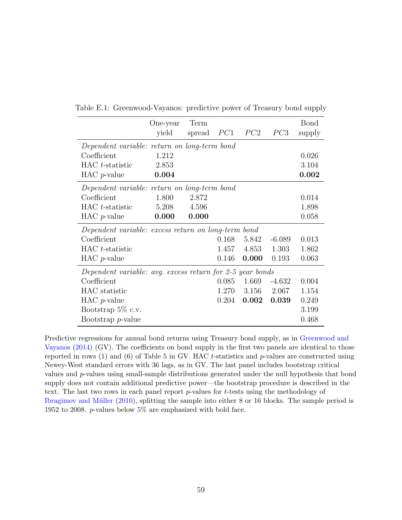|                                                           | One-year | Term   |       |       |          | Bond   |  |  |
|-----------------------------------------------------------|----------|--------|-------|-------|----------|--------|--|--|
|                                                           | yield    | spread | PC1   | PC2   | PC3      | supply |  |  |
| Dependent variable: return on long-term bond              |          |        |       |       |          |        |  |  |
| Coefficient                                               | 1.212    |        |       |       |          | 0.026  |  |  |
| HAC t-statistic                                           | 2.853    |        |       |       |          | 3.104  |  |  |
| $HAC$ <i>p</i> -value                                     | 0.004    |        |       |       |          | 0.002  |  |  |
| Dependent variable: return on long-term bond              |          |        |       |       |          |        |  |  |
| Coefficient                                               | 1.800    | 2.872  |       |       |          | 0.014  |  |  |
| HAC t-statistic                                           | 5.208    | 4.596  |       |       |          | 1.898  |  |  |
| $HAC$ <i>p</i> -value                                     | 0.000    | 0.000  |       |       |          | 0.058  |  |  |
| Dependent variable: excess return on long-term bond       |          |        |       |       |          |        |  |  |
| Coefficient                                               |          |        | 0.168 | 5.842 | $-6.089$ | 0.013  |  |  |
| HAC t-statistic                                           |          |        | 1.457 | 4.853 | 1.303    | 1.862  |  |  |
| $HAC$ <i>p</i> -value                                     |          |        | 0.146 | 0.000 | 0.193    | 0.063  |  |  |
| Dependent variable: avg. excess return for 2-5 year bonds |          |        |       |       |          |        |  |  |
| Coefficient                                               |          |        | 0.085 | 1.669 | $-4.632$ | 0.004  |  |  |
| HAC statistic                                             |          |        | 1.270 | 3.156 | 2.067    | 1.154  |  |  |
| $HAC$ <i>p</i> -value                                     |          |        | 0.204 | 0.002 | 0.039    | 0.249  |  |  |
| Bootstrap $5\%$ c.v.                                      |          |        |       |       |          | 3.199  |  |  |
| Bootstrap $p$ -value                                      |          |        |       |       |          | 0.468  |  |  |

<span id="page-60-0"></span>Table E.1: Greenwood-Vayanos: predictive power of Treasury bond supply

Predictive regressions for annual bond returns using Treasury bond supply, as in [Greenwood and](#page-33-2) [Vayanos](#page-33-2) [\(2014\)](#page-33-2) (GV). The coefficients on bond supply in the first two panels are identical to those reported in rows  $(1)$  and  $(6)$  of Table 5 in GV. HAC t-statistics and p-values are constructed using Newey-West standard errors with 36 lags, as in GV. The last panel includes bootstrap critical values and p-values using small-sample distributions generated under the null hypothesis that bond supply does not contain additional predictive power—the bootstrap procedure is described in the text. The last two rows in each panel report  $p$ -values for  $t$ -tests using the methodology of Ibragimov and Müller [\(2010\)](#page-34-12), splitting the sample into either 8 or 16 blocks. The sample period is 1952 to 2008. p-values below 5% are emphasized with bold face.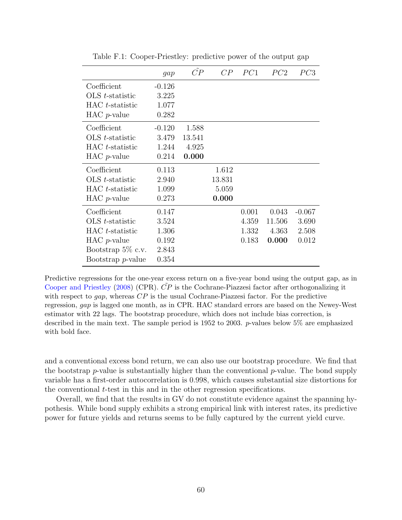|                         | gap      | $\tilde{CP}$ | CP     | PC1   | PC2    | PC3      |
|-------------------------|----------|--------------|--------|-------|--------|----------|
| Coefficient             | $-0.126$ |              |        |       |        |          |
| OLS <i>t</i> -statistic | 3.225    |              |        |       |        |          |
| HAC t-statistic         | 1.077    |              |        |       |        |          |
| $HAC$ <i>p</i> -value   | 0.282    |              |        |       |        |          |
| Coefficient             | $-0.120$ | 1.588        |        |       |        |          |
| OLS <i>t</i> -statistic | 3.479    | 13.541       |        |       |        |          |
| HAC t-statistic         | 1.244    | 4.925        |        |       |        |          |
| $HAC$ <i>p</i> -value   | 0.214    | 0.000        |        |       |        |          |
| Coefficient             | 0.113    |              | 1.612  |       |        |          |
| OLS <i>t</i> -statistic | 2.940    |              | 13.831 |       |        |          |
| HAC t-statistic         | 1.099    |              | 5.059  |       |        |          |
| $HAC$ <i>p</i> -value   | 0.273    |              | 0.000  |       |        |          |
| Coefficient             | 0.147    |              |        | 0.001 | 0.043  | $-0.067$ |
| OLS <i>t</i> -statistic | 3.524    |              |        | 4.359 | 11.506 | 3.690    |
| HAC t-statistic         | 1.306    |              |        | 1.332 | 4.363  | 2.508    |
| $HAC$ <i>p</i> -value   | 0.192    |              |        | 0.183 | 0.000  | 0.012    |
| Bootstrap 5\% c.v.      | 2.843    |              |        |       |        |          |
| Bootstrap $p$ -value    | 0.354    |              |        |       |        |          |

<span id="page-61-0"></span>Table F.1: Cooper-Priestley: predictive power of the output gap

Predictive regressions for the one-year excess return on a five-year bond using the output gap, as in [Cooper and Priestley](#page-32-2) [\(2008\)](#page-32-2) (CPR).  $\tilde{CP}$  is the Cochrane-Piazzesi factor after orthogonalizing it with respect to  $gap$ , whereas  $CP$  is the usual Cochrane-Piazzesi factor. For the predictive regression, gap is lagged one month, as in CPR. HAC standard errors are based on the Newey-West estimator with 22 lags. The bootstrap procedure, which does not include bias correction, is described in the main text. The sample period is 1952 to 2003. p-values below 5% are emphasized with bold face.

and a conventional excess bond return, we can also use our bootstrap procedure. We find that the bootstrap  $p$ -value is substantially higher than the conventional  $p$ -value. The bond supply variable has a first-order autocorrelation is 0.998, which causes substantial size distortions for the conventional t-test in this and in the other regression specifications.

Overall, we find that the results in GV do not constitute evidence against the spanning hypothesis. While bond supply exhibits a strong empirical link with interest rates, its predictive power for future yields and returns seems to be fully captured by the current yield curve.